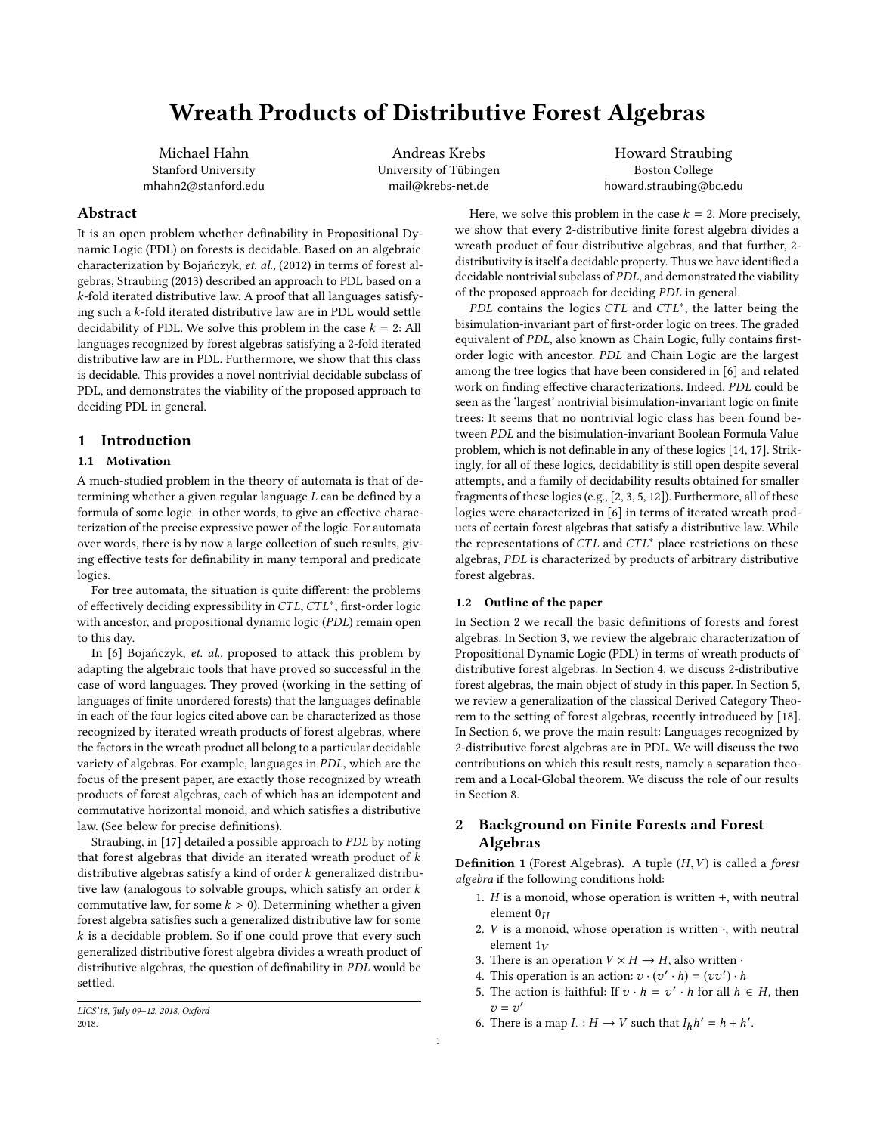# <span id="page-0-2"></span>Wreath Products of Distributive Forest Algebras

Michael Hahn Stanford University mhahn2@stanford.edu

Andreas Krebs University of Tübingen mail@krebs-net.de

Howard Straubing Boston College howard.straubing@bc.edu

# Abstract

It is an open problem whether definability in Propositional Dynamic Logic (PDL) on forests is decidable. Based on an algebraic characterization by Bojańczyk, et. al., (2012) in terms of forest algebras, Straubing (2013) described an approach to PDL based on a k-fold iterated distributive law. A proof that all languages satisfying such a k-fold iterated distributive law are in PDL would settle decidability of PDL. We solve this problem in the case  $k = 2$ : All languages recognized by forest algebras satisfying a 2-fold iterated distributive law are in PDL. Furthermore, we show that this class is decidable. This provides a novel nontrivial decidable subclass of PDL, and demonstrates the viability of the proposed approach to deciding PDL in general.

# 1 Introduction

## 1.1 Motivation

A much-studied problem in the theory of automata is that of determining whether a given regular language L can be defined by a formula of some logic–in other words, to give an effective characterization of the precise expressive power of the logic. For automata over words, there is by now a large collection of such results, giving effective tests for definability in many temporal and predicate logics.

For tree automata, the situation is quite different: the problems of effectively deciding expressibility in  $CTL$ ,  $CTL^*$ , first-order logic with ancestor, and propositional dynamic logic ( $PDI$ ) remain open with ancestor, and propositional dynamic logic (PDL) remain open to this day.

In [\[6\]](#page-8-0) Bojańczyk, et. al., proposed to attack this problem by adapting the algebraic tools that have proved so successful in the case of word languages. They proved (working in the setting of languages of finite unordered forests) that the languages definable in each of the four logics cited above can be characterized as those recognized by iterated wreath products of forest algebras, where the factors in the wreath product all belong to a particular decidable variety of algebras. For example, languages in PDL, which are the focus of the present paper, are exactly those recognized by wreath products of forest algebras, each of which has an idempotent and commutative horizontal monoid, and which satisfies a distributive law. (See below for precise definitions).

Straubing, in [\[17\]](#page-8-1) detailed a possible approach to PDL by noting that forest algebras that divide an iterated wreath product of  $k$ distributive algebras satisfy a kind of order  $k$  generalized distributive law (analogous to solvable groups, which satisfy an order k commutative law, for some  $k > 0$ ). Determining whether a given forest algebra satisfies such a generalized distributive law for some  $k$  is a decidable problem. So if one could prove that every such generalized distributive forest algebra divides a wreath product of distributive algebras, the question of definability in PDL would be settled.

Here, we solve this problem in the case  $k = 2$ . More precisely, we show that every 2-distributive finite forest algebra divides a wreath product of four distributive algebras, and that further, 2 distributivity is itself a decidable property. Thus we have identified a decidable nontrivial subclass of PDL, and demonstrated the viability of the proposed approach for deciding PDL in general.

 $P\overline{DL}$  contains the logics  $CTL$  and  $CTL^*$ , the latter being the implation-invariant part of first-order logic on trees. The graded bisimulation-invariant part of first-order logic on trees. The graded equivalent of PDL, also known as Chain Logic, fully contains firstorder logic with ancestor. PDL and Chain Logic are the largest among the tree logics that have been considered in [\[6\]](#page-8-0) and related work on finding effective characterizations. Indeed, PDL could be seen as the 'largest' nontrivial bisimulation-invariant logic on finite trees: It seems that no nontrivial logic class has been found between PDL and the bisimulation-invariant Boolean Formula Value problem, which is not definable in any of these logics [\[14,](#page-8-2) [17\]](#page-8-1). Strikingly, for all of these logics, decidability is still open despite several attempts, and a family of decidability results obtained for smaller fragments of these logics (e.g., [\[2,](#page-8-3) [3,](#page-8-4) [5,](#page-8-5) [12\]](#page-8-6)). Furthermore, all of these logics were characterized in [\[6\]](#page-8-0) in terms of iterated wreath products of certain forest algebras that satisfy a distributive law. While the representations of  $CTL$  and  $CTL^*$  place restrictions on these algebras, PDL is characterized by products of arbitrary distributive forest algebras.

## 1.2 Outline of the paper

In Section [2](#page-0-0) we recall the basic definitions of forests and forest algebras. In Section [3,](#page-1-0) we review the algebraic characterization of Propositional Dynamic Logic (PDL) in terms of wreath products of distributive forest algebras. In Section [4,](#page-2-0) we discuss 2-distributive forest algebras, the main object of study in this paper. In Section [5,](#page-3-0) we review a generalization of the classical Derived Category Theorem to the setting of forest algebras, recently introduced by [\[18\]](#page-8-7). In Section [6,](#page-5-0) we prove the main result: Languages recognized by 2-distributive forest algebras are in PDL. We will discuss the two contributions on which this result rests, namely a separation theorem and a Local-Global theorem. We discuss the role of our results in Section [8.](#page-7-0)

# <span id="page-0-0"></span>2 Background on Finite Forests and Forest Algebras

<span id="page-0-1"></span>**Definition 1** (Forest Algebras). A tuple  $(H, V)$  is called a forest algebra if the following conditions hold:

- 1.  $H$  is a monoid, whose operation is written  $+$ , with neutral element  $0_H$
- 2.  $V$  is a monoid, whose operation is written  $\cdot$ , with neutral element  $1_V$
- 3. There is an operation  $V \times H \rightarrow H$ , also written  $\cdot$
- 4. This operation is an action:  $v \cdot (v' \cdot h) = (vv') \cdot h$ <br>5. The action is faithful: If  $v \cdot h = v' \cdot h$  for all h
- 5. The action is faithful: If  $v \cdot h = v' \cdot h$  for all  $h \in H$ , then  $v = v'$ <br>There
- 6. There is a map  $I: H \to V$  such that  $I_h h' = h + h'$ .

LICS'18, July 09–12, 2018, Oxford 2018.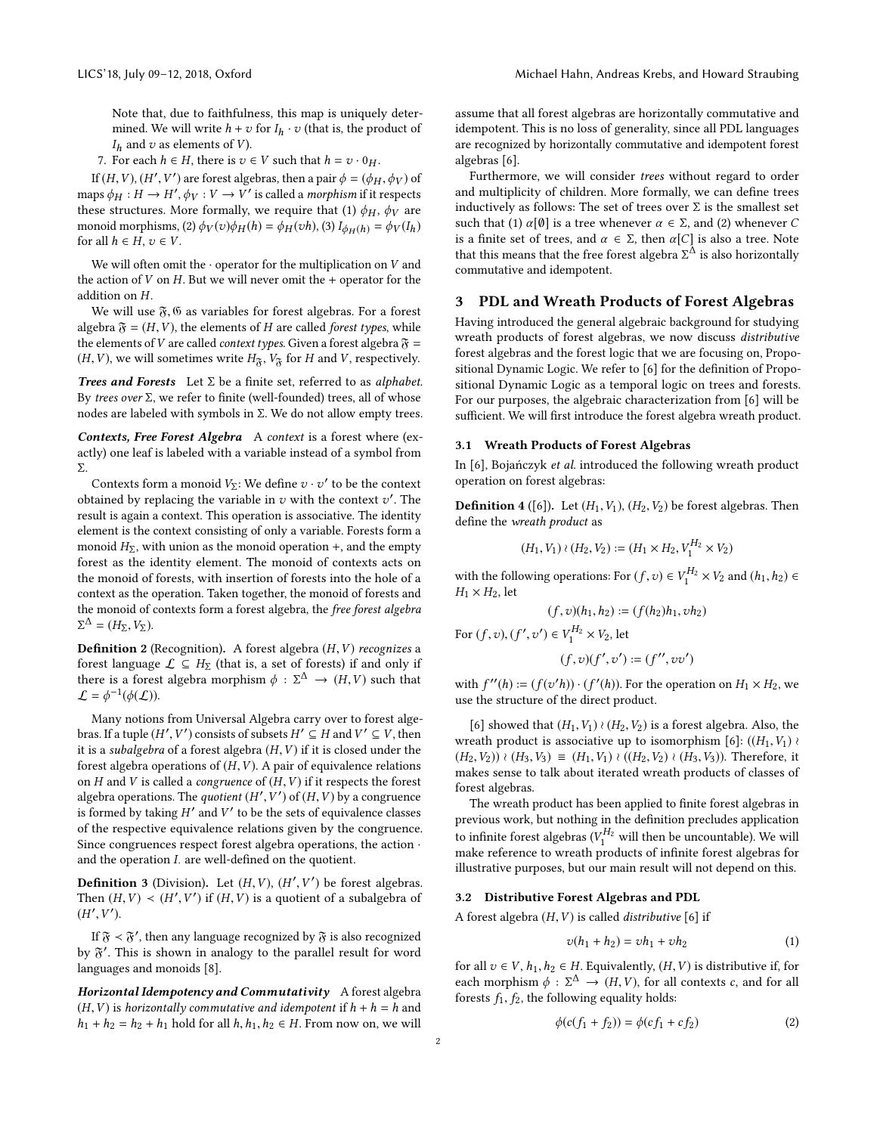Note that, due to faithfulness, this map is uniquely determined. We will write  $h + v$  for  $I_h \cdot v$  (that is, the product of  $I_h$  and  $v$  as elements of  $V$ ).

7. For each  $h \in H$ , there is  $v \in V$  such that  $h = v \cdot 0_H$ .

If  $(H, V), (H', V')$  are forest algebras, then a pair  $\phi = (\phi_H, \phi_V)$  of<br>ns  $\phi_V : H \to H'$   $\phi_V : V \to V'$  is called a marphism if it respects maps  $\phi_H : H \to H', \phi_V : V \to V'$  is called a morphism if it respects<br>these structures. More formally we require that (1)  $\phi_M$  are these structures. More formally, we require that (1)  $\phi_H$ ,  $\phi_V$  are monoid morphisms, (2)  $\phi_V(v)\phi_H(h) = \phi_H(vh)$ , (3)  $I_{\phi_H(h)} = \phi_V(I_h)$ for all  $h \in H$ ,  $v \in V$ .

We will often omit the  $\cdot$  operator for the multiplication on V and the action of  $V$  on  $H$ . But we will never omit the + operator for the addition on H.

We will use  $\mathfrak{F},\mathfrak{G}$  as variables for forest algebras. For a forest algebra  $\mathfrak{F} = (H, V)$ , the elements of H are called forest types, while the elements of V are called *context types*. Given a forest algebra  $\mathfrak{F} =$  $(H, V)$ , we will sometimes write  $H_{\mathfrak{F}}$ ,  $V_{\mathfrak{F}}$  for H and V, respectively.

**Trees and Forests** Let  $\Sigma$  be a finite set, referred to as alphabet. By trees over Σ, we refer to finite (well-founded) trees, all of whose nodes are labeled with symbols in Σ. We do not allow empty trees.

Contexts, Free Forest Algebra A context is a forest where (exactly) one leaf is labeled with a variable instead of a symbol from Σ.

Contexts form a monoid  $V_{\Sigma}$ : We define  $v \cdot v'$  to be the context<br>tained by replacing the variable in zurith the context  $v'$ . The obtained by replacing the variable in  $v$  with the context  $v'$ . The result is again a context. This operation is associative. The identity result is again a context. This operation is associative. The identity element is the context consisting of only a variable. Forests form a monoid  $H_{\Sigma}$ , with union as the monoid operation +, and the empty forest as the identity element. The monoid of contexts acts on the monoid of forests, with insertion of forests into the hole of a context as the operation. Taken together, the monoid of forests and the monoid of contexts form a forest algebra, the free forest algebra  $\Sigma^{\Delta} = (H_{\Sigma}, V_{\Sigma}).$ 

**Definition 2** (Recognition). A forest algebra  $(H, V)$  recognizes a forest language  $\mathcal{L} \subseteq H_{\Sigma}$  (that is, a set of forests) if and only if there is a forest algebra morphism  $\phi : \Sigma^{\Delta} \to (H, V)$  such that  $\mathcal{L} - \phi^{-1}(\phi(\mathcal{L}))$  $\mathcal{L} = \phi^{-1}(\phi(\mathcal{L})).$ 

Many notions from Universal Algebra carry over to forest algebras. If a tuple  $(H', V')$  consists of subsets  $H' \subseteq H$  and  $V' \subseteq V$ , then<br>it is a subglaze of a forest algebra  $(H, V)$  if it is closed under the it is a *subalgebra* of a forest algebra  $(H, V)$  if it is closed under the forest algebra operations of  $(H, V)$ . A pair of equivalence relations forest algebra operations of  $(H, V)$ . A pair of equivalence relations on  $H$  and  $V$  is called a *congruence* of  $(H, V)$  if it respects the forest algebra operations. The quotient  $(H', V')$  of  $(H, V)$  by a congruence<br>is formed by taking  $H'$  and  $V'$  to be the sets of equivalence classes is formed by taking  $H'$  and  $V'$  to be the sets of equivalence classes<br>of the respective equivalence relations given by the congruence of the respective equivalence relations given by the congruence. Since congruences respect forest algebra operations, the action · and the operation  $I$ . are well-defined on the quotient.

**Definition 3** (Division). Let  $(H, V)$ ,  $(H', V')$  be forest algebras.<br>Then  $(H, V) \geq (H', V')$  if  $(H, V)$  is a quotient of a subalgebra of Then  $(H, V) < (H', V')$  if  $(H, V)$  is a quotie  $\mathcal{L}_{\mathcal{L}}$  $\prime$ ) if  $(H, V)$  is a quotient of a subalgebra of  $(H<sup>^{\prime}</sup>)$  $\mathcal{L}_{\mathcal{L}}$ ′ ).

If  $\mathfrak{F} < \mathfrak{F}'$ , then any language recognized by  $\mathfrak{F}$  is also recognized by  $\mathfrak{F}'$ . This is shown in analogy to the parallel result for word languages and monoids [\[8\]](#page-8-8).

Horizontal Idempotency and Commutativity A forest algebra  $(H, V)$  is horizontally commutative and idempotent if  $h + h = h$  and  $h_1 + h_2 = h_2 + h_1$  hold for all  $h, h_1, h_2 \in H$ . From now on, we will

assume that all forest algebras are horizontally commutative and idempotent. This is no loss of generality, since all PDL languages are recognized by horizontally commutative and idempotent forest algebras [\[6\]](#page-8-0).

Furthermore, we will consider trees without regard to order and multiplicity of children. More formally, we can define trees inductively as follows: The set of trees over  $\Sigma$  is the smallest set such that (1)  $\alpha$ [Ø] is a tree whenever  $\alpha \in \Sigma$ , and (2) whenever C is a finite set of trees, and  $\alpha \in \Sigma$ , then  $\alpha[C]$  is also a tree. Note that this means that the free forest algebra  $\Sigma^{\Delta}$  is also horizontally commutative and idempotent commutative and idempotent.

## <span id="page-1-0"></span>3 PDL and Wreath Products of Forest Algebras

Having introduced the general algebraic background for studying wreath products of forest algebras, we now discuss distributive forest algebras and the forest logic that we are focusing on, Propositional Dynamic Logic. We refer to [\[6\]](#page-8-0) for the definition of Propositional Dynamic Logic as a temporal logic on trees and forests. For our purposes, the algebraic characterization from [\[6\]](#page-8-0) will be sufficient. We will first introduce the forest algebra wreath product.

#### 3.1 Wreath Products of Forest Algebras

In [\[6\]](#page-8-0), Bojańczyk et al. introduced the following wreath product operation on forest algebras:

**Definition 4** ([\[6\]](#page-8-0)). Let  $(H_1, V_1)$ ,  $(H_2, V_2)$  be forest algebras. Then define the wreath product as

$$
(H_1, V_1) \wr (H_2, V_2) := (H_1 \times H_2, V_1^{H_2} \times V_2)
$$

with the following operations: For  $(f, v) \in V_1^{H_2} \times V_2$  and  $(h_1, h_2) \in$ <br> $H_1 \times H_2$  let  $H_1 \times H_2$ , let

$$
(f, v)(h_1, h_2) := (f(h_2)h_1, vh_2)
$$

For  $(f, v)$ ,  $(f'$  $\ddot{\phantom{0}}$ ′) ∈  $V_1^{H_2} \times V_2$ , let

$$
(f,v)(f^\prime,v^\prime)\coloneqq(f^{\prime\prime},vv^\prime)
$$

with  $f''(h) := (f(v'h)) \cdot (f'(h))$ . For the operation on  $H_1 \times H_2$ , we use the structure of the direct product use the structure of the direct product.

[\[6\]](#page-8-0) showed that  $(H_1, V_1) \wr (H_2, V_2)$  is a forest algebra. Also, the wreath product is associative up to isomorphism [\[6\]](#page-8-0):  $((H_1, V_1)$  ≀  $(H_2, V_2)$ ) ≀  $(H_3, V_3) \equiv (H_1, V_1)$  ≀  $((H_2, V_2)$  ≀  $(H_3, V_3)$ ). Therefore, it makes sense to talk about iterated wreath products of classes of forest algebras.

The wreath product has been applied to finite forest algebras in previous work, but nothing in the definition precludes application to infinite forest algebras  $(V_1^{H_2}$  will then be uncountable). We will<br>make reference to wreath products of infinite forest algebras for make reference to wreath products of infinite forest algebras for illustrative purposes, but our main result will not depend on this.

## 3.2 Distributive Forest Algebras and PDL

A forest algebra  $(H, V)$  is called *distributive* [\[6\]](#page-8-0) if

$$
v(h_1 + h_2) = vh_1 + vh_2
$$
 (1)

for all  $v \in V$ ,  $h_1, h_2 \in H$ . Equivalently,  $(H, V)$  is distributive if, for each morphism  $\phi : \Sigma^{\Delta} \to (H, V)$ , for all contexts c, and for all forests f. f. the following equality holds: forests  $f_1, f_2$ , the following equality holds:

$$
\phi(c(f_1 + f_2)) = \phi(cf_1 + cf_2)
$$
 (2)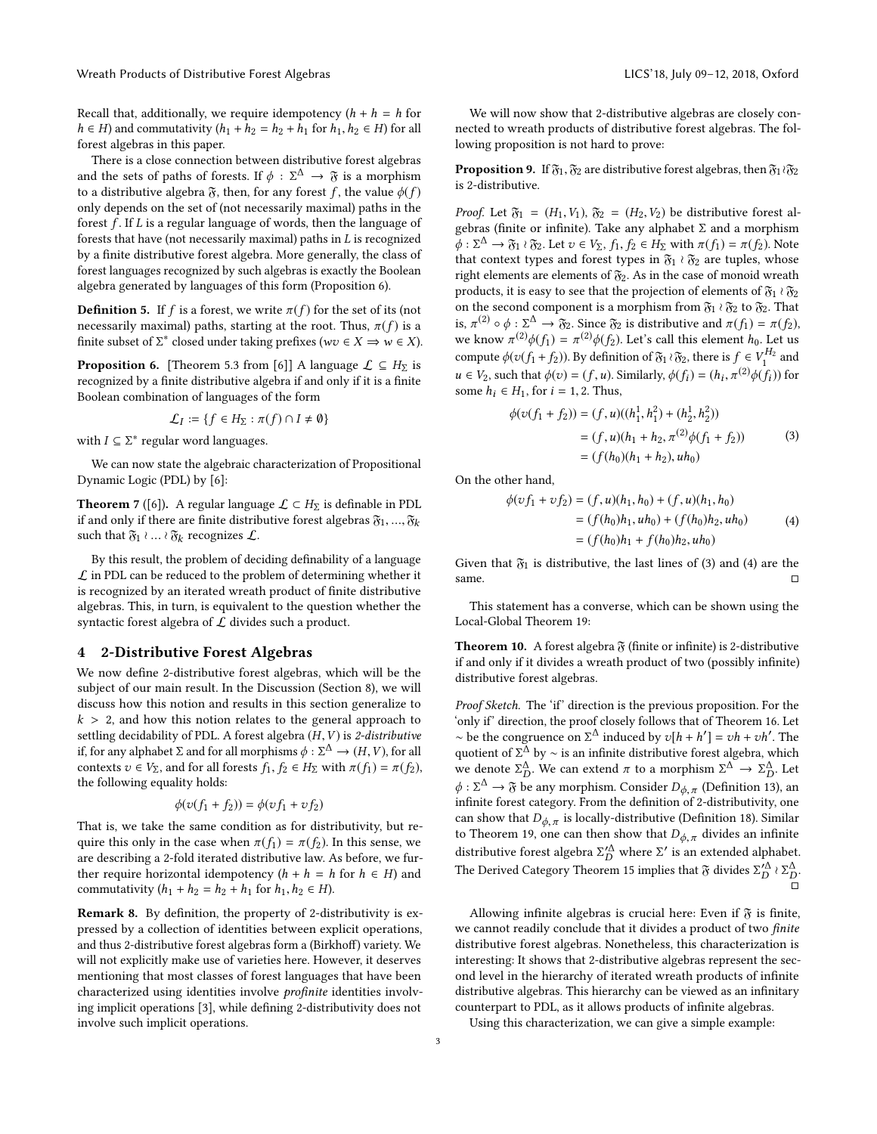Recall that, additionally, we require idempotency  $(h + h = h$  for  $h \in H$ ) and commutativity  $(h_1 + h_2 = h_2 + h_1$  for  $h_1, h_2 \in H$ ) for all forest algebras in this paper.

There is a close connection between distributive forest algebras and the sets of paths of forests. If  $\phi : \Sigma^{\Delta} \to \mathfrak{F}$  is a morphism to a distributive algebra  $\mathfrak{F}$  then for any forest f, the value  $\phi(f)$ to a distributive algebra  $\mathfrak{F}$ , then, for any forest f, the value  $\phi(f)$ only depends on the set of (not necessarily maximal) paths in the forest  $f$ . If  $L$  is a regular language of words, then the language of forests that have (not necessarily maximal) paths in L is recognized by a finite distributive forest algebra. More generally, the class of forest languages recognized by such algebras is exactly the Boolean algebra generated by languages of this form (Proposition [6\)](#page-2-1).

**Definition 5.** If f is a forest, we write  $\pi(f)$  for the set of its (not necessarily maximal) paths, starting at the root. Thus,  $\pi(f)$  is a finite subset of  $\Sigma^*$  closed under taking prefixes ( $wv \in X \implies w \in X$ ).

<span id="page-2-1"></span>**Proposition 6.** [Theorem 5.3 from [\[6\]](#page-8-0)] A language  $\mathcal{L} \subseteq H_{\Sigma}$  is recognized by a finite distributive algebra if and only if it is a finite Boolean combination of languages of the form

$$
\mathcal{L}_I := \{ f \in H_\Sigma : \pi(f) \cap I \neq \emptyset \}
$$

with  $I \subseteq \Sigma^*$  regular word languages.

We can now state the algebraic characterization of Propositional Dynamic Logic (PDL) by [\[6\]](#page-8-0):

**Theorem 7** ([\[6\]](#page-8-0)). A regular language  $\mathcal{L} \subset H_{\Sigma}$  is definable in PDL if and only if there are finite distributive forest algebras  $\mathfrak{F}_1, \ldots, \mathfrak{F}_k$ such that  $\mathfrak{F}_1 \wr ... \wr \mathfrak{F}_k$  recognizes  $\mathcal{L}$ .

By this result, the problem of deciding definability of a language  ${\mathcal L}$  in PDL can be reduced to the problem of determining whether it is recognized by an iterated wreath product of finite distributive algebras. This, in turn, is equivalent to the question whether the syntactic forest algebra of  $L$  divides such a product.

## <span id="page-2-0"></span>4 2-Distributive Forest Algebras

We now define 2-distributive forest algebras, which will be the subject of our main result. In the Discussion (Section [8\)](#page-7-0), we will discuss how this notion and results in this section generalize to  $k > 2$ , and how this notion relates to the general approach to settling decidability of PDL. A forest algebra  $(H, V)$  is 2-distributive if, for any alphabet  $\Sigma$  and for all morphisms  $\phi : \Sigma^{\Delta} \to (H, V)$ , for all<br>contexts  $v \in V_{\Sigma}$  and for all forests  $f, f \in H_{\Sigma}$  with  $\pi(f) = \pi(f)$ . contexts  $v \in V_{\Sigma}$ , and for all forests  $f_1, f_2 \in H_{\Sigma}$  with  $\pi(f_1) = \pi(f_2)$ , the following equality holds:

$$
\phi(v(f_1 + f_2)) = \phi(vf_1 + vf_2)
$$

That is, we take the same condition as for distributivity, but require this only in the case when  $\pi(f_1) = \pi(f_2)$ . In this sense, we are describing a 2-fold iterated distributive law. As before, we further require horizontal idempotency  $(h + h = h$  for  $h \in H)$  and commutativity  $(h_1 + h_2 = h_2 + h_1$  for  $h_1, h_2 \in H$ ).

Remark 8. By definition, the property of 2-distributivity is expressed by a collection of identities between explicit operations, and thus 2-distributive forest algebras form a (Birkhoff) variety. We will not explicitly make use of varieties here. However, it deserves mentioning that most classes of forest languages that have been characterized using identities involve profinite identities involving implicit operations [\[3\]](#page-8-4), while defining 2-distributivity does not involve such implicit operations.

We will now show that 2-distributive algebras are closely connected to wreath products of distributive forest algebras. The following proposition is not hard to prove:

<span id="page-2-4"></span>**Proposition 9.** If  $\mathfrak{F}_1$ ,  $\mathfrak{F}_2$  are distributive forest algebras, then  $\mathfrak{F}_1 \wr \mathfrak{F}_2$ is 2-distributive.

*Proof.* Let  $\mathfrak{F}_1 = (H_1, V_1), \mathfrak{F}_2 = (H_2, V_2)$  be distributive forest algebras (finite or infinite). Take any alphabet Σ and a morphism  $\phi : \Sigma^{\Delta} \to \mathfrak{F}_1 \wr \mathfrak{F}_2$ . Let  $v \in V_{\Sigma}$ ,  $f_1, f_2 \in H_{\Sigma}$  with  $\pi(f_1) = \pi(f_2)$ . Note that context types and forest types in  $\mathfrak{F}_1 \wr \mathfrak{F}_2$  are tuples, whose right elements are elements of  $\mathfrak{F}_2$ . As in the case of monoid wreath products, it is easy to see that the projection of elements of  $\mathfrak{F}_{1} \wr \mathfrak{F}_{2}$ on the second component is a morphism from  $\mathfrak{F}_1 \wr \mathfrak{F}_2$  to  $\mathfrak{F}_2$  . That is,  $\pi^{(2)} \circ \phi : \Sigma^{\Delta} \to \mathfrak{F}_2$ . Since  $\mathfrak{F}_2$  is distributive and  $\pi(f_1) = \pi(f_2)$ ,<br>we know  $\pi^{(2)} \phi(f_1) = \pi^{(2)} \phi(f_2)$ . Let's call this element  $h_1$ . Let us we know  $\pi^{(2)}\phi(f_1) = \pi^{(2)}\phi(f_2)$ . Let's call this element  $h_0$ . Let us compute  $\phi(v(f_1 + f_2))$ . By definition of  $\mathfrak{F}_1 \wr \mathfrak{F}_2$ , there is  $f \in V_1^{H_2}$  and  $u \in V_2$ , such that  $\phi(v) = (f, u)$ . Similarly,  $\phi(f_i) = (h_i, \pi)$ <br>some  $h_i \in H_i$ , for  $i = 1, 2$ . Thus  $^{(2)}\phi(f_i))$  for some  $h_i \in H_1$ , for  $i = 1, 2$ . Thus,

$$
\phi(v(f_1 + f_2)) = (f, u)((h_1^1, h_1^2) + (h_2^1, h_2^2))
$$
  
=  $(f, u)(h_1 + h_2, \pi^{(2)}\phi(f_1 + f_2))$  (3)  
=  $(f(h_0)(h_1 + h_2), uh_0)$ 

<span id="page-2-3"></span><span id="page-2-2"></span>On the other hand,

$$
\begin{aligned} \phi(vf_1 + v f_2) &= (f, u)(h_1, h_0) + (f, u)(h_1, h_0) \\ &= (f(h_0)h_1, uh_0) + (f(h_0)h_2, uh_0) \\ &= (f(h_0)h_1 + f(h_0)h_2, uh_0) \end{aligned} \tag{4}
$$

Given that  $\mathfrak{F}_1$  is distributive, the last lines of [\(3\)](#page-2-2) and [\(4\)](#page-2-3) are the same.  $□$ 

This statement has a converse, which can be shown using the Local-Global Theorem [19:](#page-5-1)

<span id="page-2-5"></span>**Theorem 10.** A forest algebra  $\mathfrak{F}$  (finite or infinite) is 2-distributive if and only if it divides a wreath product of two (possibly infinite) distributive forest algebras.

Proof Sketch. The 'if' direction is the previous proposition. For the 'only if' direction, the proof closely follows that of Theorem [16.](#page-5-2) Let ~ be the congruence on  $\Sigma^{\Delta}$  induced by  $v[h + h'] = vh + vh'$ . The quotient of  $\Sigma^{\Delta}$  by ~ is an infinite distributive forest algebra, which<br>we denote  $\Sigma^{\Delta}$ . We can extend  $\pi$  to a morphism  $\Sigma^{\Delta} \to \Sigma^{\Delta}$ . Let we denote  $\Sigma_D^{\Delta}$ . We can extend  $\pi$  to a morphism  $\Sigma^{\Delta} \to \Sigma_D^{\Delta}$ . Let  $\Lambda \to \Sigma_{\Delta}^{\Delta}$  are consequently as  $\Omega$  and  $\Lambda \to \Sigma_{\Delta}^{\Delta}$ .  $\phi : \Sigma^{\Delta} \to \mathfrak{F}$  be any morphism. Consider  $D_{\phi, \pi}$  (Definition [13\)](#page-4-0), and infinite forest category. From the definition of 2-distributivity, one infinite forest category. From the definition of 2-distributivity, one can show that  $D_{\phi,\pi}$  is locally-distributive (Definition [18\)](#page-5-3). Similar to Theorem [19,](#page-5-1) one can then show that  $D_{\phi,\pi}$  divides an infinite distributive forest algebra  $\Sigma_D^{\prime\Delta}$  where  $\Sigma'$  is an extended alphabet.<br>The Derived Octonomy Theorem 45 involved by  $\Sigma^{\prime\prime}$  and  $\Sigma^{\prime\prime}$ . The Derived Category Theorem [15](#page-5-4) implies that  $\mathfrak{F}$  divides  $\Sigma^{\prime \Delta}_D \wr \Sigma^{\Delta}_D$ . ー<br>ロ

Allowing infinite algebras is crucial here: Even if  $\mathfrak F$  is finite, we cannot readily conclude that it divides a product of two finite distributive forest algebras. Nonetheless, this characterization is interesting: It shows that 2-distributive algebras represent the second level in the hierarchy of iterated wreath products of infinite distributive algebras. This hierarchy can be viewed as an infinitary counterpart to PDL, as it allows products of infinite algebras.

Using this characterization, we can give a simple example: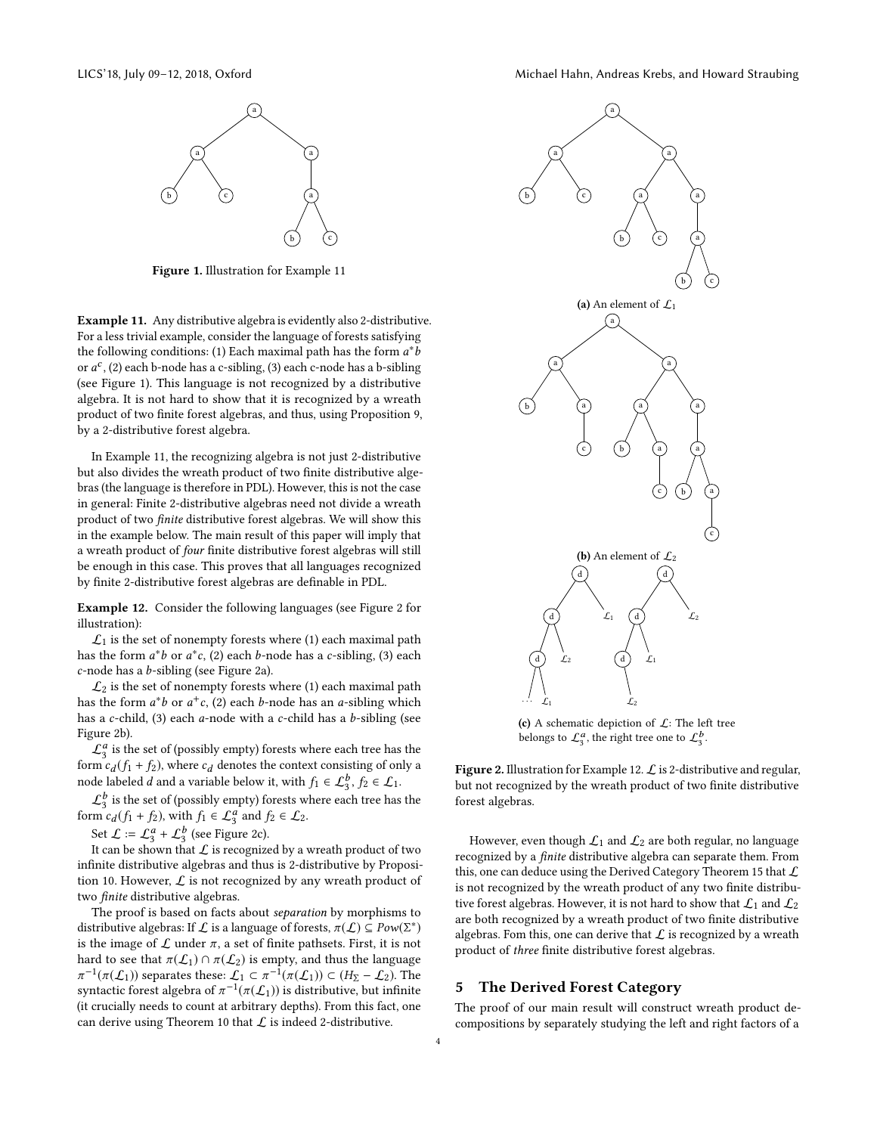<span id="page-3-2"></span>

Figure 1. Illustration for Example [11](#page-3-1)

<span id="page-3-1"></span>Example 11. Any distributive algebra is evidently also 2-distributive. For a less trivial example, consider the language of forests satisfying the following conditions: (1) Each maximal path has the form  $a^*$ <br>or  $a^c$  (2) each b-pode has a c-sibling (3) each c-pode has a b-siblin or  $a^c$ , (2) each b-node has a c-sibling, (3) each c-node has a b-sibling<br>(see Figure 1). This language is not recognized by a distributive (see Figure [1\)](#page-3-2). This language is not recognized by a distributive algebra. It is not hard to show that it is recognized by a wreath product of two finite forest algebras, and thus, using Proposition [9,](#page-2-4) by a 2-distributive forest algebra.

In Example [11,](#page-3-1) the recognizing algebra is not just 2-distributive but also divides the wreath product of two finite distributive algebras (the language is therefore in PDL). However, this is not the case in general: Finite 2-distributive algebras need not divide a wreath product of two finite distributive forest algebras. We will show this in the example below. The main result of this paper will imply that a wreath product of four finite distributive forest algebras will still be enough in this case. This proves that all languages recognized by finite 2-distributive forest algebras are definable in PDL.

<span id="page-3-4"></span>Example 12. Consider the following languages (see Figure [2](#page-3-3) for illustration):

 $\mathcal{L}_1$  is the set of nonempty forests where (1) each maximal path has the form  $a^*b$  or  $a^*c$ , (2) each b-node has a c-sibling, (3) each c-node has a b-sibling (see Figure 2a) c-node has a b-sibling (see Figure [2a\)](#page-3-3).

 $\mathcal{L}_2$  is the set of nonempty forests where (1) each maximal path has the form  $a^*b$  or  $a^+c$ , (2) each *b*-node has an *a*-sibling which<br>has a c-child (3) each a-node with a c-child has a h-sibling (see has a c-child,  $(3)$  each a-node with a c-child has a b-sibling (see Figure [2b\)](#page-3-3).

 $\mathcal{L}_3^a$  is the set of (possibly empty) forests where each tree has the form  $c_d(f_1 + f_2)$ , where  $c_d$  denotes the context consisting of only a node labeled d and a variable below it with  $f_1 \in C^b$ ,  $f_2 \in C$ . node labeled d and a variable below it, with  $f_1 \in \mathcal{L}_2^b$ ,  $f_2 \in \mathcal{L}_1$ .

 $\mathcal{L}_3^b$  is the set of (possibly empty) forests where each tree has the form  $c_d(f_1 + f_2)$ , with  $f_1 \in \mathcal{L}_3^a$  and  $f_2 \in \mathcal{L}_2$ .

Set  $\mathcal{L} := \mathcal{L}_3^a + \mathcal{L}_3^b$  (see Figure [2c\)](#page-3-3).

It can be shown that  $\mathcal L$  is recognized by a wreath product of two infinite distributive algebras and thus is 2-distributive by Proposi-tion [10.](#page-2-5) However,  $\mathcal L$  is not recognized by any wreath product of two finite distributive algebras.

The proof is based on facts about separation by morphisms to distributive algebras: If L is a language of forests,  $\pi(L) \subseteq Pow(\Sigma^*)$ <br>is the image of Lunder  $\pi$ , a set of finite patheets. First, it is not is the image of  $\mathcal L$  under  $\pi$ , a set of finite pathsets. First, it is not hard to see that  $\pi(\mathcal{L}_1) \cap \pi(\mathcal{L}_2)$  is empty, and thus the language π <sup>-1</sup>( $\pi(\mathcal{L}_1)$ ) separates these:  $\mathcal{L}_1 \subset \pi^{-1}(\pi(\mathcal{L}_1)) \subset (H_{\Sigma} - \mathcal{L}_2)$ . The syntactic forest algebra of  $\pi^{-1}(\pi(\mathcal{L}_1))$  is distributive, but infinite<br>(it crucially needs to count at arbitrary denths). From this fact, one (it crucially needs to count at arbitrary depths). From this fact, one can derive using Theorem [10](#page-2-5) that  $\mathcal L$  is indeed 2-distributive.

<span id="page-3-3"></span>

(c) A schematic depiction of  $\mathcal{L}$ : The left tree belongs to  $\mathcal{L}_3^a$ , the right tree one to  $\mathcal{L}_3^b$ .

Figure 2. Illustration for Example [12.](#page-3-4)  $\mathcal L$  is 2-distributive and regular, but not recognized by the wreath product of two finite distributive forest algebras.

However, even though  $\mathcal{L}_1$  and  $\mathcal{L}_2$  are both regular, no language recognized by a finite distributive algebra can separate them. From this, one can deduce using the Derived Category Theorem [15](#page-5-4) that  $\mathcal L$ is not recognized by the wreath product of any two finite distributive forest algebras. However, it is not hard to show that  $\mathcal{L}_1$  and  $\mathcal{L}_2$ are both recognized by a wreath product of two finite distributive algebras. Fom this, one can derive that  $\mathcal L$  is recognized by a wreath product of three finite distributive forest algebras.

# <span id="page-3-0"></span>5 The Derived Forest Category

The proof of our main result will construct wreath product decompositions by separately studying the left and right factors of a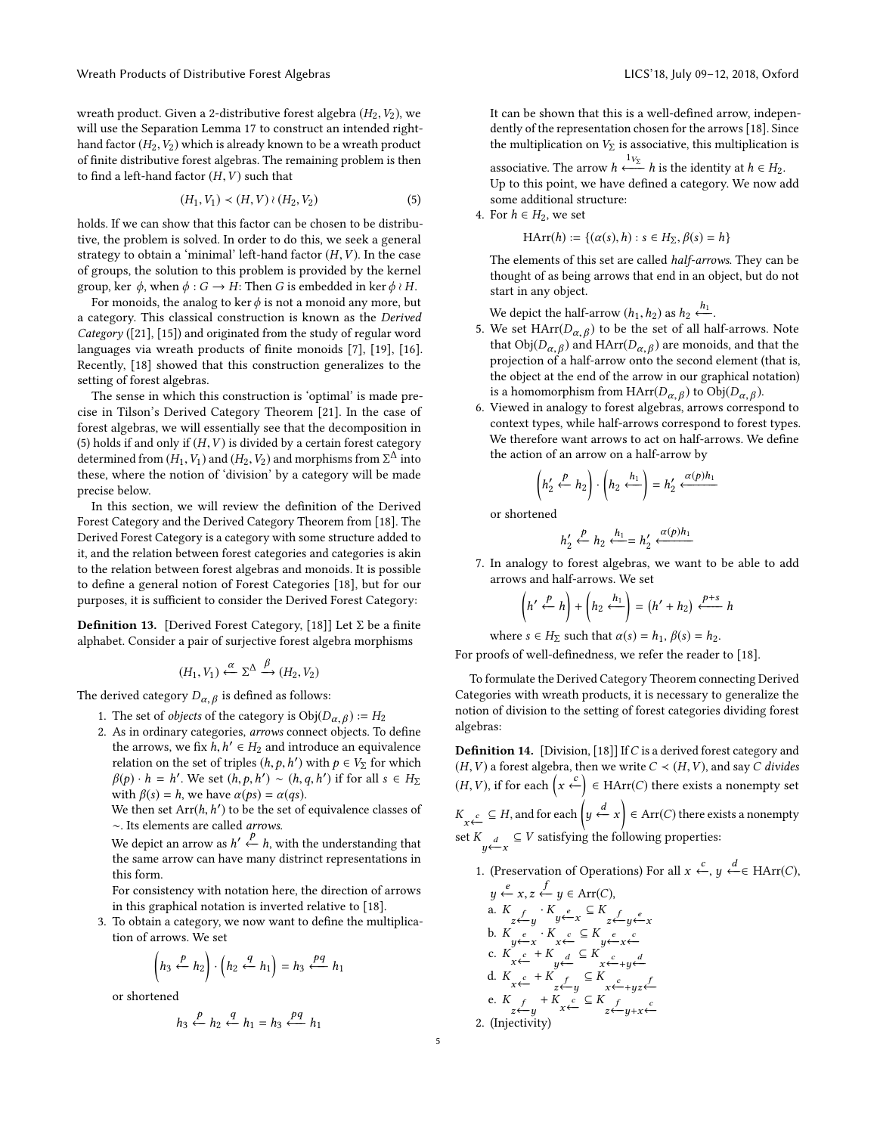wreath product. Given a 2-distributive forest algebra  $(H_2, V_2)$ , we will use the Separation Lemma [17](#page-5-5) to construct an intended righthand factor  $(H_2, V_2)$  which is already known to be a wreath product of finite distributive forest algebras. The remaining problem is then to find a left-hand factor  $(H, V)$  such that

<span id="page-4-1"></span>
$$
(H_1, V_1) \prec (H, V) \wr (H_2, V_2) \tag{5}
$$

holds. If we can show that this factor can be chosen to be distributive, the problem is solved. In order to do this, we seek a general strategy to obtain a 'minimal' left-hand factor  $(H, V)$ . In the case of groups, the solution to this problem is provided by the kernel group, ker  $\phi$ , when  $\phi$  :  $G \rightarrow H$ : Then G is embedded in ker  $\phi \wr H$ .

For monoids, the analog to ker  $\phi$  is not a monoid any more, but a category. This classical construction is known as the Derived Category ([\[21\]](#page-8-9), [\[15\]](#page-8-10)) and originated from the study of regular word languages via wreath products of finite monoids [\[7\]](#page-8-11), [\[19\]](#page-8-12), [\[16\]](#page-8-13). Recently, [\[18\]](#page-8-7) showed that this construction generalizes to the setting of forest algebras.

The sense in which this construction is 'optimal' is made precise in Tilson's Derived Category Theorem [\[21\]](#page-8-9). In the case of forest algebras, we will essentially see that the decomposition in [\(5\)](#page-4-1) holds if and only if  $(H, V)$  is divided by a certain forest category determined from  $(H_1, V_1)$  and  $(H_2, V_2)$  and morphisms from  $\Sigma^{\Delta}$  into<br>these where the notion of 'division' by a category will be made these, where the notion of 'division' by a category will be made precise below.

In this section, we will review the definition of the Derived Forest Category and the Derived Category Theorem from [\[18\]](#page-8-7). The Derived Forest Category is a category with some structure added to it, and the relation between forest categories and categories is akin to the relation between forest algebras and monoids. It is possible to define a general notion of Forest Categories [\[18\]](#page-8-7), but for our purposes, it is sufficient to consider the Derived Forest Category:

<span id="page-4-0"></span>**Definition 13.** [Derived Forest Category, [\[18\]](#page-8-7)] Let  $\Sigma$  be a finite alphabet. Consider a pair of surjective forest algebra morphisms

$$
(H_1, V_1) \xleftarrow{\alpha} \Sigma^{\Delta} \xrightarrow{\beta} (H_2, V_2)
$$

The derived category  $D_{\alpha,\beta}$  is defined as follows:

- 1. The set of *objects* of the category is  $Obj(D_{\alpha,\beta}) := H_2$ <br>2. As in ordinary categories, arrows connect objects. To
- 2. As in ordinary categories, arrows connect objects. To define the arrows, we fix  $\hat{h}, h' \in H_2$  and introduce an equivalence<br>relation on the set of triples  $(h, h, h')$  with  $h \in V_2$  for which relation on the set of triples  $(h, p, h')$  with  $p \in V_{\Sigma}$  for which  $g(n)$ ,  $h = h'$ . We set  $(h, p, h') \propto (h, q, h')$  if for all  $s \in H_{\Sigma}$ .  $\beta(p) \cdot h = h'$ . We set  $(h, p, h') \sim (h, q, h')$  if for all  $s \in H_{\Sigma}$ <br>with  $\beta(s) = h$  we have  $\alpha(hs) = \alpha(qs)$ . with  $\beta(s) = h$ , we have  $\alpha(ps) = \alpha(qs)$ .

We then set  $Arr(h, h')$  to be the set of equivalence classes of  $\sim$  Its elements are called *arrows* ∼. Its elements are called arrows.

We depict an arrow as  $h' \stackrel{p}{\leftarrow} h$ , with the understanding that the same arrow can have many distrinct representations in the same arrow can have many distrinct representations in this form.

For consistency with notation here, the direction of arrows in this graphical notation is inverted relative to [\[18\]](#page-8-7).

3. To obtain a category, we now want to define the multiplication of arrows. We set

$$
\left(h_3 \stackrel{p}{\leftarrow} h_2\right) \cdot \left(h_2 \stackrel{q}{\leftarrow} h_1\right) = h_3 \stackrel{pq}{\leftarrow} h_1
$$

or shortened

$$
h_3 \xleftarrow{p} h_2 \xleftarrow{q} h_1 = h_3 \xleftarrow{pq} h_1
$$

It can be shown that this is a well-defined arrow, independently of the representation chosen for the arrows [\[18\]](#page-8-7). Since the multiplication on  $V_{\Sigma}$  is associative, this multiplication is

associative. The arrow  $h \stackrel{1_{V_{\Sigma}}}{\longleftarrow} h$  is the identity at  $h \in H_2$ .<br>Un to this point, we have defined a category. We now a Up to this point, we have defined a category. We now add some additional structure:

4. For  $h \in H_2$ , we set

$$
\text{HArr}(h) := \{ (\alpha(s), h) : s \in H_{\Sigma}, \beta(s) = h \}
$$

The elements of this set are called half-arrows. They can be thought of as being arrows that end in an object, but do not start in any object.

We depict the half-arrow  $(h_1, h_2)$  as  $h_2 \xleftarrow{h_1}$ .<br>We set HArr $(D_{-2})$  to be the set of all half

- 5. We set HArr( $D_{\alpha,\beta}$ ) to be the set of all half-arrows. Note that the set of all half-arrows. Note that  $Obj(D_{\alpha,\beta})$  and  $HArr(D_{\alpha,\beta})$  are monoids, and that the projection of a half-arrow onto the second element (that is projection of a half-arrow onto the second element (that is, the object at the end of the arrow in our graphical notation) is a homomorphism from  $HArr(D_{\alpha,\beta})$  to  $Obj(D_{\alpha,\beta})$ .<br>Viewed in analogy to forest algebras, arrows corresp
- 6. Viewed in analogy to forest algebras, arrows correspond to context types, while half-arrows correspond to forest types. We therefore want arrows to act on half-arrows. We define the action of an arrow on a half-arrow by

$$
\left(h_2' \stackrel{p}{\leftarrow} h_2\right) \cdot \left(h_2 \stackrel{h_1}{\leftarrow} \right) = h_2' \stackrel{\alpha(p)h_1}{\longleftarrow}
$$

or shortened

$$
h_2' \xleftarrow{p} h_2 \xleftarrow{h_1} = h_2' \xleftarrow{\alpha(p)h_1}
$$

7. In analogy to forest algebras, we want to be able to add arrows and half-arrows. We set

$$
\left(h' \stackrel{p}{\leftarrow} h\right) + \left(h_2 \stackrel{h_1}{\leftarrow}\right) = \left(h' + h_2\right) \stackrel{p+s}{\leftarrow} h
$$

where  $s \in H_{\Sigma}$  such that  $\alpha(s) = h_1$ ,  $\beta(s) = h_2$ .

For proofs of well-definedness, we refer the reader to [\[18\]](#page-8-7).

To formulate the Derived Category Theorem connecting Derived Categories with wreath products, it is necessary to generalize the notion of division to the setting of forest categories dividing forest algebras:

<span id="page-4-2"></span>**Definition 14.** [Division, [\[18\]](#page-8-7)] If C is a derived forest category and  $(H, V)$  a forest algebra, then we write  $C \prec (H, V)$ , and say C divides  $(H, V)$ , if for each  $\left(x \stackrel{c}{\leftarrow}\right)$  ∈ HArr(*C*) there exists a nonempty set  $K_{\substack{c\\ x \leftarrow}}$  ⊆ H, and for each  $\left(y \stackrel{d}{\leftarrow} x\right)$  ∈ Arr(*C*) there exists a nonempty set *K*<sub>d</sub> ⊆ *V* satisfying the following properties:

y 1. (Preservation of Operations) For all  $x \leftarrow y \leftarrow \in \text{HArr}(C)$ ,

$$
y \stackrel{c}{\leftarrow} x, z \stackrel{f}{\leftarrow} y \in \text{Arr}(C),
$$
\na.  $K_{z \stackrel{f}{\leftarrow} y} \cdot K_{y \stackrel{e}{\leftarrow} x} \subseteq K_{z \stackrel{f}{\leftarrow} y \stackrel{e}{\leftarrow} x}$   
\nb.  $K_{y \stackrel{e}{\leftarrow} x} \cdot K_{x \stackrel{e}{\leftarrow} x} \subseteq K_{y \stackrel{e}{\leftarrow} x \stackrel{e}{\leftarrow} x}$   
\nc.  $K_{x \stackrel{e}{\leftarrow}} + K_{y \stackrel{d}{\leftarrow}} \subseteq K_{x \stackrel{e}{\leftarrow} y \stackrel{d}{\leftarrow}} x$   
\nd.  $K_{x \stackrel{e}{\leftarrow}} + K_{z \stackrel{f}{\leftarrow}} \subseteq K_{x \stackrel{e}{\leftarrow} y \stackrel{f}{\leftarrow}} x$   
\ne.  $K_{y \stackrel{f}{\leftarrow}} + K_{x \stackrel{g}{\leftarrow}} \subseteq K_{z \stackrel{f}{\leftarrow} y \stackrel{f}{\leftarrow}} x$   
\n2. (Injectivity)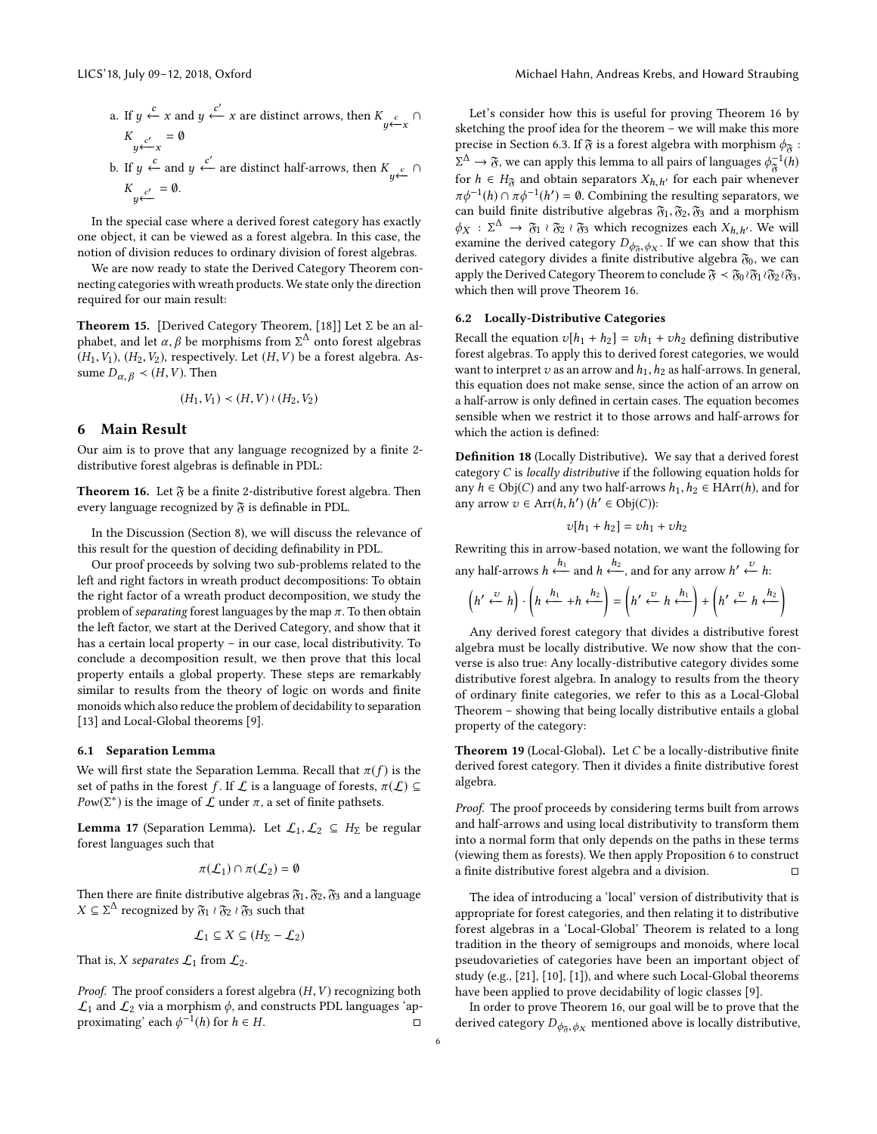- a. If  $y \stackrel{c}{\leftarrow} x$  and  $y \stackrel{c'}{\leftarrow} x$  are distinct arrows, then  $K_{y \stackrel{c}{\leftarrow} x} \cap$ y  $K_{y \leftarrow x} = \emptyset$
- b. If  $y \xleftarrow{c}$  and  $y \xleftarrow{c'}$  are distinct half-arrows, then  $K_{y \xleftarrow{c}} \cap$ y  $K_{y} \xleftarrow{c'} = \emptyset.$

In the special case where a derived forest category has exactly one object, it can be viewed as a forest algebra. In this case, the notion of division reduces to ordinary division of forest algebras.

We are now ready to state the Derived Category Theorem connecting categories with wreath products. We state only the direction required for our main result:

<span id="page-5-4"></span>**Theorem 15.** [Derived Category Theorem, [\[18\]](#page-8-7)] Let  $\Sigma$  be an alphabet, and let  $\alpha, \beta$  be morphisms from  $\Sigma^{\Delta}$  onto forest algebras  $(H, V)$  ( $H_2$ ,  $V_3$ ), reprectively Let  $(H, V)$  be a forest algebra. As  $(H_1, V_1), (H_2, V_2)$ , respectively. Let  $(H, V)$  be a forest algebra. Assume  $D_{\alpha, \beta} \prec (H, V)$ . Then

$$
(H_1, V_1) \prec (H, V) \wr (H_2, V_2)
$$

## <span id="page-5-0"></span>6 Main Result

 $\overline{a}$ 

Our aim is to prove that any language recognized by a finite 2 distributive forest algebras is definable in PDL:

<span id="page-5-2"></span>**Theorem 16.** Let  $\mathfrak{F}$  be a finite 2-distributive forest algebra. Then every language recognized by  $\mathfrak F$  is definable in PDL.

In the Discussion (Section [8\)](#page-7-0), we will discuss the relevance of this result for the question of deciding definability in PDL.

Our proof proceeds by solving two sub-problems related to the left and right factors in wreath product decompositions: To obtain the right factor of a wreath product decomposition, we study the problem of *separating* forest languages by the map  $\pi$ . To then obtain the left factor, we start at the Derived Category, and show that it has a certain local property – in our case, local distributivity. To conclude a decomposition result, we then prove that this local property entails a global property. These steps are remarkably similar to results from the theory of logic on words and finite monoids which also reduce the problem of decidability to separation [\[13\]](#page-8-14) and Local-Global theorems [\[9\]](#page-8-15).

#### 6.1 Separation Lemma

We will first state the Separation Lemma. Recall that  $\pi(f)$  is the set of paths in the forest f. If  $\mathcal L$  is a language of forests,  $\pi(\mathcal L) \subseteq$  $Pow(\Sigma^*)$  is the image of  $\mathcal L$  under  $\pi$ , a set of finite pathsets.

<span id="page-5-5"></span>**Lemma 17** (Separation Lemma). Let  $\mathcal{L}_1, \mathcal{L}_2 \subseteq H_{\Sigma}$  be regular forest languages such that

$$
\pi(\mathcal{L}_1) \cap \pi(\mathcal{L}_2) = \emptyset
$$

Then there are finite distributive algebras  $\mathfrak{F}_1, \mathfrak{F}_2, \mathfrak{F}_3$  and a language  $X \subseteq \Sigma^{\Delta}$  recognized by  $\mathfrak{F}_1 \wr \mathfrak{F}_2 \wr \mathfrak{F}_3$  such that

$$
\mathcal{L}_1 \subseteq X \subseteq (H_{\Sigma} - \mathcal{L}_2)
$$

That is, X separates  $\mathcal{L}_1$  from  $\mathcal{L}_2$ .

Proof. The proof considers a forest algebra  $(H, V)$  recognizing both  $\mathcal{L}_1$  and  $\mathcal{L}_2$  via a morphism  $\phi$ , and constructs PDL languages 'approximating' each  $\phi^{-1}(h)$  for  $h \in H$ . proximating' each  $\phi^{-1}(h)$  for  $h \in H$ . □

Let's consider how this is useful for proving Theorem [16](#page-5-2) by sketching the proof idea for the theorem – we will make this more precise in Section [6.3.](#page-6-0) If  $\mathfrak F$  is a forest algebra with morphism  $\phi_{\mathfrak F}$  :  $\overline{f}$  for  $h \in H_{\delta}$  and obtain separators  $X_{h,h'}$  for each pair whenever  $\pi h^{-1}(h) \circ \pi h^{-1}(h') = 0$ . Combining the resulting constants we  $\Delta \rightarrow \tilde{\sigma}$ , we can apply this lemma to all pairs of languages  $\phi_{\tilde{\sigma}}^{-1}(h)$  $\pi \phi^{-1}(h) \cap \pi \phi^{-1}(h') = \emptyset$ . Combining the resulting separators, we can build finite distributive algebras  $\mathbb{R}$ .  $\mathbb{R}$  and a morphism can build finite distributive algebras  $\mathfrak{F}_1, \mathfrak{F}_2, \mathfrak{F}_3$  and a morphism  $\phi_X : \Sigma^{\Delta} \to \mathfrak{F}_1 \wr \mathfrak{F}_2 \wr \mathfrak{F}_3$  which recognizes each  $X_{h,h'}$ . We will examine the derived category  $D_{h,h'}$ . If we can show that this examine the derived category  $D_{\phi_{\tilde{\sigma}}, \phi_X}$ . If we can show that this derived category divides a finite distributive algebra  $\mathfrak{F}_2$ , we can derived category divides a finite distributive algebra  $\mathfrak{F}_0$ , we can apply the Derived Category Theorem to conclude  $\mathfrak{F} < \mathfrak{F}_0 \wr \mathfrak{F}_1 \wr \mathfrak{F}_2 \wr \mathfrak{F}_3$ , which then will prove Theorem [16.](#page-5-2)

## 6.2 Locally-Distributive Categories

Recall the equation  $v[h_1 + h_2] = vh_1 + vh_2$  defining distributive forest algebras. To apply this to derived forest categories, we would want to interpret  $v$  as an arrow and  $h_1, h_2$  as half-arrows. In general, this equation does not make sense, since the action of an arrow on a half-arrow is only defined in certain cases. The equation becomes sensible when we restrict it to those arrows and half-arrows for which the action is defined:

<span id="page-5-3"></span>Definition 18 (Locally Distributive). We say that a derived forest category C is locally distributive if the following equation holds for any  $h$  ∈ Obj(*C*) and any two half-arrows  $h_1, h_2$  ∈ HArr(*h*), and for any arrow  $v \in \text{Arr}(h, h')$   $(h' \in \text{Obj}(C))$ :

$$
v[h_1 + h_2] = vh_1 + vh_2
$$

Rewriting this in arrow-based notation, we want the following for any half-arrows  $h \xleftarrow{h_1}$  and  $h \xleftarrow{h_2}$ , and for any arrow  $h' \xleftarrow{v} h$ :

$$
\left(h' \stackrel{\upsilon}{\leftarrow} h\right) \cdot \left(h \stackrel{h_1}{\leftarrow} + h \stackrel{h_2}{\leftarrow} \right) = \left(h' \stackrel{\upsilon}{\leftarrow} h \stackrel{h_1}{\leftarrow} \right) + \left(h' \stackrel{\upsilon}{\leftarrow} h \stackrel{h_2}{\leftarrow} \right)\right)
$$

Any derived forest category that divides a distributive forest algebra must be locally distributive. We now show that the converse is also true: Any locally-distributive category divides some distributive forest algebra. In analogy to results from the theory of ordinary finite categories, we refer to this as a Local-Global Theorem – showing that being locally distributive entails a global property of the category:

<span id="page-5-1"></span>Theorem 19 (Local-Global). Let C be a locally-distributive finite derived forest category. Then it divides a finite distributive forest algebra.

Proof. The proof proceeds by considering terms built from arrows and half-arrows and using local distributivity to transform them into a normal form that only depends on the paths in these terms (viewing them as forests). We then apply Proposition [6](#page-2-1) to construct a finite distributive forest algebra and a division.  $□$ 

The idea of introducing a 'local' version of distributivity that is appropriate for forest categories, and then relating it to distributive forest algebras in a 'Local-Global' Theorem is related to a long tradition in the theory of semigroups and monoids, where local pseudovarieties of categories have been an important object of study (e.g., [\[21\]](#page-8-9), [\[10\]](#page-8-16), [\[1\]](#page-8-17)), and where such Local-Global theorems have been applied to prove decidability of logic classes [\[9\]](#page-8-15).

In order to prove Theorem [16,](#page-5-2) our goal will be to prove that the derived category  $D_{\phi_{\overline{x}},\phi_X}$  mentioned above is locally distributive,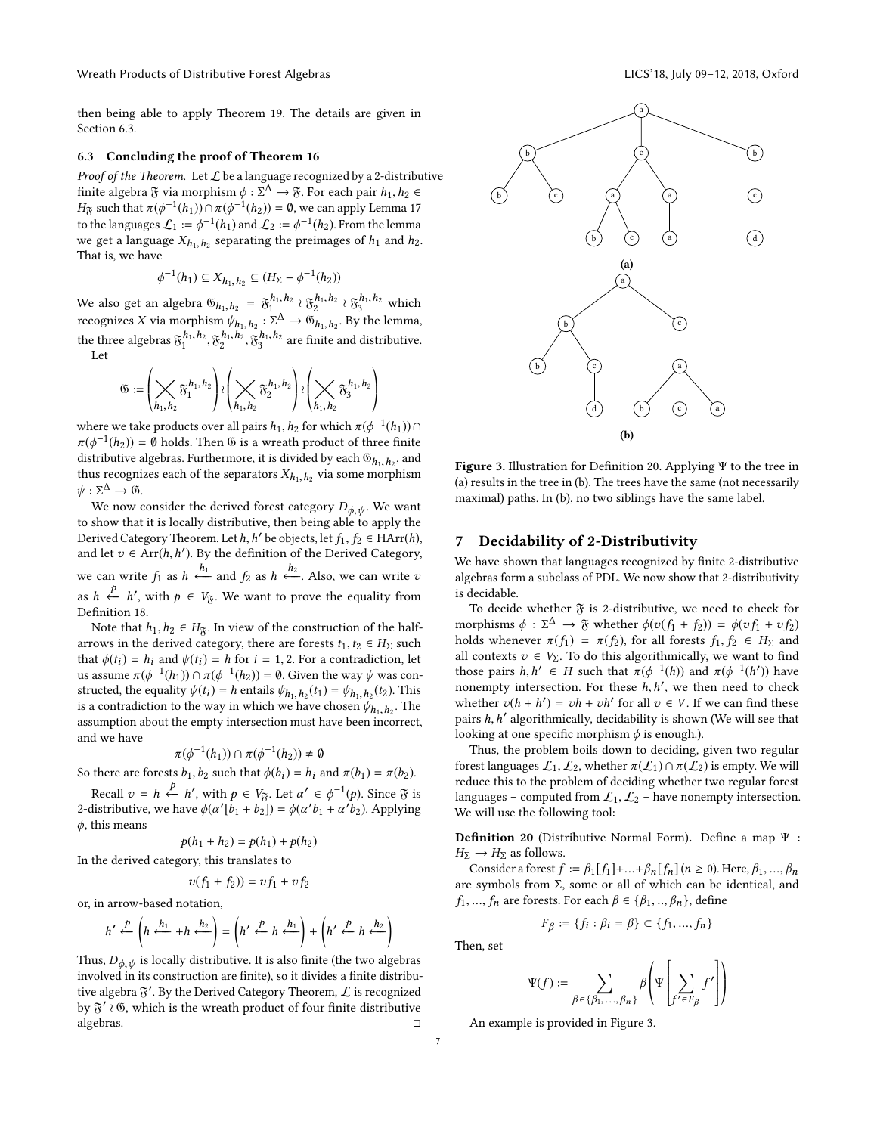Wreath Products of Distributive Forest Algebras LICS' 18, July 09-12, 2018, Oxford

then being able to apply Theorem [19.](#page-5-1) The details are given in Section [6.3.](#page-6-0)

## <span id="page-6-0"></span>6.3 Concluding the proof of Theorem [16](#page-5-2)

Proof of the Theorem. Let  $\mathcal L$  be a language recognized by a 2-distributive finite algebra  $\mathfrak{F}$  via morphism  $\phi : \Sigma^{\Delta} \to \mathfrak{F}$ . For each pair  $h_1, h_2 \in H_{\infty}$  such that  $\pi(\phi^{-1}(h_1)) \cap \pi(\phi^{-1}(h_2)) = \emptyset$ , we can apply Lemma 17  $H_{\delta}$  such that  $\pi(\phi^{-1}(h_1)) \cap \pi(\phi^{-1}(h_2)) = \emptyset$ , we can apply Lemma [17](#page-5-5)<br>to the languages  $f_{\epsilon} := \phi^{-1}(h_1)$  and  $f_{\epsilon} := \phi^{-1}(h_2)$ . From the lamma to the languages  $\mathcal{L}_1 := \phi^{-1}(h_1)$  and  $\mathcal{L}_2 := \phi^{-1}(h_2)$ . From the lemma we get a language  $X_{h_1,h_2}$  separating the preimages of  $h_1$  and  $h_2$ .<br>That is we have That is, we have

$$
\phi^{-1}(h_1) \subseteq X_{h_1,h_2} \subseteq (H_{\Sigma} - \phi^{-1}(h_2))
$$

We also get an algebra  $\mathfrak{G}_{h_1,h_2} = \mathfrak{F}_1^{h_1,h_2} \wr \mathfrak{F}_2^{h_1,h_2} \wr \mathfrak{F}_3^{h_1,h_2}$  which recognizes X via morphism  $\psi_{h_1, h_2}: \Sigma^{\Delta} \to \mathfrak{G}_{h_1, h_2}$ . By the lemma, the three algebras  $\mathfrak{F}^{n_1, n_2}_1$ ,  $\mathfrak{F}^{n_1, n_2}_2$ ,  $\mathfrak{F}^{n_1, n_2}_3$  are finite and distributive. Let

$$
\mathfrak{G}:=\left(\bigtimes_{h_1,h_2} \mathfrak{F}_1^{h_1,h_2}\right) \wr \left(\bigtimes_{h_1,h_2} \mathfrak{F}_2^{h_1,h_2}\right) \wr \left(\bigtimes_{h_1,h_2} \mathfrak{F}_3^{h_1,h_2}\right)
$$

ª ®

where we take products over all pairs  $h_1, h_2$  for which  $\pi(\phi^{-1}(h_1)) \cap$ <br> $\pi(\phi^{-1}(h_2)) = \emptyset$  holds. Then  $\emptyset$  is a wreath product of three finite  $\pi(\phi^{-1}(h_2)) = \hat{\theta}$  holds. Then  $\hat{\theta}$  is a wreath product of three finite<br>distributive algebras. Eurthermore, it is divided by each  $\hat{\theta}$  is a and distributive algebras. Furthermore, it is divided by each  $\mathfrak{G}_{h_1, h_2}$ , and thus recognizes each of the separators  $X_{h_1}$ , via some morphism thus recognizes each of the separators  $X_{h_1,h_2}$  via some morphism  $\psi \circ \nabla^{\Delta} \to \mathcal{C}$  $\psi : \Sigma^{\Delta} \to \mathfrak{G}.$ <br>We now a

We now consider the derived forest category  $D_{\phi, \psi}$ . We want to show that it is locally distributive, then being able to apply the Derived Category Theorem. Let h, h' be objects, let  $f_1, f_2 \in \text{HArr}(h)$ <br>and let  $z \in \text{Arr}(h, h')$ . By the definition of the Derived Category and let  $v \in \text{Arr}(h, h')$ . By the definition of the Derived Category, we can write  $f_1$  as  $h \xleftarrow{n_1}$  and  $f_2$  as  $h \xleftarrow{n_2}$ . Also, we can write v as  $h \xleftarrow{p} h'$ , with  $p \in V_{\mathfrak{F}}$ . We want to prove the equality from Definition 18 Definition [18.](#page-5-3)

Note that  $h_1, h_2 \in H_{\tilde{\sigma}}$ . In view of the construction of the halfarrows in the derived category, there are forests  $t_1, t_2 \in H_{\Sigma}$  such that  $\phi(t_i) = h_i$  and  $\psi(t_i) = h$  for  $i = 1, 2$ . For a contradiction, let us assume  $\pi(\phi^{-1}(h_1)) \cap \pi(\phi^{-1}(h_2)) = \emptyset$ . Given the way  $\psi$  was con-<br>structed, the equality  $\psi(t_1) = h$  antails  $\psi(t_2) = \psi(t_1) - \psi(t_2)$ . This structed, the equality  $\psi(t_i) = h$  entails  $\psi_{h_1, h_2}(t_1) = \psi_{h_1, h_2}(t_2)$ . This is a contradiction to the way in which we have chosen  $\psi_{h_1, h_2}$ . The assumption about the empty intersection must have been incorrect assumption about the empty intersection must have been incorrect, and we have

$$
\pi(\phi^{-1}(h_1)) \cap \pi(\phi^{-1}(h_2)) \neq \emptyset
$$

So there are forests  $b_1, b_2$  such that  $\phi(b_i) = h_i$  and  $\pi(b_1) = \pi(b_2)$ .

Recall  $v = h \stackrel{P}{\leftarrow} h'$ , with  $p \in V_{\mathfrak{F}}$ . Let  $\alpha' \in \phi^{-1}(p)$ . Since  $\mathfrak{F}$  is<br>listributive we have  $\phi(\alpha'|h_1 + h_2|) = \phi(\alpha'h_1 + \alpha'h_2)$  Applying 2-distributive, we have  $\phi(\alpha'[\hat{b}_1 + \hat{b}_2]) = \phi(\alpha' b_1 + \alpha' b_2)$ . Applying  $\phi$ , this means

$$
p(h_1 + h_2) = p(h_1) + p(h_2)
$$

 $p(h_1 + h_2) = p(h_1) + p(h_2)$ <br>In the derived category, this translates to

$$
v(f_1 + f_2)) = v f_1 + v f_2
$$

or, in arrow-based notation,

$$
h' \xleftarrow{p} \left( h \xleftarrow{h_1} + h \xleftarrow{h_2} \right) = \left( h' \xleftarrow{p} h \xleftarrow{h_1} \right) + \left( h' \xleftarrow{p} h \xleftarrow{h_2} \right)
$$

Thus,  $D_{\phi, \psi}$  is locally distributive. It is also finite (the two algebras involved in its construction are finite), so it divides a finite distributive algebra  $\mathfrak{F}'.$  By the Derived Category Theorem,  ${\cal L}$  is recognized by  $\mathfrak{F}'$   $\wr$   $\mathfrak{G}$ , which is the wreath product of four finite distributive algebras.  $\Box$ 

<span id="page-6-2"></span>

Figure 3. Illustration for Definition [20.](#page-6-1) Applying Ψ to the tree in (a) results in the tree in (b). The trees have the same (not necessarily maximal) paths. In (b), no two siblings have the same label.

# 7 Decidability of 2-Distributivity

We have shown that languages recognized by finite 2-distributive algebras form a subclass of PDL. We now show that 2-distributivity is decidable.

To decide whether  $\mathfrak F$  is 2-distributive, we need to check for morphisms  $\phi : \Sigma^{\Delta} \to \mathfrak{F}$  whether  $\phi(v(f_1 + f_2)) = \phi(vf_1 + v f_2)$ <br>holds whenever  $\pi(f_1) = \pi(f_2)$  for all forests  $f_1, f_2 \in H_2$  and holds whenever  $\pi(f_1) = \pi(f_2)$ , for all forests  $f_1, f_2 \in H_\Sigma$  and all contexts  $v \in V_{\Sigma}$ . To do this algorithmically, we want to find those pairs  $h, h' \in H$  such that  $\pi(\phi^{-1}(h))$  and  $\pi(\phi^{-1}(h'))$  have<br>popempty intersection. For these  $h h'$  we then need to check nonempty intersection. For these  $h, h'$ , we then need to check<br>whether  $v(h + h') = vh + vh'$  for all  $v \in V$ . If we can find these whether  $v(h + h') = vh + vh'$  for all  $v \in V$ . If we can find these<br>pairs h h' algorithmically decided ity is shown (We will see that pairs  $h, h'$  algorithmically, decidability is shown (We will see that looking at one specific morphism  $\phi$  is enough) looking at one specific morphism  $\phi$  is enough.).

Thus, the problem boils down to deciding, given two regular forest languages  $\mathcal{L}_1, \mathcal{L}_2$ , whether  $\pi(\mathcal{L}_1) \cap \pi(\mathcal{L}_2)$  is empty. We will reduce this to the problem of deciding whether two regular forest languages – computed from  $\mathcal{L}_1, \mathcal{L}_2$  – have nonempty intersection. We will use the following tool:

<span id="page-6-1"></span>Definition 20 (Distributive Normal Form). Define a map <sup>Ψ</sup> :  $H_{\Sigma} \rightarrow H_{\Sigma}$  as follows.

Consider a forest  $f := \beta_1[f_1] + ... + \beta_n[f_n](n \ge 0)$ . Here,  $\beta_1, ..., \beta_n$ are symbols from  $\Sigma$ , some or all of which can be identical, and  $f_1, ..., f_n$  are forests. For each  $\beta \in {\beta_1, ..., \beta_n}$ , define

$$
F_{\beta} := \{f_i : \beta_i = \beta\} \subset \{f_1, ..., f_n\}
$$

Then, set

$$
\Psi(f) := \sum_{\beta \in \{\beta_1, \dots, \beta_n\}} \beta \left( \Psi \left| \sum_{f' \in F_{\beta}} f' \right| \right)
$$

An example is provided in Figure [3.](#page-6-2)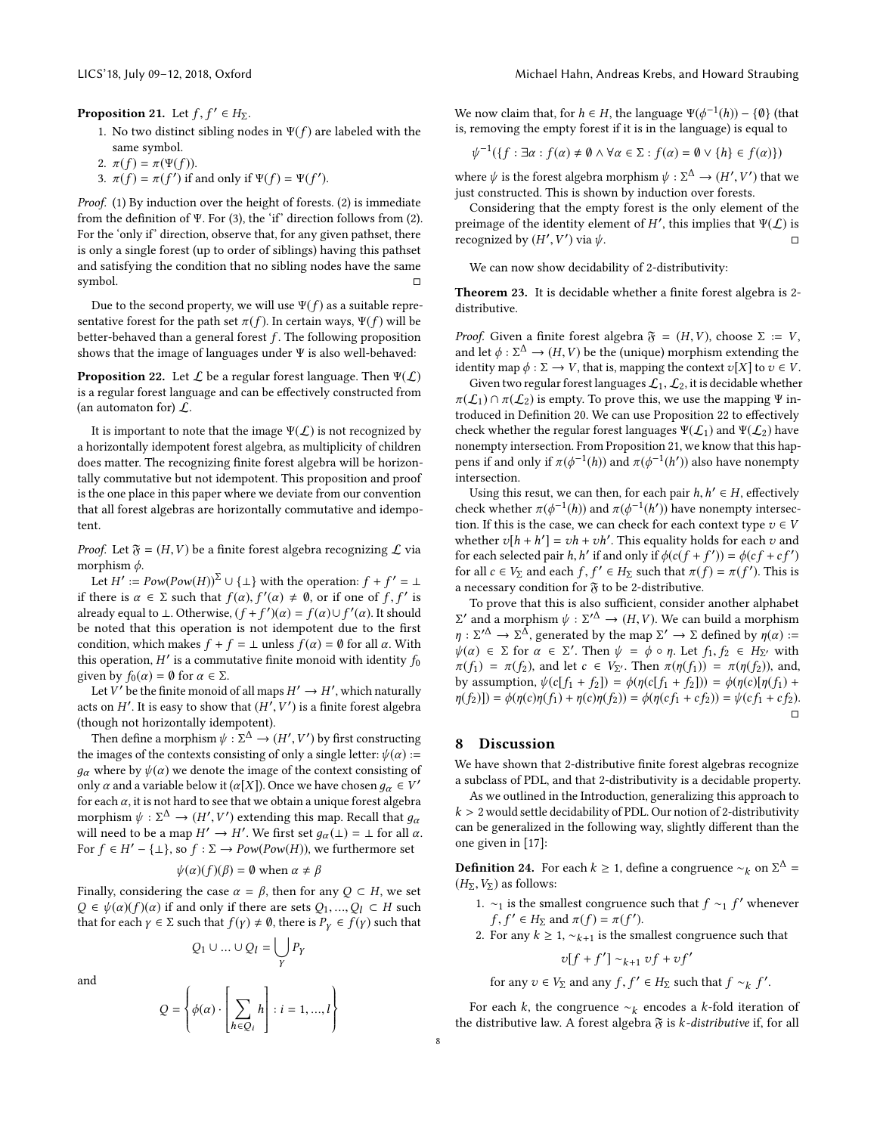<span id="page-7-2"></span>**Proposition 21.** Let  $f, f' \in H_{\Sigma}$ .

- 1. No two distinct sibling nodes in  $\Psi(f)$  are labeled with the same symbol.
- 2.  $\pi(f) = \pi(\Psi(f)).$
- 3.  $\pi(f) = \pi(f')$  if and only if  $\Psi(f) = \Psi(f')$ .

Proof. (1) By induction over the height of forests. (2) is immediate from the definition of Ψ. For (3), the 'if' direction follows from (2). For the 'only if' direction, observe that, for any given pathset, there is only a single forest (up to order of siblings) having this pathset and satisfying the condition that no sibling nodes have the same symbol. □

Due to the second property, we will use  $\Psi(f)$  as a suitable representative forest for the path set  $\pi(f)$ . In certain ways,  $\Psi(f)$  will be better-behaved than a general forest  $f$ . The following proposition shows that the image of languages under Ψ is also well-behaved:

<span id="page-7-1"></span>**Proposition 22.** Let  $\mathcal{L}$  be a regular forest language. Then  $\Psi(\mathcal{L})$ is a regular forest language and can be effectively constructed from (an automaton for)  $\mathcal{L}$ .

It is important to note that the image  $\Psi(\mathcal{L})$  is not recognized by a horizontally idempotent forest algebra, as multiplicity of children does matter. The recognizing finite forest algebra will be horizontally commutative but not idempotent. This proposition and proof is the one place in this paper where we deviate from our convention that all forest algebras are horizontally commutative and idempotent.

*Proof.* Let  $\mathfrak{F} = (H, V)$  be a finite forest algebra recognizing  $\mathcal L$  via morphism  $\phi$ .

Let  $H' := Pow(Pow(H))^{\Sigma} \cup {\bot}$  with the operation:  $f + f' = \bot$ <br>there is  $\alpha \in \Sigma$  such that  $f(\alpha)$ ,  $f'(\alpha) \neq \emptyset$ , or if one of f, f' is if there is  $\alpha \in \Sigma$  such that  $f(\alpha), f'(\alpha) \neq \emptyset$ , or if one of f, f' is<br>already equal to 1. Otherwise  $(f + f')(\alpha) - f(\alpha) + f'(\alpha)$ . It should already equal to ⊥. Otherwise,  $(f + f')(\alpha) = f(\alpha) \cup f'(\alpha)$ . It should<br>be noted that this operation is not idempotent due to the first be noted that this operation is not idempotent due to the first condition, which makes  $f + f = \bot$  unless  $f(\alpha) = \emptyset$  for all  $\alpha$ . With this operation, H' is a commutative finite monoid with identity  $f_0$ <br>given by  $f_2(\alpha) = 0$  for  $\alpha \in \Sigma$ given by  $f_0(\alpha) = \emptyset$  for  $\alpha \in \Sigma$ .

Let V' be the finite monoid of all maps  $H' \to H'$ , which naturally<br>s on  $H'$ . It is easy to show that  $(H'$ ,  $V')$  is a finite forest algebra acts on H'. It is easy to show that  $(H', V')$  is a finite forest algebra (though not horizontally idempotent) ,V (though not horizontally idempotent).

Then define a morphism  $\psi : \Sigma^{\Delta} \to (H', V')$  by first constructing<br>images of the contexts consisting of only a single letter:  $\psi(\alpha) =$ the images of the contexts consisting of only a single letter:  $\psi(\alpha)$  :=  $g_{\alpha}$  where by  $\psi(\alpha)$  we denote the image of the context consisting of only  $\alpha$  and a variable below it  $(\alpha[X])$ . Once we have chosen  $g_{\alpha} \in V'$  for each  $\alpha$ , it is not hard to see that we obtain a unique forest algebra for each  $\alpha$ , it is not hard to see that we obtain a unique forest algebra morphism  $\psi : \Sigma^{\Delta} \to (H', V')$  extending this map. Recall that  $g_{\alpha}$ <br>will need to be a map  $H' \to H'$ . We first set  $g_{\alpha}(1) = 1$  for all  $\alpha$ will need to be a map  $H' \to H'$ . We first set  $g_{\alpha}(\perp) = \perp$  for all  $\alpha$ .<br>For  $f \in H' - \perp \perp$  so  $f : \Sigma \to Pow(Pow(H))$  we furthermore set For *f* ∈ *H'* – { $\perp$ }, so *f* :  $\Sigma$  → *Pow(Pow(H))*, we furthermore set

$$
\psi(\alpha)(f)(\beta) = \emptyset \text{ when } \alpha \neq \beta
$$

Finally, considering the case  $\alpha = \beta$ , then for any  $Q \subset H$ , we set  $Q \in \psi(\alpha)(f)(\alpha)$  if and only if there are sets  $Q_1, ..., Q_l \subset H$  such that for each  $\gamma \in \Sigma$  such that  $f(\gamma) \neq \emptyset$ , there is  $P_{\gamma} \in f(\gamma)$  such that

 $Q_1 \cup ... \cup Q_l = \bigcup_{v}$ 

and

$$
Q = \left\{ \phi(\alpha) \cdot \left[ \sum_{h \in Q_i} h \right] : i = 1, ..., l \right\}
$$

γ Pγ

We now claim that, for  $h \in H$ , the language  $\Psi(\phi^{-1}(h)) - \{\emptyset\}$  (that is removing the empty forget if it is in the language) is equal to is, removing the empty forest if it is in the language) is equal to

$$
\psi^{-1}(\{f : \exists \alpha : f(\alpha) \neq \emptyset \land \forall \alpha \in \Sigma : f(\alpha) = \emptyset \lor \{h\} \in f(\alpha)\})
$$

where  $\psi$  is the forest algebra morphism  $\psi : \Sigma^{\Delta} \to (H', V')$  that we just constructed. This is shown by induction over forests  $\frac{1}{2}$  is the constructed. This is shown by induction over forests.

Considering that the empty forest is the only element of the preimage of the identity element of H', this implies that  $\Psi(\mathcal{L})$  is<br>recognized by  $(H', V')$  via  $\psi$ recognized by  $(H'$  $\ddot{\phantom{1}}$ ′  $\Box$ ) via ψ.

We can now show decidability of 2-distributivity:

Theorem 23. It is decidable whether a finite forest algebra is 2 distributive.

*Proof.* Given a finite forest algebra  $\mathfrak{F} = (H, V)$ , choose  $\Sigma := V$ , and let  $\phi : \Sigma^{\Delta} \to (H, V)$  be the (unique) morphism extending the identity map  $\phi : \Sigma \to V$  that is mapping the context  $v[X]$  to  $v \in V$ identity map  $\phi : \Sigma \to V$ , that is, mapping the context  $v[X]$  to  $v \in V$ .

Given two regular forest languages  $\mathcal{L}_1, \mathcal{L}_2$ , it is decidable whether  $\pi(\mathcal{L}_1) \cap \pi(\mathcal{L}_2)$  is empty. To prove this, we use the mapping  $\Psi$  introduced in Definition [20.](#page-6-1) We can use Proposition [22](#page-7-1) to effectively check whether the regular forest languages  $\Psi(\mathcal{L}_1)$  and  $\Psi(\mathcal{L}_2)$  have nonempty intersection. From Proposition [21,](#page-7-2) we know that this happens if and only if  $\pi(\phi^{-1}(h))$  and  $\pi(\phi^{-1}(h'))$  also have nonempty intersection.

Using this resut, we can then, for each pair  $h, h' \in H$ , effectively check whether  $\pi(\phi^{-1}(h))$  and  $\pi(\phi^{-1}(h'))$  have nonempty intersection. If this is the case, we can check for each context type  $\pi \in V$ . tion. If this is the case, we can check for each context type  $v \in V$ whether  $v[h + h'] = vh + vh'$ . This equality holds for each v and<br>for each selected pair h h' if and only if  $\phi(c(f + f')) = \phi(cf + cf')$ for each selected pair h, h' if and only if  $\phi(c(f + f')) = \phi(cf + cf')$ <br>for all  $c \in V_2$  and each  $f, f' \in H_2$  such that  $\pi(f) = \pi(f')$ . This is for all  $c \in V_{\Sigma}$  and each  $f, f' \in H_{\Sigma}$  such that  $\pi(f) = \pi(f')$ . This is a necessary condition for  $\mathfrak F$  to be 2-distributive.

To prove that this is also sufficient, consider another alphabet  $\pi : \Sigma'^{\Delta} \to \Sigma^{\Delta}$ , generated by the map  $\Sigma' \to \Sigma$  defined by  $\eta(\alpha) := \eta : \Sigma'^{\Delta} \to \Sigma^{\Delta}$ , generated by the map  $\Sigma' \to \Sigma$  defined by  $\eta(\alpha) := \frac{\eta(\alpha)}{2}$  $\alpha'$  and a morphism  $\psi : \Sigma'^{\Delta} \to (H, V)$ . We can build a morphism  $\cdot \Sigma'^{\Delta} \to \Sigma^{\Delta}$  generated by the map  $\Sigma' \to \Sigma$  defined by  $p(\alpha) =$  $\psi(\alpha) \in \Sigma$  for  $\alpha \in \Sigma'$ . Then  $\psi = \phi \circ \eta$ . Let  $f_1, f_2 \in H_{\Sigma'}$  with  $\pi(f_1) = \pi(f_2)$  and let  $c \in V_{\Sigma'}$ . Then  $\pi(\eta(f_1)) = \pi(\eta(f_2))$  and  $\pi(f_1) = \pi(f_2)$ , and let  $c \in V_{\Sigma'}$ . Then  $\pi(\eta(f_1)) = \pi(\eta(f_2))$ , and,<br>by assumption  $\psi(c[f_+ + f_2]) = \phi(\eta(c)[\eta(f_1) + \eta(f_2)]$ by assumption,  $\psi(c[f_1 + f_2]) = \phi(\eta(c[f_1 + f_2])) = \phi(\eta(c)[\eta(f_1) +$  $\eta(f_2)$ ]) =  $\phi(\eta(c)\eta(f_1) + \eta(c)\eta(f_2)) = \phi(\eta(cf_1 + cf_2)) = \psi(cf_1 + cf_2).$ □

## <span id="page-7-0"></span>8 Discussion

We have shown that 2-distributive finite forest algebras recognize a subclass of PDL, and that 2-distributivity is a decidable property.

As we outlined in the Introduction, generalizing this approach to  $k > 2$  would settle decidability of PDL. Our notion of 2-distributivity can be generalized in the following way, slightly different than the one given in [\[17\]](#page-8-1):

**Definition 24.** For each  $k \ge 1$ , define a congruence ∼<sub>k</sub> on  $\Sigma^{\Delta} = (H_{\Sigma} | V_{\Sigma})$  as follows:  $(H_{\Sigma}, V_{\Sigma})$  as follows:

- 1. ∼1 is the smallest congruence such that  $f \sim_1 f'$  whenever  $\tau' \in H_{\Sigma}$  and  $\pi(f) = \pi(f')$ .
- For any  $k \geq 1$ ,  $\sim_{k+1}$  is the smallest congruence such that

$$
v[f+f'] \sim_{k+1} vf + vf'
$$

for any  $v \in V_{\Sigma}$  and any  $f, f' \in H_{\Sigma}$  such that  $f \sim_k f$ ′ .

For each k, the congruence  $\sim_k$  encodes a k-fold iteration of the distributive law. A forest algebra  $\mathfrak F$  is *k*-distributive if, for all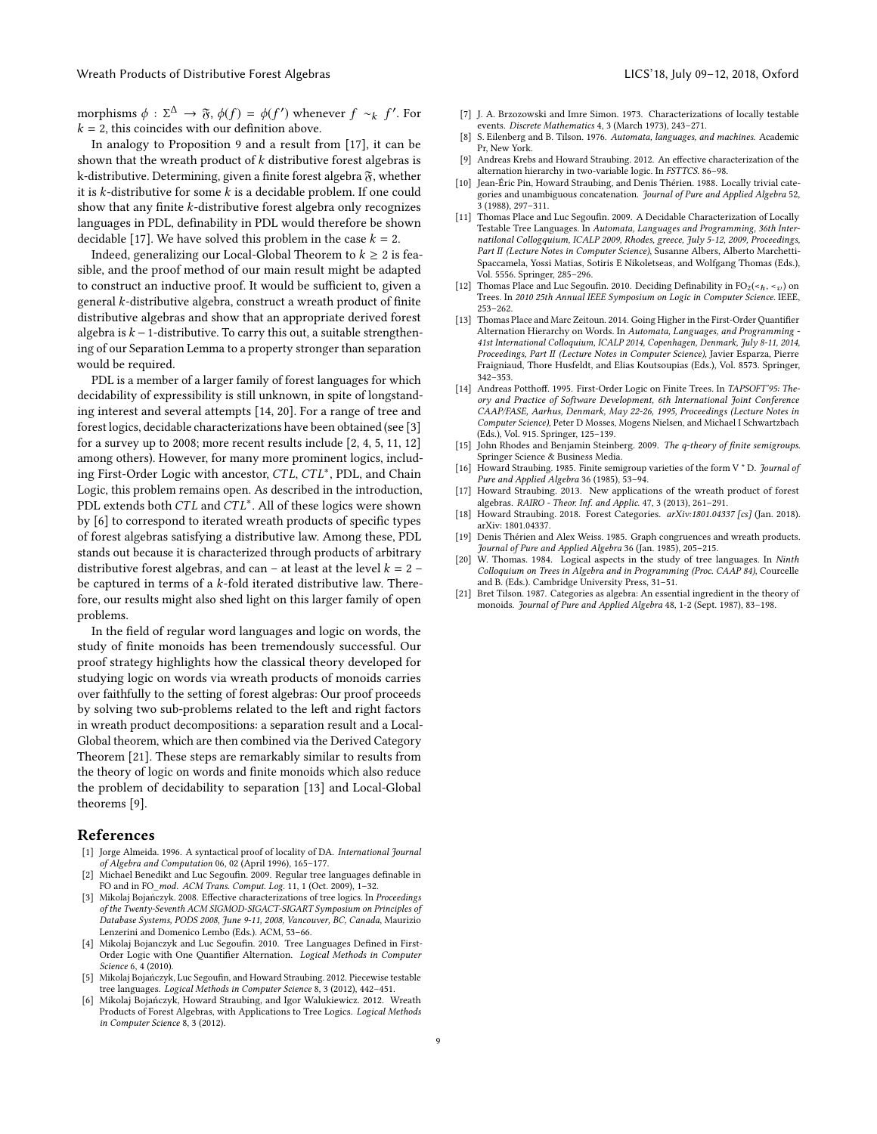morphisms  $\phi : \Sigma^{\Delta} \to \mathfrak{F}, \phi(f) = \phi(f')$  whenever  $f \sim_k f$ <br>k – 2 this coincides with our definition above ′ . For  $k = 2$ , this coincides with our definition above.

In analogy to Proposition [9](#page-2-4) and a result from [\[17\]](#page-8-1), it can be shown that the wreath product of  $k$  distributive forest algebras is k-distributive. Determining, given a finite forest algebra  $\mathfrak{F}$ , whether it is k-distributive for some  $k$  is a decidable problem. If one could show that any finite k-distributive forest algebra only recognizes languages in PDL, definability in PDL would therefore be shown decidable [\[17\]](#page-8-1). We have solved this problem in the case  $k = 2$ .

Indeed, generalizing our Local-Global Theorem to  $k \geq 2$  is feasible, and the proof method of our main result might be adapted to construct an inductive proof. It would be sufficient to, given a general k-distributive algebra, construct a wreath product of finite distributive algebras and show that an appropriate derived forest algebra is  $k - 1$ -distributive. To carry this out, a suitable strengthening of our Separation Lemma to a property stronger than separation would be required.

PDL is a member of a larger family of forest languages for which decidability of expressibility is still unknown, in spite of longstanding interest and several attempts [\[14,](#page-8-2) [20\]](#page-8-18). For a range of tree and forest logics, decidable characterizations have been obtained (see [\[3\]](#page-8-4) for a survey up to 2008; more recent results include [\[2,](#page-8-3) [4,](#page-8-19) [5,](#page-8-5) [11,](#page-8-20) [12\]](#page-8-6) among others). However, for many more prominent logics, including First-Order Logic with ancestor, CTL, CTL<sup>∗</sup>, PDL, and Chain<br>Logic this problem remains open. As described in the introduction Logic, this problem remains open. As described in the introduction, PDL extends both  $CTL$  and  $CTL^*$ . All of these logics were shown<br>by [6] to correspond to iterated wreath products of specific types by [\[6\]](#page-8-0) to correspond to iterated wreath products of specific types of forest algebras satisfying a distributive law. Among these, PDL stands out because it is characterized through products of arbitrary distributive forest algebras, and can – at least at the level  $k = 2$ be captured in terms of a k-fold iterated distributive law. Therefore, our results might also shed light on this larger family of open problems.

In the field of regular word languages and logic on words, the study of finite monoids has been tremendously successful. Our proof strategy highlights how the classical theory developed for studying logic on words via wreath products of monoids carries over faithfully to the setting of forest algebras: Our proof proceeds by solving two sub-problems related to the left and right factors in wreath product decompositions: a separation result and a Local-Global theorem, which are then combined via the Derived Category Theorem [\[21\]](#page-8-9). These steps are remarkably similar to results from the theory of logic on words and finite monoids which also reduce the problem of decidability to separation [\[13\]](#page-8-14) and Local-Global theorems [\[9\]](#page-8-15).

## References

- <span id="page-8-17"></span>[1] Jorge Almeida. 1996. A syntactical proof of locality of DA. International Journal of Algebra and Computation 06, 02 (April 1996), 165–177.
- <span id="page-8-3"></span>[2] Michael Benedikt and Luc Segoufin. 2009. Regular tree languages definable in FO and in FO\_mod. ACM Trans. Comput. Log. 11, 1 (Oct. 2009), 1–32.
- <span id="page-8-4"></span>[3] Mikolaj Bojańczyk. 2008. Effective characterizations of tree logics. In Proceedings of the Twenty-Seventh ACM SIGMOD-SIGACT-SIGART Symposium on Principles of Database Systems, PODS 2008, June 9-11, 2008, Vancouver, BC, Canada, Maurizio Lenzerini and Domenico Lembo (Eds.). ACM, 53–66.
- <span id="page-8-19"></span>[4] Mikolaj Bojanczyk and Luc Segoufin. 2010. Tree Languages Defined in First-Order Logic with One Quantifier Alternation. Logical Methods in Computer Science 6, 4 (2010).
- <span id="page-8-5"></span>[5] Mikolaj Bojańczyk, Luc Segoufin, and Howard Straubing. 2012. Piecewise testable tree languages. Logical Methods in Computer Science 8, 3 (2012), 442–451.
- <span id="page-8-0"></span>[6] Mikolaj Bojańczyk, Howard Straubing, and Igor Walukiewicz. 2012. Wreath Products of Forest Algebras, with Applications to Tree Logics. Logical Methods in Computer Science 8, 3 (2012).
- <span id="page-8-11"></span>[7] J. A. Brzozowski and Imre Simon. 1973. Characterizations of locally testable events. Discrete Mathematics 4, 3 (March 1973), 243–271.
- <span id="page-8-8"></span>[8] S. Eilenberg and B. Tilson. 1976. Automata, languages, and machines. Academic Pr, New York.
- <span id="page-8-15"></span>[9] Andreas Krebs and Howard Straubing. 2012. An effective characterization of the alternation hierarchy in two-variable logic. In FSTTCS. 86–98.
- <span id="page-8-16"></span>[10] Jean-Éric Pin, Howard Straubing, and Denis Thérien. 1988. Locally trivial categories and unambiguous concatenation. Journal of Pure and Applied Algebra 52, 3 (1988), 297–311.
- <span id="page-8-20"></span>[11] Thomas Place and Luc Segoufin. 2009. A Decidable Characterization of Locally Testable Tree Languages. In Automata, Languages and Programming, 36th Internatilonal Collogquium, ICALP 2009, Rhodes, greece, July 5-12, 2009, Proceedings, Part II (Lecture Notes in Computer Science), Susanne Albers, Alberto Marchetti-Spaccamela, Yossi Matias, Sotiris E Nikoletseas, and Wolfgang Thomas (Eds.), Vol. 5556. Springer, 285–296.
- <span id="page-8-6"></span>[12] Thomas Place and Luc Segoufin. 2010. Deciding Definability in  $FO_2(\langle h, \langle v \rangle)$  on Trees. In 2010 25th Annual IEEE Symposium on Logic in Computer Science. IEEE, 253–262.
- <span id="page-8-14"></span>[13] Thomas Place and Marc Zeitoun. 2014. Going Higher in the First-Order Quantifier Alternation Hierarchy on Words. In Automata, Languages, and Programming - 41st International Colloquium, ICALP 2014, Copenhagen, Denmark, July 8-11, 2014, Proceedings, Part II (Lecture Notes in Computer Science), Javier Esparza, Pierre Fraigniaud, Thore Husfeldt, and Elias Koutsoupias (Eds.), Vol. 8573. Springer, 342–353.
- <span id="page-8-2"></span>[14] Andreas Potthoff. 1995. First-Order Logic on Finite Trees. In TAPSOFT'95: Theory and Practice of Software Development, 6th International Joint Conference CAAP/FASE, Aarhus, Denmark, May 22-26, 1995, Proceedings (Lecture Notes in Computer Science), Peter D Mosses, Mogens Nielsen, and Michael I Schwartzbach (Eds.), Vol. 915. Springer, 125–139.
- <span id="page-8-10"></span>[15] John Rhodes and Benjamin Steinberg. 2009. The q-theory of finite semigroups. Springer Science & Business Media.
- <span id="page-8-13"></span>[16] Howard Straubing. 1985. Finite semigroup varieties of the form V \* D. Journal of Pure and Applied Algebra 36 (1985), 53–94.
- <span id="page-8-1"></span>[17] Howard Straubing. 2013. New applications of the wreath product of forest algebras. RAIRO - Theor. Inf. and Applic. 47, 3 (2013), 261–291.
- <span id="page-8-7"></span>[18] Howard Straubing. 2018. Forest Categories. arXiv:1801.04337 [cs] (Jan. 2018). arXiv: 1801.04337.
- <span id="page-8-12"></span>[19] Denis Thérien and Alex Weiss. 1985. Graph congruences and wreath products. Journal of Pure and Applied Algebra 36 (Jan. 1985), 205–215.
- <span id="page-8-18"></span>[20] W. Thomas. 1984. Logical aspects in the study of tree languages. In Ninth Colloquium on Trees in Algebra and in Programming (Proc. CAAP 84), Courcelle and B. (Eds.). Cambridge University Press, 31–51.
- <span id="page-8-9"></span>[21] Bret Tilson. 1987. Categories as algebra: An essential ingredient in the theory of monoids. Journal of Pure and Applied Algebra 48, 1-2 (Sept. 1987), 83–198.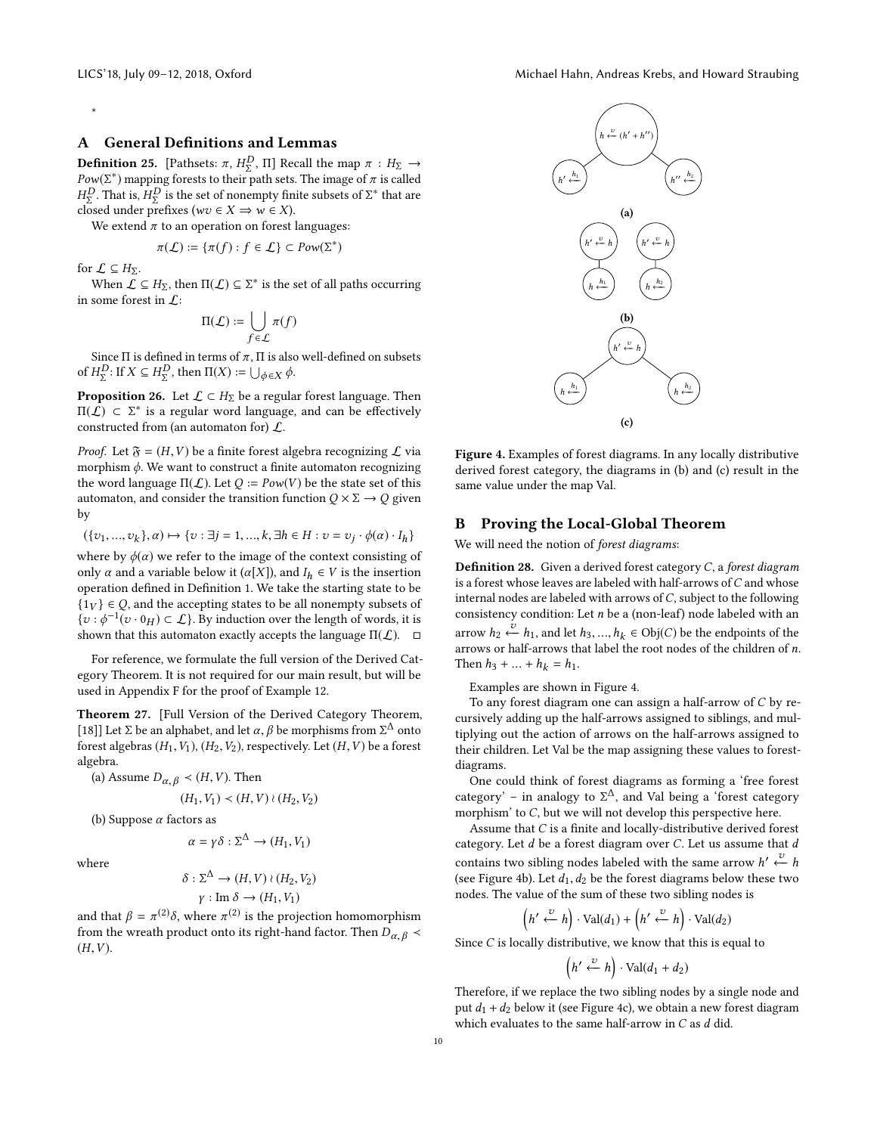## \*

# A General Definitions and Lemmas

<span id="page-9-1"></span>**Definition 25.** [Pathsets:  $\pi$ ,  $H_{\Sigma}^{D}$ ,  $\Pi$ ] Recall the map  $\pi$  :  $H_{\Sigma} \rightarrow$ <br> $P_{\Omega M}(\Sigma^*)$  mapping forests to their path sets. The image of  $\pi$  is called  $Pow(\Sigma^*)$  mapping forests to their path sets. The image of  $\pi$  is called  $HP$ . That is  $HP$  is the set of nonempty finite subsets of  $\Sigma^*$  that are  $\frac{1}{2}$  closed under prefixes ( $wv \in X \Rightarrow w \in X$ ).<br>We extend  $\pi$  to an operation on forest. D. That is,  $H_2^D$  is the set of nonempty finite subsets of  $\Sigma^*$  that are

We extend  $\pi$  to an operation on forest languages:

$$
\pi(\mathcal{L}) \coloneqq \{ \pi(f) : f \in \mathcal{L} \} \subset \text{Pow}(\Sigma^*)
$$

for  $\mathcal{L} \subseteq H_{\Sigma}$ .

When  $\mathcal{L} \subseteq H_{\Sigma}$ , then  $\Pi(\mathcal{L}) \subseteq \Sigma^*$  is the set of all paths occurring some forest in  $\Gamma$ : in some forest in  $\mathcal{L}$ :

$$
\Pi(\mathcal{L}) := \bigcup_{f \in \mathcal{L}} \pi(f)
$$

Since Π is defined in terms of  $\pi$ , Π is also well-defined on subsets<br>H<sup>D</sup>, If  $X \subset H^D$ , then  $\Pi(X) := \Box_{X \cup G}$ of  $H_{\Sigma}^{D}$ : If  $X \subseteq H_{\Sigma}^{D}$ , then  $\Pi(X) := \bigcup_{\phi \in X} \phi$ .

<span id="page-9-2"></span>**Proposition 26.** Let  $\mathcal{L} \subset H_{\Sigma}$  be a regular forest language. Then  $\Pi(f) \subset \Sigma^*$  is a regular word language and can be effectively  $\Pi(\hat{L})$  ⊂ Σ<sup>\*</sup> is a regular word language, and can be effectively constructed from (an automaton for)  $\hat{L}$ constructed from (an automaton for)  $\mathcal{L}$ .

*Proof.* Let  $\mathfrak{F} = (H, V)$  be a finite forest algebra recognizing  $\mathcal L$  via morphism  $\phi$ . We want to construct a finite automaton recognizing the word language  $\Pi(\mathcal{L})$ . Let  $Q := Pow(V)$  be the state set of this automaton, and consider the transition function  $Q \times \Sigma \rightarrow Q$  given by

$$
(\{v_1,...,v_k\},\alpha)\mapsto \{v:\exists j=1,...,k,\exists h\in H:v=v_j\cdot \phi(\alpha)\cdot I_h\}
$$

where by  $\phi(\alpha)$  we refer to the image of the context consisting of only  $\alpha$  and a variable below it  $(\alpha[X])$  and  $L \in V$  is the insertion only  $\alpha$  and a variable below it ( $\alpha$ [X]), and  $I_h \in V$  is the insertion operation defined in Definition [1.](#page-0-1) We take the starting state to be  ${1_V} \in Q$ , and the accepting states to be all nonempty subsets of  $\{v : \phi^{-1}(v \cdot 0_H) \subset \mathcal{L}\}\)$ . By induction over the length of words, it is shown that this automaton exactly accents the language  $\Pi(\mathcal{L})$ shown that this automaton exactly accepts the language  $\Pi(\mathcal{L})$ .  $\square$ 

For reference, we formulate the full version of the Derived Category Theorem. It is not required for our main result, but will be used in Appendix [F](#page-19-0) for the proof of Example [12.](#page-3-4)

<span id="page-9-3"></span>Theorem 27. [Full Version of the Derived Category Theorem, [\[18\]](#page-8-7)] Let  $\Sigma$  be an alphabet, and let  $\alpha$ ,  $\beta$  be morphisms from  $\Sigma^{\Delta}$  onto forest algebras  $(H, V_1), (H_2, V_2)$  respectively Let  $(H, V_1)$  be a forest forest algebras  $(H_1, V_1)$ ,  $(H_2, V_2)$ , respectively. Let  $(H, V)$  be a forest algebra.

(a) Assume  $D_{\alpha, \beta} \prec (H, V)$ . Then

$$
(H_1, V_1) \prec (H, V) \wr (H_2, V_2)
$$

(b) Suppose  $\alpha$  factors as

$$
\alpha = \gamma \delta : \Sigma^{\Delta} \to (H_1, V_1)
$$

where

$$
\delta : \Sigma^{\Delta} \to (H, V) \wr (H_2, V_2)
$$

$$
\gamma : \text{Im } \delta \to (H_1, V_1)
$$

and that  $\beta = \pi^{(2)}\delta$ , where  $\pi^{(2)}$  is the projection homomorphism<br>from the wreath product onto its right-hand factor. Then  $D_{\alpha} \geq 1$ from the wreath product onto its right-hand factor. Then  $D_{\alpha,\beta}$  <  $(H, V)$ .

<span id="page-9-0"></span>

Figure 4. Examples of forest diagrams. In any locally distributive derived forest category, the diagrams in (b) and (c) result in the same value under the map Val.

## B Proving the Local-Global Theorem

We will need the notion of forest diagrams:

**Definition 28.** Given a derived forest category  $C$ , a forest diagram is a forest whose leaves are labeled with half-arrows of  $C$  and whose internal nodes are labeled with arrows of  $C$ , subject to the following consistency condition: Let  $n$  be a (non-leaf) node labeled with an arrow  $h_2 \stackrel{\sim}{\leftarrow} h_1$ , and let  $h_3, ..., h_k \in Obj(C)$  be the endpoints of the entrows or half-arrows that label the root nodes of the children of n arrows or half-arrows that label the root nodes of the children of n. Then  $h_3 + ... + h_k = h_1$ .

Examples are shown in Figure [4.](#page-9-0)

To any forest diagram one can assign a half-arrow of C by recursively adding up the half-arrows assigned to siblings, and multiplying out the action of arrows on the half-arrows assigned to their children. Let Val be the map assigning these values to forestdiagrams.

One could think of forest diagrams as forming a 'free forest category' – in analogy to  $\Sigma^{\Delta}$ , and Val being a 'forest category<br>morphism' to C but we will not develop this perspective here morphism' to C, but we will not develop this perspective here.

Assume that C is a finite and locally-distributive derived forest category. Let  $d$  be a forest diagram over  $C$ . Let us assume that  $d$ contains two sibling nodes labeled with the same arrow h'  $\frac{v}{\epsilon}$  h (see Figure [4b\)](#page-9-0). Let  $d_1, d_2$  be the forest diagrams below these two nodes. The value of the sum of these two sibling nodes is

$$
\left(h' \stackrel{v}{\leftarrow} h\right) \cdot \text{Val}(d_1) + \left(h' \stackrel{v}{\leftarrow} h\right) \cdot \text{Val}(d_2)
$$

Since  $C$  is locally distributive, we know that this is equal to

$$
(h' \stackrel{v}{\leftarrow} h) \cdot \text{Val}(d_1 + d_2)
$$

Therefore, if we replace the two sibling nodes by a single node and put  $d_1 + d_2$  below it (see Figure [4c\)](#page-9-0), we obtain a new forest diagram which evaluates to the same half-arrow in  $C$  as  $d$  did.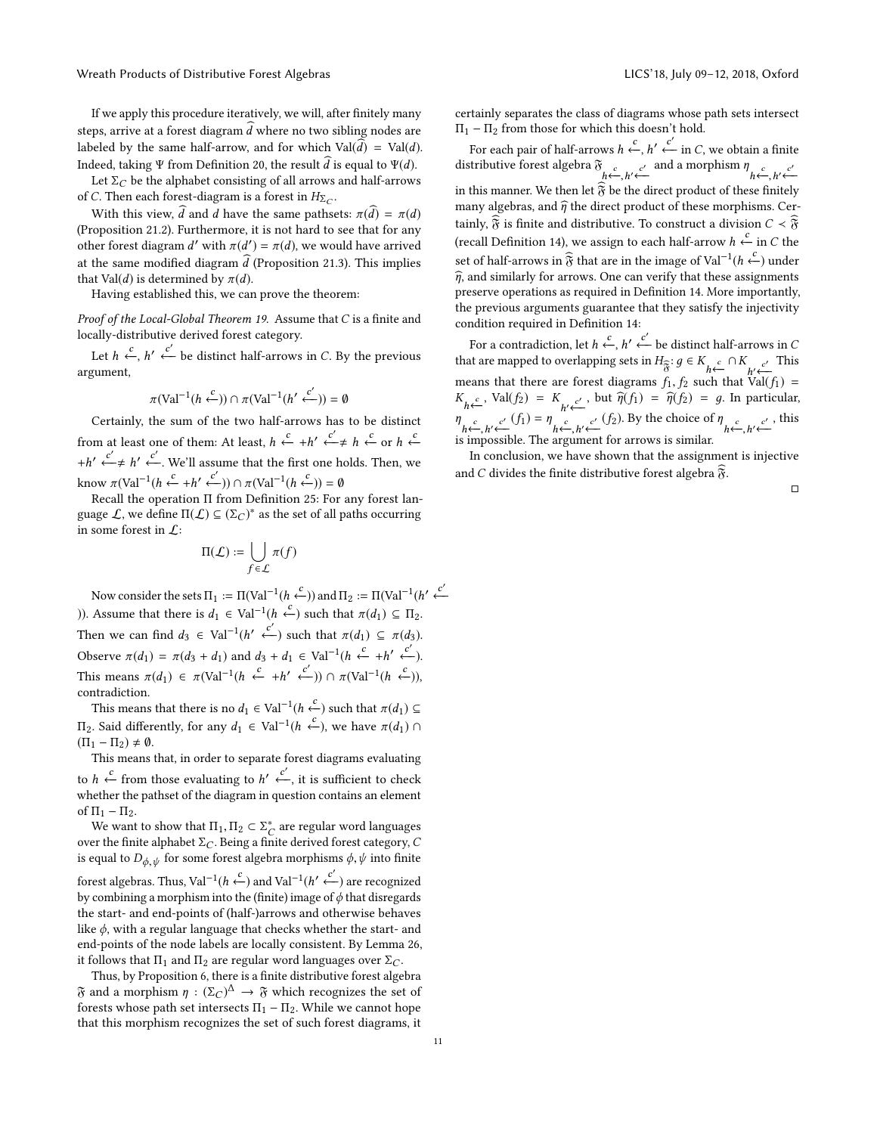Wreath Products of Distributive Forest Algebras LICS' (2018, 2018, Oxford U.C.S) LICS' 18, July 09–12, 2018, Oxford

If we apply this procedure iteratively, we will, after finitely many steps, arrive at a forest diagram  $\hat{d}$  where no two sibling nodes are labeled by the same half-arrow, and for which  $Val(\vec{d}) = Val(\vec{d})$ . Indeed, taking Ψ from Definition [20,](#page-6-1) the result  $\hat{d}$  is equal to Ψ(d).

Let  $\Sigma_C$  be the alphabet consisting of all arrows and half-arrows of C. Then each forest-diagram is a forest in  $H_{\Sigma_C}$ .<br>With this science  $\widehat{A}$  and delays the sense with so

With this view,  $\hat{d}$  and d have the same pathsets:  $\pi(\hat{d}) = \pi(d)$ (Proposition [21.](#page-7-2)2). Furthermore, it is not hard to see that for any other forest diagram d' with  $\pi(d') = \pi(d)$ , we would have arrived<br>of the same modified diagram  $\hat{J}$  (Proposition 21.2). This implies at the same modified diagram  $\hat{d}$  (Proposition [21.](#page-7-2)3). This implies that Val(*d*) is determined by  $\pi(d)$ .

Having established this, we can prove the theorem:

Proof of the Local-Global Theorem [19.](#page-5-1) Assume that C is a finite and locally-distributive derived forest category.

Let  $h \xleftarrow{c} h' \xleftarrow{c'}$  be distinct half-arrows in C. By the previous argument,

$$
\pi(\text{Val}^{-1}(h \stackrel{c}{\leftarrow})) \cap \pi(\text{Val}^{-1}(h' \stackrel{c'}{\leftarrow})) = \emptyset
$$

Certainly, the sum of the two half-arrows has to be distinct from at least one of them: At least,  $h \stackrel{c}{\leftarrow} + h' \stackrel{c'}{\leftarrow} \neq h \stackrel{c}{\leftarrow}$  or  $h \stackrel{c}{\leftarrow}$ +h'  $\stackrel{c'}{\leftarrow}$  ≠ h'  $\stackrel{c'}{\leftarrow}$ . We'll assume that the first one holds. Then, we know  $\pi(\text{Val}^{-1}(h \stackrel{c}{\leftarrow} + h' \stackrel{c'}{\leftarrow})) \cap \pi(\text{Val}^{-1}(h \stackrel{c}{\leftarrow})) = \emptyset$ <br>Recall the operation II from Definition 25: For

Recall the operation Π from Definition [25:](#page-9-1) For any forest language  $\mathcal{L}$ , we define  $\Pi(\mathcal{L}) \subseteq (\Sigma_C)^*$  as the set of all paths occurring in some forest in  $\Gamma$ . in some forest in  $\mathcal{L}$ :

$$
\Pi(\mathcal{L}) := \bigcup_{f \in \mathcal{L}} \pi(f)
$$

Now consider the sets  $\Pi_1 := \Pi(\text{Val}^{-1}(h \stackrel{c}{\leftarrow}))$  and  $\Pi_2 := \Pi(\text{Val}^{-1}(h' \stackrel{c'}{\leftarrow})$ )). Assume that there is  $d_1 \in$  Val<sup>−1</sup>(h ←) such that  $\pi(d_1) \subseteq \Pi_2$ . Then we can find  $d_3 \in \text{Val}^{-1}(h' \stackrel{c'}{\leftarrow})$  such that  $\pi(d_1) \subseteq \pi(d_3)$ . Observe  $\pi(d_1) = \pi(d_3 + d_1)$  and  $d_3 + d_1 \in \text{Val}^{-1}(h \stackrel{c}{\leftarrow} + h' \stackrel{c'}{\leftarrow})$ . This means  $\pi(d_1) \in \pi(\text{Val}^{-1}(h \stackrel{c}{\leftarrow} + h' \stackrel{c'}{\leftarrow})) \cap \pi(\text{Val}^{-1}(h \stackrel{c}{\leftarrow})),$ contradiction.

This means that there is no  $d_1 \in \text{Val}^{-1}(h \overset{c}{\leftarrow})$  such that  $\pi(d_1) \subseteq$  $\Pi_2$ . Said differently, for any  $d_1 \in \text{Val}^{-1}(h \stackrel{c}{\leftarrow})$ , we have  $\pi(d_1) \cap$ <br>(Π, – Π, ) + θ  $(\Pi_1 - \Pi_2) \neq \emptyset$ .

This means that, in order to separate forest diagrams evaluating to  $h \xleftarrow{c}$  from those evaluating to  $h' \xleftarrow{c'}$ , it is sufficient to check<br>whether the patheet of the diagram in question contains an element whether the pathset of the diagram in question contains an element of  $\Pi_1 - \Pi_2$ .

We want to show that  $\Pi_1, \Pi_2 \subset \Sigma_C^*$  are regular word languages<br>er the finite alphabet  $\Sigma_C$ . Being a finite derived forest category C over the finite alphabet  $\Sigma_C$ . Being a finite derived forest category, C<br>is equal to  $D_{\text{tot}}$  for some forest algebra morphisms  $\phi$ ,  $\psi$  into finite is equal to  $D_{\phi, \psi}$  for some forest algebra morphisms  $\phi, \psi$  into finite forest algebras. Thus, Val<sup>−1</sup>( $h \stackrel{c}{\leftarrow}$ ) and Val<sup>−1</sup>( $h' \stackrel{c'}{\leftarrow}$ ) are recognized<br>by combining a morphism into the (finite) image of ¢ that disregards by combining a morphism into the (finite) image of  $\phi$  that disregards the start- and end-points of (half-)arrows and otherwise behaves like  $\phi$ , with a regular language that checks whether the start- and end-points of the node labels are locally consistent. By Lemma [26,](#page-9-2) it follows that  $\Pi_1$  and  $\Pi_2$  are regular word languages over  $\Sigma_C$ .

Thus, by Proposition [6,](#page-2-1) there is a finite distributive forest algebra  $\mathfrak F$  and a morphism  $\eta : (\Sigma_C)^{\Delta} \to \mathfrak F$  which recognizes the set of forests whose path set intersects  $\Pi_L - \Pi_R$ . While we cannot hope forests whose path set intersects  $\Pi_1 - \Pi_2$ . While we cannot hope that this morphism recognizes the set of such forest diagrams, it

certainly separates the class of diagrams whose path sets intersect  $\Pi_1 - \Pi_2$  from those for which this doesn't hold.

For each pair of half-arrows  $h \stackrel{c}{\leftarrow}$ ,  $h' \stackrel{c'}{\leftarrow}$  in C, we obtain a finite<br>tributive forest algebra  $\mathfrak F$ distributive forest algebra  $\mathfrak{F}_{h \leftarrow h' \leftarrow \mathfrak{F}}$  and a morphism  $\eta_{h \leftarrow, h' \leftarrow \mathfrak{F}}$ <br>is this manner We than let  $\mathfrak{F}$  be the direct number of these finitely in this manner. We then let  $\widehat{\mathfrak{F}}$  be the direct product of these finitely many algebras, and  $\hat{\eta}$  the direct product of these morphisms. Certainly,  $\widehat{\mathfrak{F}}$  is finite and distributive. To construct a division  $C < \widehat{\mathfrak{F}}$ (recall Definition [14\)](#page-4-2), we assign to each half-arrow  $h \leftarrow$  in C the set of half-arrows in  $\hat{\mathfrak{F}}$  that are in the image of Val<sup>−1</sup>( $h \xleftarrow{c}$ ) under  $\hat{\eta}$ , and similarly for arrows. One can verify that these assignments preserve operations as required in Definition [14.](#page-4-2) More importantly, the previous arguments guarantee that they satisfy the injectivity condition required in Definition [14:](#page-4-2)

For a contradiction, let  $h \stackrel{c}{\leftarrow}$ ,  $h' \stackrel{c'}{\leftarrow}$  be distinct half-arrows in C that are mapped to overlapping sets in  $H_{\widehat{\sigma}}: g \in K_{h \xleftarrow{c}} \cap K_{h' \xleftarrow{c'}}$  This means that there are forest diagrams  $f_1, f_2$  such that  $\text{Val}(f_1) = K$  .  $\text{Val}(f_2) = \hat{g}(f_1) = g(f_2) = g$  in particular  $K_{h \leftarrow}$ , Val $(f_2) = K_{h' \leftarrow}$ , but  $\hat{\eta}(f_1) = \hat{\eta}(f_2) = g$ . In particular,  $\eta_{h \leftarrow, h' \leftarrow c'}(f_1) = \eta_{h \leftarrow, h' \leftarrow c'}(f_2)$ . By the choice of  $\eta_{h \leftarrow, h' \leftarrow c'}(f_1)$ , this is impossible. The argument for arrows is similar is impossible. The argument for arrows is similar.

In conclusion, we have shown that the assignment is injective and C divides the finite distributive forest algebra  $\tilde{\mathfrak{F}}$ .

□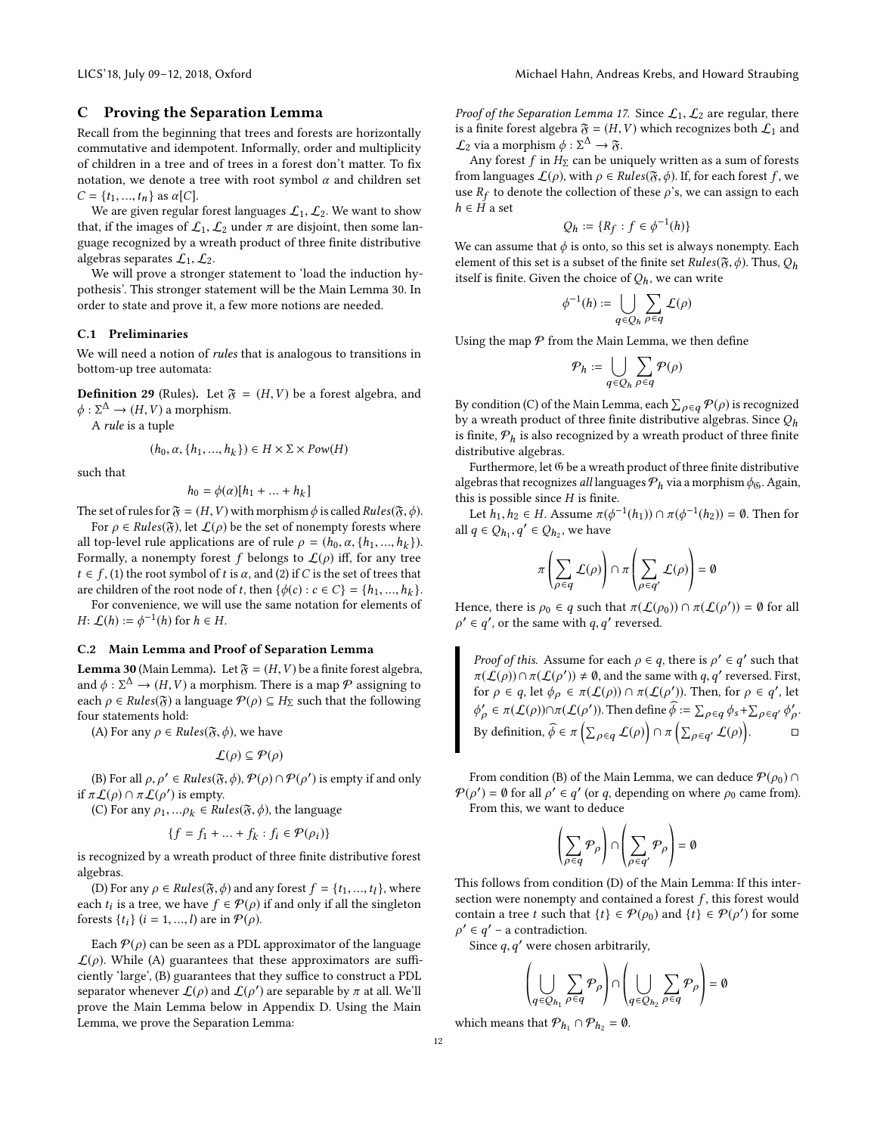## C Proving the Separation Lemma

Recall from the beginning that trees and forests are horizontally commutative and idempotent. Informally, order and multiplicity of children in a tree and of trees in a forest don't matter. To fix notation, we denote a tree with root symbol  $\alpha$  and children set  $C = \{t_1, ..., t_n\}$  as  $\alpha[C]$ .

We are given regular forest languages  $\mathcal{L}_1, \mathcal{L}_2$ . We want to show that, if the images of  $\mathcal{L}_1, \mathcal{L}_2$  under  $\pi$  are disjoint, then some language recognized by a wreath product of three finite distributive algebras separates  $\mathcal{L}_1, \mathcal{L}_2$ .

We will prove a stronger statement to 'load the induction hypothesis'. This stronger statement will be the Main Lemma [30.](#page-11-0) In order to state and prove it, a few more notions are needed.

## C.1 Preliminaries

We will need a notion of rules that is analogous to transitions in bottom-up tree automata:

<span id="page-11-1"></span>**Definition 29** (Rules). Let  $\mathfrak{F} = (H, V)$  be a forest algebra, and  $\phi : \Sigma^{\Delta} \to (H, V)$  a morphism.<br>A rule is a tuple

A rule is a tuple

$$
(h_0, \alpha, \{h_1, ..., h_k\}) \in H \times \Sigma \times Pow(H)
$$

such that

$$
h_0 = \phi(\alpha)[h_1 + \dots + h_k]
$$

The set of rules for  $\mathfrak{F} = (H, V)$  with morphism  $\phi$  is called Rules( $\mathfrak{F}, \phi$ ).<br>For  $\alpha \in \text{Rules}(\mathfrak{F})$  let  $f(\alpha)$  be the set of nonempty forests where

For  $\rho \in Rules(\mathfrak{F})$ , let  $\mathcal{L}(\rho)$  be the set of nonempty forests where all top-level rule applications are of rule  $\rho = (h_0, \alpha, \{h_1, ..., h_k\})$ .<br>Formally a nonempty forest f belongs to  $f(\alpha)$  iff for any tree. Formally, a nonempty forest f belongs to  $\mathcal{L}(\rho)$  iff, for any tree  $t \in f$ , (1) the root symbol of t is  $\alpha$ , and (2) if C is the set of trees that are children of the root node of t, then  $\{\phi(c) : c \in C\} = \{h_1, ..., h_k\}$ .<br>For convenience we will use the same notation for elements of

For convenience, we will use the same notation for elements of  $H: \mathcal{L}(h) := \phi^{-1}(h)$  for  $h \in H$ .

## C.2 Main Lemma and Proof of Separation Lemma

<span id="page-11-0"></span>**Lemma 30** (Main Lemma). Let  $\mathfrak{F} = (H, V)$  be a finite forest algebra, and  $\phi : \Sigma^{\Delta} \to (H, V)$  a morphism. There is a map  $\mathcal P$  assigning to each  $\phi \in Rule(\mathcal X)$  a language  $\mathcal P(\phi) \subset H_{\Sigma}$  such that the following each  $\rho \in Rules(\mathfrak{F})$  a language  $\mathcal{P}(\rho) \subseteq H_{\Sigma}$  such that the following four statements hold:

(A) For any  $\rho \in Rules(\mathfrak{F}, \phi)$ , we have

$$
\mathcal{L}(\rho) \subseteq \mathcal{P}(\rho)
$$

(B) For all  $\rho, \rho' \in Rules(\mathfrak{F}, \phi), \mathcal{P}(\rho) \cap \mathcal{P}(\rho')$  is empty if and only if  $\pi L(\rho) \cap \pi L(\rho')$  is empty.<br>(C) For any  $\rho_L = \rho_L \in Ru$ 

(C) For any  $\rho_1, \ldots \rho_k \in Rules(\mathfrak{F}, \phi)$ , the language

$$
\{f = f_1 + \dots + f_k : f_i \in \mathcal{P}(\rho_i)\}
$$

is recognized by a wreath product of three finite distributive forest algebras.

(D) For any  $\rho \in Rules(\mathfrak{F}, \phi)$  and any forest  $f = \{t_1, ..., t_l\}$ , where<br>th t, is a tree we have  $f \in \mathcal{P}(\alpha)$  if and only if all the singleton each  $t_i$  is a tree, we have  $f \in \mathcal{P}(\rho)$  if and only if all the singleton forests  $\{t_1\}$   $(i-1)$  are in  $\mathcal{P}(\rho)$ forests  $\{t_i\}$  ( $i = 1, ..., l$ ) are in  $\mathcal{P}(\rho)$ .

Each  $P(\rho)$  can be seen as a PDL approximator of the language  $\mathcal{L}(\rho)$ . While (A) guarantees that these approximators are sufficiently 'large', (B) guarantees that they suffice to construct a PDL separator whenever  $\mathcal{L}(\rho)$  and  $\mathcal{L}(\rho')$  are separable by  $\pi$  at all. We'll<br>prove the Main Lemma below in Appendix D. Using the Main prove the Main Lemma below in Appendix [D.](#page-12-0) Using the Main Lemma, we prove the Separation Lemma:

Proof of the Separation Lemma [17.](#page-5-5) Since  $\mathcal{L}_1, \mathcal{L}_2$  are regular, there is a finite forest algebra  $\mathfrak{F} = (H, V)$  which recognizes both  $\mathcal{L}_1$  and  $\mathcal{L}_2$  via a morphism  $\phi : \Sigma^{\Delta} \to \mathfrak{F}$ .<br>Any forest f in H<sub>p</sub> can be un

Any forest f in  $H_{\Sigma}$  can be uniquely written as a sum of forests from languages  $\mathcal{L}(\rho)$ , with  $\rho \in Rules(\mathfrak{F},\phi)$ . If, for each forest f, we use  $R_f$  to denote the collection of these  $\rho$ 's, we can assign to each  $h \in H$  a set  $h \in \overline{H}$  a set

$$
Q_h := \{ R_f : f \in \phi^{-1}(h) \}
$$

We can assume that  $\phi$  is onto, so this set is always nonempty. Each element of this set is a subset of the finite set  $Rule(S, \phi)$ . Thus  $O$ . element of this set is a subset of the finite set  $Rules(\mathfrak{F}, \phi)$ . Thus,  $Q_h$ itself is finite. Given the choice of  $Q_h$ , we can write

$$
\phi^{-1}(h) := \bigcup_{q \in Q_h} \sum_{\rho \in q} \mathcal{L}(\rho)
$$

Using the map  $P$  from the Main Lemma, we then define

$$
\mathcal{P}_h := \bigcup_{q \in Q_h} \sum_{\rho \in q} \mathcal{P}(\rho)
$$

By condition (C) of the Main Lemma, each  $\sum_{\rho \in q} \mathcal{P}(\rho)$  is recognized<br>by a wreath product of three finite distributive algebras. Since  $\Omega$ by a wreath product of three finite distributive algebras. Since  $Q_h$ is finite,  $P_h$  is also recognized by a wreath product of three finite distributive algebras.

Furthermore, let  $6$  be a wreath product of three finite distributive algebras that recognizes all languages  $P_h$  via a morphism  $\phi_{0}$ . Again, this is possible since  $H$  is finite.

Let  $h_1, h_2 \in H$ . Assume  $\pi(\phi^{-1}(h_1)) \cap \pi(\phi^{-1}(h_2)) = \emptyset$ . Then for all  $q \in Q_{h_1}, q' \in Q_{h_2}$ , we have

$$
\pi\left(\sum_{\rho\in q} \mathcal{L}(\rho)\right) \cap \pi\left(\sum_{\rho\in q'} \mathcal{L}(\rho)\right) = \emptyset
$$

Hence, there is  $\rho_0 \in q$  such that  $\pi(\mathcal{L}(\rho_0)) \cap \pi(\mathcal{L}(\rho')) = \emptyset$  for all  $\rho' \in \rho'$  or the same with  $\rho, \rho'$  reversed  $\rho' \in q'$ , or the same with  $q, q'$  reversed.

Proof of this. Assume for each  $\rho \in q$ , there is  $\rho' \in q'$  such that  $\pi(f(\rho)) \cap \pi(f(\rho')) \neq \emptyset$  and the same with  $q, q'$  reversed First  $\pi(\mathcal{L}(\rho)) \cap \pi(\mathcal{L}(\rho')) \neq \emptyset$ , and the same with q, q' reversed. First, for  $\rho \in q$ , let  $\phi_{\rho} \in \pi(\mathcal{L}(\rho)) \cap \pi(\mathcal{L}(\rho'))$ . Then, for  $\rho \in q'$ , let  $\mathcal{L}(\rho) \cap \pi(\mathcal{L}(\rho'))$ .  $\overline{a}$  $\gamma' \in \pi(\mathcal{L}(\rho)) \cap \pi(\mathcal{L}(\rho'))$ . Then define  $\widehat{\phi} := \sum_{\rho \in q} \phi_s + \sum_{\rho \in q'} \phi'_{\rho}$ ρ . By definition,  $\widehat{\phi} \in \pi \left( \sum_{\rho \in q} \mathcal{L}(\rho) \right) \cap \pi \left( \sum_{\rho \in q'} \mathcal{L}(\rho) \right)$ .

From condition (B) of the Main Lemma, we can deduce  $\mathcal{P}(\rho_0) \cap$  $P(\rho') = \emptyset$  for all  $\rho' \in q'$  (or q, depending on where  $\rho_0$  came from).<br>From this we want to deduce From this, we want to deduce

$$
\left(\sum_{\rho \in q} \mathcal{P}_{\rho}\right) \cap \left(\sum_{\rho \in q'} \mathcal{P}_{\rho}\right) = \emptyset
$$

This follows from condition (D) of the Main Lemma: If this intersection were nonempty and contained a forest  $f$ , this forest would contain a tree t such that  $\{t\} \in \mathcal{P}(\rho_0)$  and  $\{t\} \in \mathcal{P}(\rho')$  for some  $\rho' \in \rho' - 2$  contradiction  $\rho' \in q'$  – a contradiction.<br>Since a a' were chosen

Since  $q, q'$  were chosen arbitrarily,

$$
\left(\bigcup_{q\in Q_{h_1}}\sum_{\rho\in q}\mathcal{P}_{\rho}\right)\cap\left(\bigcup_{q\in Q_{h_2}}\sum_{\rho\in q}\mathcal{P}_{\rho}\right)=\emptyset
$$

 $\Delta$  and  $\Delta$ 

which means that  $P_{h_1} \cap P_{h_2} = \emptyset$ .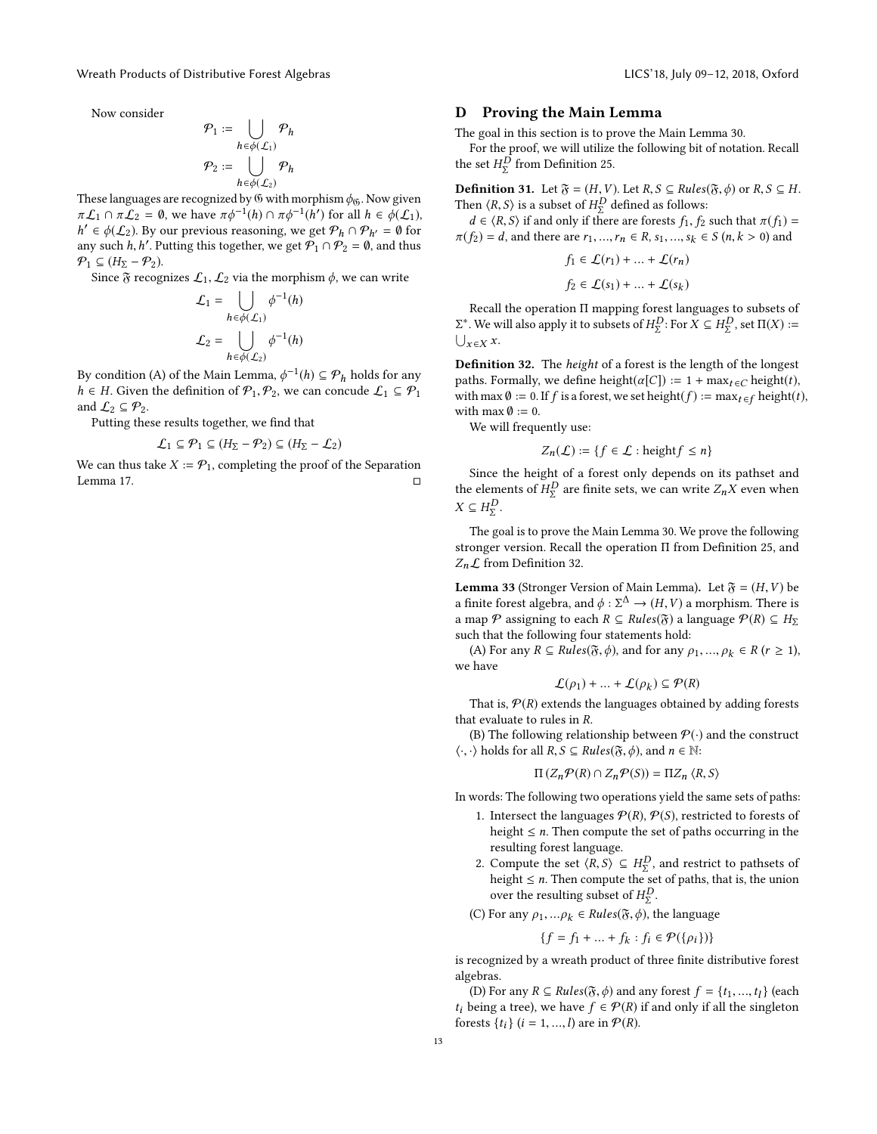Now consider

$$
\mathcal{P}_1 := \bigcup_{h \in \phi(\mathcal{L}_1)} \mathcal{P}_h
$$

$$
\mathcal{P}_2 := \bigcup_{h \in \phi(\mathcal{L}_2)} \mathcal{P}_h
$$

These languages are recognized by  $\ddot{\theta}$  with morphism  $\phi_0$ . Now given  $\pi f \circ \theta \pi f_0 = \theta$ , we have  $\pi \phi^{-1}(h) \circ \pi \phi^{-1}(h')$  for all  $h \in \phi(f)$ .  $\pi L_1 \cap \pi L_2 = \emptyset$ , we have  $\pi \phi^{-1}(h) \cap \pi \phi^{-1}(h')$  for all  $h \in \phi(L_1)$ ,<br> $h' \in \phi(L_2)$ . By our previous reasoning, we get  $\mathcal{P}_1 \cap \mathcal{P}_{11} = \emptyset$  for any such h, h'. Putting this together, we get  $P_1 \cap P_2 = 0$ , and thus<br> $\Phi$ ,  $C(H_2 - \Phi_2)$  $\mathcal{O}' \in \phi(\mathcal{L}_2)$ . By our previous reasoning, we get  $\mathcal{P}_h \cap \mathcal{P}_{h'} = \emptyset$  for the such h h' Putting this together we get  $\mathcal{P}_h \cap \mathcal{P}_\infty = \emptyset$  and thus  $\mathcal{P}_1 \subseteq (H_{\Sigma} - \mathcal{P}_2).$ 

Since  $\mathfrak F$  recognizes  $\mathcal L_1, \mathcal L_2$  via the morphism  $\phi$ , we can write

$$
\mathcal{L}_1 = \bigcup_{h \in \phi(\mathcal{L}_1)} \phi^{-1}(h)
$$

$$
\mathcal{L}_2 = \bigcup_{h \in \phi(\mathcal{L}_2)} \phi^{-1}(h)
$$

By condition (A) of the Main Lemma,  $\phi^{-1}(h) \subseteq \mathcal{P}_h$  holds for any  $h \in H$  Given the definition of  $\mathcal{P}_h$ ,  $\mathcal{P}_h$  we can concude  $f \in \mathcal{P}_h$ .  $h \in H$ . Given the definition of  $\mathcal{P}_1, \mathcal{P}_2$ , we can concude  $\mathcal{L}_1 \subseteq \mathcal{P}_1$ and  $\mathcal{L}_2 \subseteq \mathcal{P}_2$ .

Putting these results together, we find that

$$
\mathcal{L}_1 \subseteq \mathcal{P}_1 \subseteq (H_{\Sigma} - \mathcal{P}_2) \subseteq (H_{\Sigma} - \mathcal{L}_2)
$$

We can thus take  $X := \mathcal{P}_1$ , completing the proof of the Separation<br>Lemma 17 Lemma [17.](#page-5-5)

#### <span id="page-12-0"></span>D Proving the Main Lemma

The goal in this section is to prove the Main Lemma [30.](#page-11-0)

For the proof, we will utilize the following bit of notation. Recall the set  $H_{\Sigma}^{D}$  from Definition [25.](#page-9-1)

**Definition 31.** Let  $\mathfrak{F} = (H, V)$ . Let  $R, S \subseteq Rules(\mathfrak{F}, \phi)$  or  $R, S \subseteq H$ .<br>Then  $\angle R, S$  is a subset of  $H^D$  defined as follows: Then  $\langle R, S \rangle$  is a subset of  $H_{\Sigma}^{D}$  defined as follows:<br> $d \in \langle R, S \rangle$  if and only if there are forests f. for

 $d \in \langle R, S \rangle$  if and only if there are forests  $f_1, f_2$  such that  $\pi(f_1) =$ <br> $f_2) = d$  and there are  $r_i = r_i \in R$  such  $s_i \in S(n, k > 0)$  and  $\pi(f_2) = d$ , and there are  $r_1, ..., r_n \in R$ ,  $s_1, ..., s_k \in S$   $(n, k > 0)$  and

$$
f_1 \in \mathcal{L}(r_1) + \dots + \mathcal{L}(r_n)
$$

$$
f_2 \in \mathcal{L}(s_1) + \dots + \mathcal{L}(s_k)
$$

Recall the operation Π mapping forest languages to subsets of  $\bigcup_{x \in X} x$ .  $Σ^*$ . We will also apply it to subsets of  $H_Σ^D$ : For  $X ⊆ H_Σ^D$ , set  $\Pi(X) := \bigcup_{x ∈ X} x$ .

<span id="page-12-1"></span>Definition 32. The height of a forest is the length of the longest paths. Formally, we define height( $\alpha[C]$ ) := 1 + max $_{t \in C}$  height(t), with max  $\emptyset := 0$ . If f is a forest, we set height(f) := max $_{t \in f}$  height(t), with max  $\emptyset := 0$ .

We will frequently use:

$$
Z_n(\mathcal{L}) := \{ f \in \mathcal{L} : \text{height} f \le n \}
$$

Since the height of a forest only depends on its pathset and the elements of  $H_{\Sigma}^{D}$  are finite sets, we can write  $Z_nX$  even when  $X \subset H^{D}$  $X \subseteq H_{\Sigma}^{D}$ .

The goal is to prove the Main Lemma [30.](#page-11-0) We prove the following stronger version. Recall the operation Π from Definition [25,](#page-9-1) and  $Z_n\mathcal{L}$  from Definition [32.](#page-12-1)

<span id="page-12-2"></span>**Lemma 33** (Stronger Version of Main Lemma). Let  $\mathfrak{F} = (H, V)$  be a finite forest algebra, and  $\phi : \Sigma^{\Delta} \to (H, V)$  a morphism. There is<br>a map  $\mathcal{P}$  assigning to each  $R \subset \text{Pulge}(\mathfrak{F})$  a language  $\mathcal{P}(R) \subset H_0$ a map P assigning to each  $R \subseteq Rules(\mathfrak{F})$  a language  $P(R) \subseteq H_{\Sigma}$ such that the following four statements hold:

(A) For any  $R \subseteq Rules(\mathfrak{F}, \phi)$ , and for any  $\rho_1, ..., \rho_k \in R$  ( $r \ge 1$ ), we have

$$
\mathcal{L}(\rho_1) + \dots + \mathcal{L}(\rho_k) \subseteq \mathcal{P}(R)
$$

That is,  $P(R)$  extends the languages obtained by adding forests<br>the waluate to rules in  $R$ that evaluate to rules in R.

(B) The following relationship between  $\mathcal{P}(\cdot)$  and the construct  $\langle \cdot, \cdot \rangle$  holds for all  $R, S \subseteq Rules(\mathfrak{F}, \phi)$ , and  $n \in \mathbb{N}$ :

$$
\Pi\left(Z_n\mathcal{P}(R)\cap Z_n\mathcal{P}(S)\right)=\Pi Z_n\left\langle R,S\right\rangle
$$

In words: The following two operations yield the same sets of paths:

- 1. Intersect the languages  $P(R)$ ,  $P(S)$ , restricted to forests of height  $\leq n$ . Then compute the set of paths occurring in the resulting forest language.
- 2. Compute the set  $\langle R, S \rangle \subseteq H_2^D$ , and restrict to pathsets of height  $\leq n$ . Then compute the set of paths, that is, the union height  $\leq n$ . Then compute the set of paths, that is, the union over the resulting subset of  $HD$ over the resulting subset of  $H_{\Sigma}^{D}$ .

(C) For any  $\rho_1, \ldots \rho_k \in Rules(\mathfrak{F}, \phi)$ , the language

$$
\{f = f_1 + \dots + f_k : f_i \in \mathcal{P}(\{\rho_i\})\}
$$

is recognized by a wreath product of three finite distributive forest algebras.

(D) For any  $R \subseteq Rules(\mathfrak{F}, \phi)$  and any forest  $f = \{t_1, ..., t_l\}$  (each peing a tree), we have  $f \in \mathcal{P}(R)$  if and only if all the singleton  $t_i$  being a tree), we have  $f \in \mathcal{P}(R)$  if and only if all the singleton forests  $\{t_i\}$   $(i = 1, ..., l)$  are in  $\mathcal{P}(R)$ .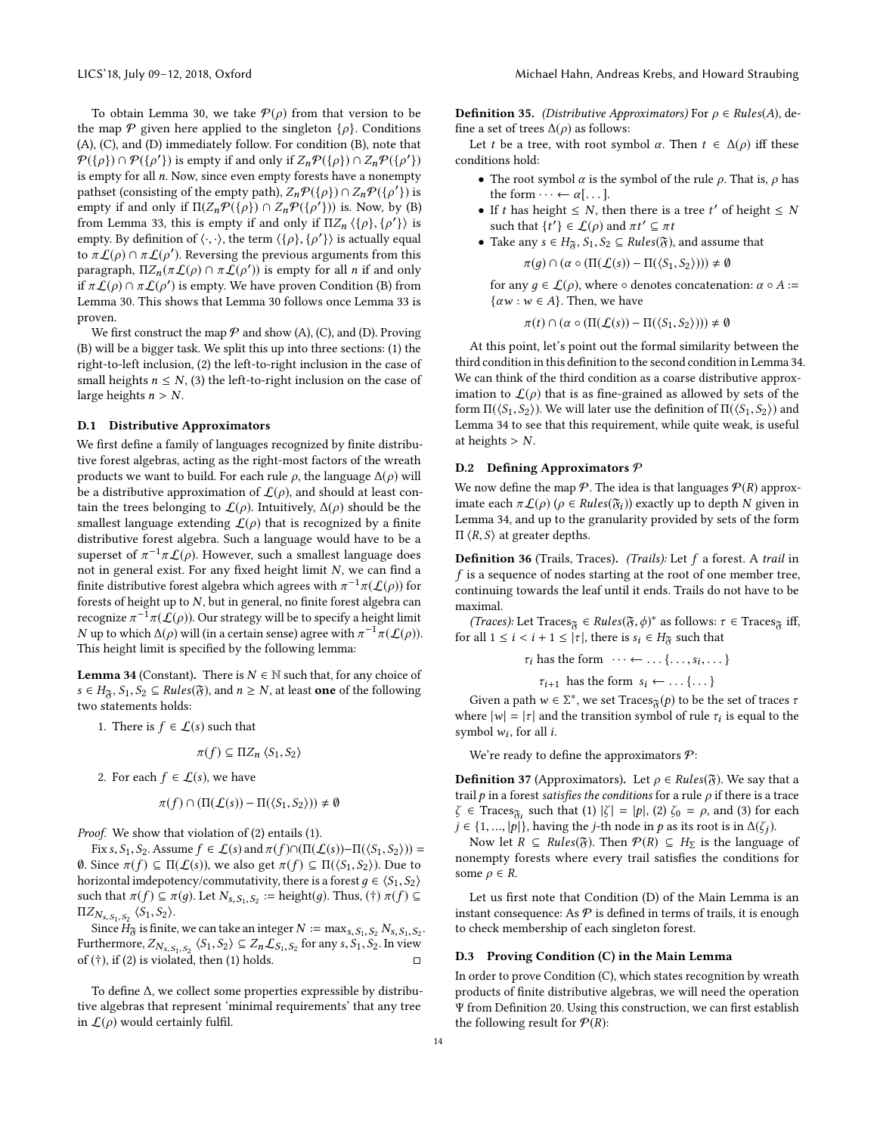To obtain Lemma [30,](#page-11-0) we take  $P(\rho)$  from that version to be the map  $\mathcal P$  given here applied to the singleton  $\{\rho\}$ . Conditions (A), (C), and (D) immediately follow. For condition (B), note that  $P({\rho}) \cap P({\rho'})$  is empty if and only if  $Z_n P({\rho}) \cap Z_n P({\rho'})$ <br>is empty for all n Now since even empty forests have a nonempty is empty for all n. Now, since even empty forests have a nonempty pathset (consisting of the empty path),  $Z_n \mathcal{P}(\{\rho\}) \cap Z_n \mathcal{P}(\{\rho'\})$  is<br>empty if and only if  $\Pi(Z, \mathcal{P}(\{\rho\})) \cap Z, \mathcal{P}(\{\rho'\})$  is Now by (R) empty if and only if  $\Pi(Z_n P(\{\rho\}) \cap Z_n P(\{\rho'\}))$  is. Now, by (B)<br>from Lamma 33, this is ampty if and only if  $\Pi Z$ ,  $\{\rho A \}$ ,  $\{\rho' \}$ , is from Lemma [33,](#page-12-2) this is empty if and only if  $\Pi Z_n \langle \{\rho\}, \{\rho'\}\rangle$  is empty By definition of  $\langle \cdot, \cdot \rangle$  the term  $\langle \{\rho\}, \{\rho'\}\rangle$  is actually equal empty. By definition of  $\langle \cdot, \cdot \rangle$ , the term  $\langle \{\rho\}, \{\rho'\}\rangle$  is actually equal to  $\pi f(\rho) \cap \pi f(\rho')$ . Beversing the previous arguments from this to  $\pi L(\rho) \cap \pi L(\rho')$ . Reversing the previous arguments from this paragraph  $\pi Z (\pi f(\rho) \cap \pi f(\rho'))$  is empty for all n if and only paragraph,  $\Pi Z_n(\pi \mathcal{L}(\rho) \cap \pi \mathcal{L}(\rho'))$  is empty for all *n* if and only if  $\pi \mathcal{L}(\rho) \cap \pi \mathcal{L}(\rho')$  is empty. We have proven Condition (B) from if  $\pi \mathcal{L}(\rho) \cap \pi \mathcal{L}(\rho')$  is empty. We have proven Condition (B) from<br>Lamma 30. This shows that Lamma 30 follows once Lamma 33 is Lemma [30.](#page-11-0) This shows that Lemma [30](#page-11-0) follows once Lemma [33](#page-12-2) is proven.

We first construct the map  $P$  and show (A), (C), and (D). Proving (B) will be a bigger task. We split this up into three sections: (1) the right-to-left inclusion, (2) the left-to-right inclusion in the case of small heights  $n \leq N$ , (3) the left-to-right inclusion on the case of large heights  $n > N$ .

## D.1 Distributive Approximators

We first define a family of languages recognized by finite distributive forest algebras, acting as the right-most factors of the wreath products we want to build. For each rule  $\rho$ , the language  $\Delta(\rho)$  will be a distributive approximation of  $\mathcal{L}(\rho)$ , and should at least contain the trees belonging to  $\mathcal{L}(\rho)$ . Intuitively,  $\Delta(\rho)$  should be the smallest language extending  $\mathcal{L}(\rho)$  that is recognized by a finite distributive forest algebra. Such a language would have to be a superset of  $\pi^{-1}\pi\mathcal{L}(\rho)$ . However, such a smallest language does not in general exist. For any fixed height limit N, we can find a finite distributive forest algebra which agrees with  $\pi^{-1}\pi(\mathcal{L}(\rho))$  for forest of beight up to M but in general no finite forest algebra can forests of height up to  $N$ , but in general, no finite forest algebra can recognize  $\pi^{-1}\pi(\hat{\mathcal{L}}(\rho))$ . Our strategy will be to specify a height limit<br>N up to which Δ(ρ) will (in a certain sense) agree with  $\pi^{-1}\pi(\hat{L}(\rho))$ N up to which  $\Delta(\rho)$  will (in a certain sense) agree with  $\pi^{-1}\pi(\mathcal{L}(\rho))$ .<br>This beight limit is specified by the following lemma: This height limit is specified by the following lemma:

<span id="page-13-0"></span>**Lemma 34** (Constant). There is  $N \in \mathbb{N}$  such that, for any choice of  $s \in H_{\mathfrak{F}}$ ,  $S_1, S_2 \subseteq Rules(\mathfrak{F})$ , and  $n \geq N$ , at least **one** of the following two statements holds:

1. There is  $f \in \mathcal{L}(s)$  such that

$$
\pi(f) \subseteq \Pi Z_n \langle S_1, S_2 \rangle
$$

2. For each  $f \in \mathcal{L}(s)$ , we have

$$
\pi(f) \cap (\Pi(\mathcal{L}(s)) - \Pi(\langle S_1, S_2 \rangle)) \neq \emptyset
$$

Proof. We show that violation of (2) entails (1).

Fix s,  $S_1$ ,  $S_2$ . Assume  $f \in \mathcal{L}(s)$  and  $\pi(f) \cap (\Pi(\mathcal{L}(s)) - \Pi(\langle S_1, S_2 \rangle)) =$ 0. Since  $\pi(f)$  ⊆ Π( $\mathcal{L}(s)$ ), we also get  $\pi(f)$  ⊆ Π( $\langle S_1, S_2 \rangle$ ). Due to horizontal imdepotency/commutativity, there is a forest  $q \in \langle S_1, S_2 \rangle$ such that  $\pi(f) \subseteq \pi(g)$ . Let  $N_{s, S_1, S_2} :=$  height(g). Thus, (†)  $\pi(f) \subseteq$  $\Pi Z_{N_{s,S_1,S_2}}$   $\langle S_1, S_2 \rangle$ .

Since  $H_{\mathbf{S},\mathbf{S}_1,\mathbf{S}_2}(-1,-2)$ .<br>Since  $H_{\mathbf{S}}$  is finite, we can take an integer  $N := \max_{s_1, S_1, S_2} N_{s_1, S_1, S_2}$ . Furthermore,  $Z_{N_s, S_1, S_2} \langle S_1, S_2 \rangle \subseteq Z_n \mathcal{L}_{S_1, S_2}$  for any s,  $S_1, S_2$ . In view of (†), if (2) is violated, then (1) holds.  $\Box$ 

To define ∆, we collect some properties expressible by distributive algebras that represent 'minimal requirements' that any tree in  $\mathcal{L}(\rho)$  would certainly fulfil.

<span id="page-13-2"></span>**Definition 35.** (Distributive Approximators) For  $\rho \in Rules(A)$ , define a set of trees  $\Delta(\rho)$  as follows:

Let t be a tree, with root symbol  $\alpha$ . Then  $t \in \Delta(\rho)$  iff these conditions hold:

- $\bullet\,$  The root symbol  $\alpha$  is the symbol of the rule  $\rho.$  That is,  $\rho$  has the form  $\cdots \leftarrow \alpha[\dots]$ .
- If t has height  $\leq N$ , then there is a tree t' of height  $\leq N$ <br>such that  $f' \leq f(c)$  and  $\pi t' \subseteq \pi t$ such that  $\{t'\}\in \mathcal{L}(\rho)$  and  $\pi t' \subseteq \pi t$ <br>Take any  $s \in H_2$ ,  $S_3 \subseteq \text{Pulge}(\mathfrak{F})$
- Take any  $s \in H_{\mathfrak{F}}$ ,  $S_1, S_2 \subseteq Rules(\mathfrak{F})$ , and assume that

$$
\pi(g) \cap (\alpha \circ (\Pi(\mathcal{L}(s)) - \Pi(\langle S_1, S_2 \rangle))) \neq \emptyset
$$

for any  $q \in \mathcal{L}(\rho)$ , where  $\circ$  denotes concatenation:  $\alpha \circ A :=$  $\{\alpha w : w \in A\}$ . Then, we have

$$
\pi(t) \cap (\alpha \circ (\Pi(\mathcal{L}(s)) - \Pi(\langle S_1, S_2 \rangle))) \neq \emptyset
$$

At this point, let's point out the formal similarity between the third condition in this definition to the second condition in Lemma [34.](#page-13-0) We can think of the third condition as a coarse distributive approximation to  $\mathcal{L}(\rho)$  that is as fine-grained as allowed by sets of the form  $\Pi(\langle S_1, S_2 \rangle)$ . We will later use the definition of  $\Pi(\langle S_1, S_2 \rangle)$  and Lemma [34](#page-13-0) to see that this requirement, while quite weak, is useful at heights  $> N$ .

## D.2 Defining Approximators  $P$

We now define the map  $\mathcal P$ . The idea is that languages  $\mathcal P(R)$  approximate each  $\pi L(\rho)$  ( $\rho \in Rules(\mathfrak{F}_i))$  exactly up to depth N given in Lemma [34,](#page-13-0) and up to the granularity provided by sets of the form  $\Pi$   $\langle R, S \rangle$  at greater depths.

Definition 36 (Trails, Traces). (Trails): Let f a forest. A trail in f is a sequence of nodes starting at the root of one member tree, continuing towards the leaf until it ends. Trails do not have to be maximal.

(Traces): Let Traces  $\mathfrak{F} \in Rules(\mathfrak{F}, \phi)^*$  as follows:  $\tau \in Trace_{\mathfrak{F}}$  iff,  $\mathfrak{F} \cup \{1, 1 \leq i \leq j+1 \leq |\tau| \text{ there is } c_i \in H_{\infty} \text{ such that }$ for all  $1 \le i < i + 1 \le |\tau|$ , there is  $s_i \in H_{\mathfrak{F}}$  such that

$$
\tau_i
$$
 has the form  $\cdots \leftarrow \ldots \{ \ldots, s_i, \ldots \}$ 

 $\tau_{i+1}$  has the form  $s_i \leftarrow \ldots \{\ldots\}$ 

Given a path  $w \in \Sigma^*$ , we set Traces $\mathfrak{F}(p)$  to be the set of traces  $\tau$  or  $|w| = |x|$  and the transition symbol of rule  $\tau$ , is equal to the where  $|w| = |\tau|$  and the transition symbol of rule  $\tau_i$  is equal to the symbol w. for all *i* symbol  $w_i$ , for all *i*.

We're ready to define the approximators  $P$ :

<span id="page-13-1"></span>**Definition 37** (Approximators). Let  $\rho \in Rules(\mathfrak{F})$ . We say that a trail  $p$  in a forest satisfies the conditions for a rule  $\rho$  if there is a trace  $\zeta \in \text{Traces}_{\mathfrak{F}_i}$  such that  $(1) |\zeta| = |p|$ ,  $(2) \zeta_0 = \rho$ , and  $(3)$  for each  $i \in \{1, \ldots, n\}$  begins the *i*-th node in *h* as its root is in  $\Delta(\zeta)$ . *j* ∈ {1, ..., |*p*|}, having the *j*-th node in *p* as its root is in  $\Delta(\zeta_i)$ .

Now let  $R \subseteq Rules(\mathfrak{F})$ . Then  $\mathcal{P}(R) \subseteq H_{\Sigma}$  is the language of nonempty forests where every trail satisfies the conditions for some  $\rho \in R$ .

Let us first note that Condition (D) of the Main Lemma is an instant consequence: As  $P$  is defined in terms of trails, it is enough to check membership of each singleton forest.

## D.3 Proving Condition (C) in the Main Lemma

In order to prove Condition (C), which states recognition by wreath products of finite distributive algebras, we will need the operation Ψ from Definition [20.](#page-6-1) Using this construction, we can first establish the following result for  $P(R)$ :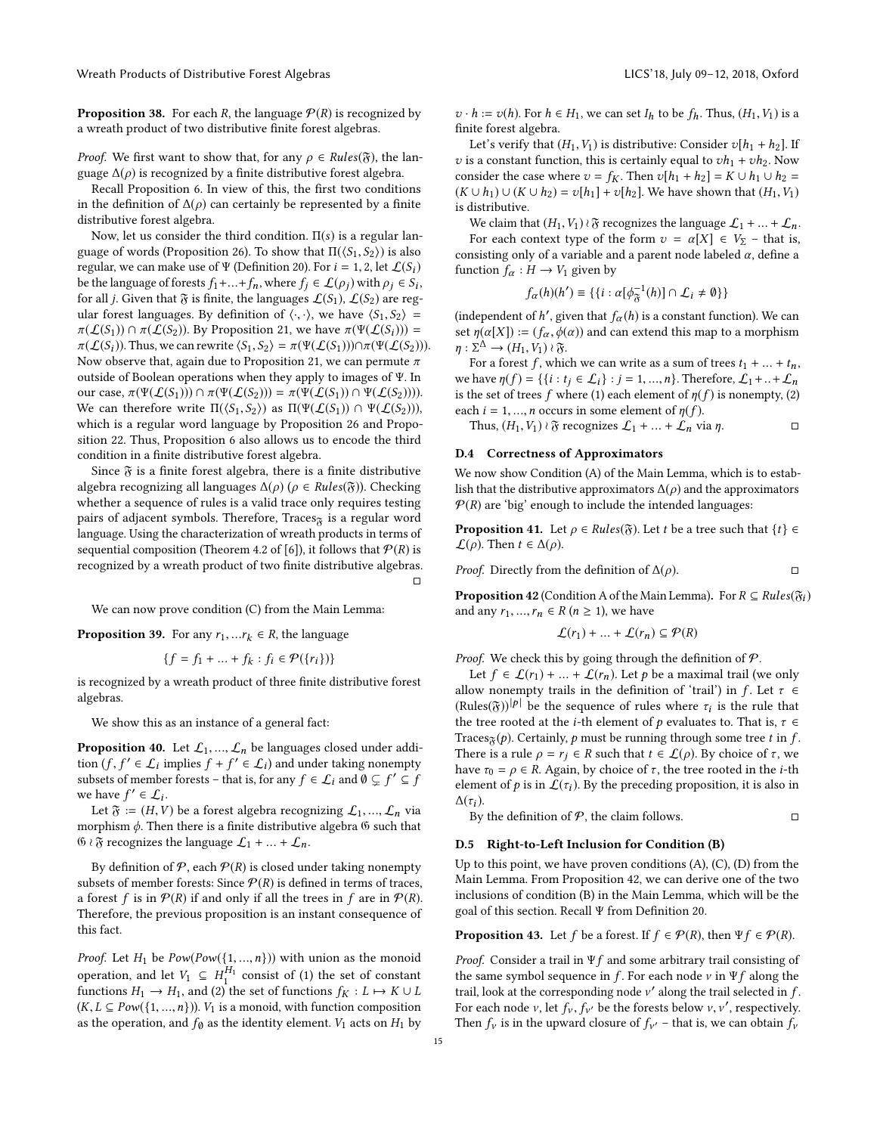**Proposition 38.** For each R, the language  $P(R)$  is recognized by a wreath product of two distributive finite forest algebras.

*Proof.* We first want to show that, for any  $\rho \in Rules(\mathfrak{F})$ , the language  $\Delta(\rho)$  is recognized by a finite distributive forest algebra.

Recall Proposition [6.](#page-2-1) In view of this, the first two conditions in the definition of  $\Delta(\rho)$  can certainly be represented by a finite distributive forest algebra.

Now, let us consider the third condition.  $\Pi(s)$  is a regular lan-guage of words (Proposition [26\)](#page-9-2). To show that  $\Pi(\langle S_1, S_2 \rangle)$  is also regular, we can make use of Ψ (Definition [20\)](#page-6-1). For  $i = 1, 2$ , let  $\mathcal{L}(S_i)$ be the language of forests  $f_1 + ... + f_n$ , where  $f_j \in \mathcal{L}(\rho_j)$  with  $\rho_j \in S_i$ ,<br>for all i Given that  $\mathfrak{F}$  is finite, the languages  $f(S_i)$ ,  $f(S_0)$  are regard for all *j*. Given that  $\mathfrak F$  is finite, the languages  $\mathcal L(S_1)$ ,  $\mathcal L(S_2)$  are regular forest languages. By definition of  $\langle \cdot, \cdot \rangle$ , we have  $\langle S_1, S_2 \rangle$  =  $\pi(\mathcal{L}(S_1)) \cap \pi(\mathcal{L}(S_2))$ . By Proposition [21,](#page-7-2) we have  $\pi(\Psi(\mathcal{L}(S_i)))$  =  $\pi(\mathcal{L}(S_i))$ . Thus, we can rewrite  $\langle S_1, S_2 \rangle = \pi(\Psi(\mathcal{L}(S_1))) \cap \pi(\Psi(\mathcal{L}(S_2))).$ Now observe that, again due to Proposition [21,](#page-7-2) we can permute  $\pi$ outside of Boolean operations when they apply to images of Ψ. In our case,  $\pi(\Psi(\mathcal{L}(S_1))) \cap \pi(\Psi(\mathcal{L}(S_2))) = \pi(\Psi(\mathcal{L}(S_1)) \cap \Psi(\mathcal{L}(S_2))))$ . We can therefore write  $\Pi(\langle S_1, S_2 \rangle)$  as  $\Pi(\Psi(\mathcal{L}(S_1)) \cap \Psi(\mathcal{L}(S_2)))$ , which is a regular word language by Proposition [26](#page-9-2) and Proposition [22.](#page-7-1) Thus, Proposition [6](#page-2-1) also allows us to encode the third condition in a finite distributive forest algebra.

Since  $\mathfrak F$  is a finite forest algebra, there is a finite distributive algebra recognizing all languages  $\Delta(\rho)$  ( $\rho \in Rules(\mathfrak{F})$ ). Checking whether a sequence of rules is a valid trace only requires testing pairs of adjacent symbols. Therefore, Traces $\tilde{g}$  is a regular word language. Using the characterization of wreath products in terms of sequential composition (Theorem 4.2 of [\[6\]](#page-8-0)), it follows that  $P(R)$  is recognized by a wreath product of two finite distributive algebras. □

We can now prove condition (C) from the Main Lemma:

**Proposition 39.** For any  $r_1, ... r_k \in R$ , the language

$$
\{f = f_1 + \dots + f_k : f_i \in \mathcal{P}(\{r_i\})\}
$$

is recognized by a wreath product of three finite distributive forest algebras.

We show this as an instance of a general fact:

**Proposition 40.** Let  $\mathcal{L}_1, ..., \mathcal{L}_n$  be languages closed under addition  $(f, f' \in \mathcal{L}_i$  implies  $f + f' \in \mathcal{L}_i$  and under taking nonempty<br>subsets of member forests – that is for any  $f \in \mathcal{L}$ ; and  $\emptyset \subseteq f' \subseteq f$ subsets of member forests – that is, for any  $f \in \mathcal{L}_i$  and  $\emptyset \subsetneq f' \subseteq f$ <br>we have  $f' \in \mathcal{L}_i$ . we have  $f' \in \mathcal{L}_i$ .<br>Let  $\mathfrak{F} := (H, V)$ 

Let  $\mathfrak{F} := (H, V)$  be a forest algebra recognizing  $\mathcal{L}_1, ..., \mathcal{L}_n$  via morphism  $\phi$ . Then there is a finite distributive algebra  $\mathfrak G$  such that  $\mathfrak{G} \wr \mathfrak{F}$  recognizes the language  $\mathcal{L}_1 + ... + \mathcal{L}_n$ .

By definition of  $P$ , each  $P(R)$  is closed under taking nonempty subsets of member forests: Since  $P(R)$  is defined in terms of traces, a forest f is in  $P(R)$  if and only if all the trees in f are in  $P(R)$ . Therefore, the previous proposition is an instant consequence of this fact.

*Proof.* Let  $H_1$  be  $Pow(Pow(\{1, ..., n\}))$  with union as the monoid operation, and let  $V_1 \subseteq H_1^{H_1}$  consist of (1) the set of constant<br>functions  $H_2 \to H_1$  and (2) the set of functions  $f_K: I \mapsto K \cup I$ functions  $H_1 \to H_1$ , and (2) the set of functions  $f_K : L \mapsto K \cup L$  $(K, L \subseteq Pow({1, ..., n})).$   $V_1$  is a monoid, with function composition as the operation, and  $f_\emptyset$  as the identity element.  $V_1$  acts on  $H_1$  by  $v \cdot h := v(h)$ . For  $h \in H_1$ , we can set  $I_h$  to be  $f_h$ . Thus,  $(H_1, V_1)$  is a finite forest algebra.

Let's verify that  $(H_1, V_1)$  is distributive: Consider  $v[h_1 + h_2]$ . If v is a constant function, this is certainly equal to  $vh_1 +vh_2$ . Now consider the case where  $v = f_K$ . Then  $v[h_1 + h_2] = K \cup h_1 \cup h_2 =$  $(K \cup h_1) \cup (K \cup h_2) = v[h_1] + v[h_2]$ . We have shown that  $(H_1, V_1)$ is distributive.

We claim that  $(H_1, V_1) \wr \mathfrak{F}$  recognizes the language  $\mathcal{L}_1 + ... + \mathcal{L}_n$ .

For each context type of the form  $v = \alpha[X] \in V_{\Sigma}$  – that is, consisting only of a variable and a parent node labeled  $\alpha$ , define a function  $f_{\alpha}: H \rightarrow V_1$  given by

$$
f_{\alpha}(h)(h') \equiv \{ \{ i : \alpha[\phi_{\mathfrak{F}}^{-1}(h)] \cap \mathcal{L}_i \neq \emptyset \} \}
$$

(independent of h', given that  $f_{\alpha}(h)$  is a constant function). We can set  $p(\alpha[X]) = (f - \phi(\alpha))$  and can extend this man to a morphism set  $\eta(\alpha[X]) := (f_{\alpha}, \phi(\alpha))$  and can extend this map to a morphism  $\eta : \Sigma^{\Delta} \to (H_1, V_1) \wr \mathfrak{F}.$ <br>For a forest f, which

For a forest f, which we can write as a sum of trees  $t_1 + ... + t_n$ , we have  $\eta(f) = \{\{i : t_j \in L_i\} : j = 1, ..., n\}$ . Therefore,  $L_1 + ... + L_n$ is the set of trees f where (1) each element of  $\eta(f)$  is nonempty, (2) each  $i = 1, ..., n$  occurs in some element of  $\eta(f)$ .

Thus,  $(H_1, V_1) \wr \mathfrak{F}$  recognizes  $\mathcal{L}_1 + ... + \mathcal{L}_n$  via  $\eta$ . □

## D.4 Correctness of Approximators

We now show Condition (A) of the Main Lemma, which is to establish that the distributive approximators  $\Delta(\rho)$  and the approximators  $P(R)$  are 'big' enough to include the intended languages:

**Proposition 41.** Let  $\rho \in Rules(\mathfrak{F})$ . Let t be a tree such that  $\{t\} \in$  $\mathcal{L}(\rho)$ . Then  $t \in \Delta(\rho)$ .

*Proof.* Directly from the definition of  $\Delta(\rho)$ . □

<span id="page-14-0"></span>**Proposition 42** (Condition A of the Main Lemma). For  $R \subseteq Rules(\mathfrak{F}_i)$ and any  $r_1, ..., r_n \in R$  ( $n \geq 1$ ), we have

$$
\mathcal{L}(r_1) + \dots + \mathcal{L}(r_n) \subseteq \mathcal{P}(R)
$$

*Proof.* We check this by going through the definition of  $P$ .

Let  $f \in \mathcal{L}(r_1) + ... + \mathcal{L}(r_n)$ . Let p be a maximal trail (we only allow nonempty trails in the definition of 'trail') in f. Let  $\tau \in$  $(Rules(\tilde{\sigma}))^{[p]}$  be the sequence of rules where  $\tau_i$  is the rule that the tree rooted at the *i*-th element of a evoluates to That is  $\tau \in$ the tree rooted at the *i*-th element of p evaluates to. That is,  $\tau \in$ Traces<sub> $\tilde{\chi}(p)$ </sub>. Certainly, p must be running through some tree t in f. There is a rule  $\rho = r_j \in R$  such that  $t \in \mathcal{L}(\rho)$ . By choice of  $\tau$ , we have  $\tau_0 = \rho \in R$ . Again, by choice of  $\tau$ , the tree rooted in the *i*-th element of  $p$  is in  $\mathcal{L}(\tau_i)$ . By the preceding proposition, it is also in  $\Lambda(\tau_i)$ .

By the definition of  $P$ , the claim follows.  $\Box$ 

#### D.5 Right-to-Left Inclusion for Condition (B)

Up to this point, we have proven conditions (A), (C), (D) from the Main Lemma. From Proposition [42,](#page-14-0) we can derive one of the two inclusions of condition (B) in the Main Lemma, which will be the goal of this section. Recall Ψ from Definition [20.](#page-6-1)

<span id="page-14-1"></span>**Proposition 43.** Let f be a forest. If  $f \in \mathcal{P}(R)$ , then  $\Psi f \in \mathcal{P}(R)$ .

*Proof.* Consider a trail in  $\Psi f$  and some arbitrary trail consisting of the same symbol sequence in  $f.$  For each node  $v$  in  $\Psi f$  along the trail, look at the corresponding node  $v'$  along the trail selected in f.<br>For each node  $v$  let  $f$ ,  $f$  the the forests below  $v$   $v'$  respectively. For each node *v*, let  $f_v$ ,  $f_{v'}$  be the forests below *v*, *v'*, respectively. Then  $f_v$  is in the upward closure of  $f_{v'}$  – that is, we can obtain  $f_v$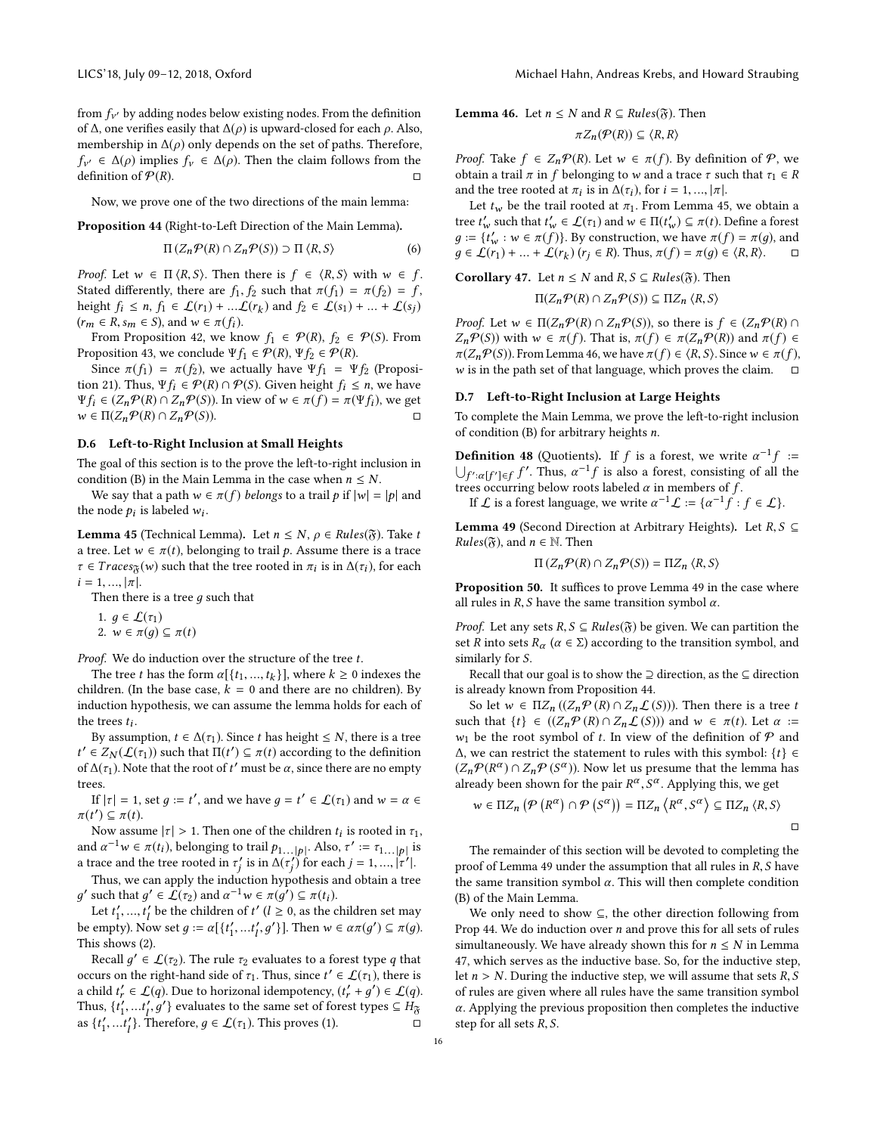from  $f_{\nu'}$  by adding nodes below existing nodes. From the definition<br>of  $\Lambda$  one verifies easily that  $\Lambda(\alpha)$  is unward-closed for each  $\alpha$ , Also of Δ, one verifies easily that  $\Delta(\rho)$  is upward-closed for each  $\rho$ . Also, membership in  $\Delta(\rho)$  only depends on the set of paths. Therefore,  $\text{definition of } \mathcal{P}(R).$   $\Box$  $f_{v'} \in \Delta(\rho)$  implies  $f_v \in \Delta(\rho)$ . Then the claim follows from the definition of  $\mathcal{P}(R)$ .

Now, we prove one of the two directions of the main lemma:

<span id="page-15-3"></span>Proposition 44 (Right-to-Left Direction of the Main Lemma).

$$
\Pi (Z_n \mathcal{P}(R) \cap Z_n \mathcal{P}(S)) \supset \Pi \langle R, S \rangle \tag{6}
$$

*Proof.* Let  $w \in \Pi \langle R, S \rangle$ . Then there is  $f \in \langle R, S \rangle$  with  $w \in f$ . Stated differently, there are  $f_1$ ,  $f_2$  such that  $\pi(f_1) = \pi(f_2) = f$ , height  $f_i \le n$ ,  $f_1 \in \mathcal{L}(r_1) + ... \mathcal{L}(r_k)$  and  $f_2 \in \mathcal{L}(s_1) + ... + \mathcal{L}(s_j)$ <br>  $(r \in R \text{ s} \in S)$  and  $w \in \pi(f)$ .  $(r_m \in R, s_m \in S)$ , and  $w \in \pi(f_i)$ .

From Proposition [42,](#page-14-0) we know  $f_1 \in \mathcal{P}(R)$ ,  $f_2 \in \mathcal{P}(S)$ . From Proposition [43,](#page-14-1) we conclude  $\Psi f_1 \in \mathcal{P}(R)$ ,  $\Psi f_2 \in \mathcal{P}(R)$ .

Since  $\pi(f_1) = \pi(f_2)$ , we actually have  $\Psi f_1 = \Psi f_2$  (Proposi-tion [21\)](#page-7-2). Thus,  $\Psi f_i \in \mathcal{P}(R) \cap \mathcal{P}(S)$ . Given height  $f_i \leq n$ , we have  $\Psi f_i \in (Z_n \mathcal{P}(R) \cap Z_n \mathcal{P}(S))$ . In view of  $w \in \pi(f) = \pi(\Psi f_i)$ , we get  $w \in \Pi(Z_n \mathcal{P}(R) \cap Z_n \mathcal{P}(S))$ .  $w \in \Pi(Z_n \mathcal{P}(R) \cap Z_n \mathcal{P}(S)).$ 

## D.6 Left-to-Right Inclusion at Small Heights

The goal of this section is to the prove the left-to-right inclusion in condition (B) in the Main Lemma in the case when  $n \leq N$ .

We say that a path  $w \in \pi(f)$  belongs to a trail p if  $|w| = |p|$  and the node  $p_i$  is labeled  $w_i$ .

<span id="page-15-0"></span>**Lemma 45** (Technical Lemma). Let  $n \leq N$ ,  $\rho \in Rules(\mathfrak{F})$ . Take t a tree. Let  $w \in \pi(t)$ , belonging to trail p. Assume there is a trace  $\tau \in Traces_{\mathfrak{F}}(w)$  such that the tree rooted in  $\pi_i$  is in  $\Delta(\tau_i)$ , for each  $i-1$  $i = 1, ..., |\pi|$ .

Then there is a tree  $q$  such that

1. 
$$
g \in \mathcal{L}(\tau_1)
$$
  
2.  $w \in \pi(a) \subseteq$ 

2.  $w \in \pi(g) \subseteq \pi(t)$ 

Proof. We do induction over the structure of the tree t.

The tree t has the form  $\alpha [{t_1, ..., t_k}]$ , where  $k \ge 0$  indexes the iddentity of the base case  $k = 0$  and there are no children). By children. (In the base case,  $k = 0$  and there are no children). By induction hypothesis, we can assume the lemma holds for each of the trees  $t_i$ .

By assumption,  $t \in \Delta(\tau_1)$ . Since t has height  $\leq N$ , there is a tree of  $\Delta(\tau_1)$ . Note that the root of t' must be  $\alpha$ , since there are no empty  $\mathcal{I} \in Z_N(\mathcal{L}(\tau_1))$  such that  $\Pi(t') \subseteq \pi(t)$  according to the definition of  $\Lambda(\tau_1)$ . Note that the root of  $t'$  must be  $\alpha$ , since there are no empty trees.

If  $|\tau| = 1$ , set  $g := t'$ , and we have  $g = t' \in \mathcal{L}(\tau_1)$  and  $w = \alpha \in t'$ ,  $\subset \pi(t)$  $\pi(t') \subseteq \pi(t)$ .<br>Now assu

Now assume  $|\tau| > 1$ . Then one of the children  $t_i$  is rooted in  $\tau_1$ ,<br>d  $\sigma^{-1} w \in \pi(t)$ , belonging to trail  $\tau_1$ ,  $\tau_2$ ,  $\tau_3$ ,  $\tau_4$ ,  $\tau_5$ and  $\alpha^{-1}w \in \pi(t_i)$ , belonging to trail  $p_{1...|p|}$ . Also,  $\tau' := \tau_{1...|p|}$  is a trace and the tree rooted in  $\tau'_j$  is in  $\Delta(\tau'_j)$  for each  $j = 1, ..., |\tau'|$ .<br>Thus we can early the induction hypothesis and obtain a track

Thus, we can apply the induction hypothesis and obtain a tree ' such that  $g' \in \mathcal{L}(\tau_2)$  and  $\alpha^{-1}w \in \pi(g') \subseteq \pi(t_i)$ .<br>Let  $t' = t'$  be the children of  $t'$   $(1 > 0$  as the c

 $\overline{a}$ Let  $t'_1, ..., t'_l$  be the children of  $t'$   $(l \ge 0$ , as the children set may<br>compty). Now set  $a := \alpha[t' + t' \alpha']$ . Then  $\omega \in \alpha \pi(\alpha') \subseteq \pi(\alpha)$ be empty). Now set  $g := \alpha[\{t'_1, \dots t\}]$ ′  $\overline{\phantom{a}}$ '}]. Then  $w \in \alpha \pi(g') \subseteq \pi(g)$ . This shows (2).

Recall  $g' \in \mathcal{L}(\tau_2)$ . The rule  $\tau_2$  evaluates to a forest type q that we set that  $g' \in \mathcal{L}(\tau_1)$  there is occurs on the right-hand side of  $\tau_1$ . Thus, since  $t' \in \mathcal{L}(\tau_1)$ , there is a child  $t'_r \in \mathcal{L}(q)$ . Due to horizonal idempotency,  $(t'_r + g') \in \mathcal{L}(q)$ .<br>Thus  $\{t' - t' \mid g'\}$  evaluates to the same set of forest types  $\subseteq H_{\infty}$ . Thus,  $\{t'_1, \ldots, t'_l, g'\}$  evaluates to the same set of forest types  $\subseteq H_{\widetilde{\mathcal{B}}}$ as  $\{t'_1, ..., t'_l\}$ . The  $'_{1}$ }. Therefore,  $g \in \mathcal{L}(\tau_{1})$ . This proves (1).

<span id="page-15-1"></span>**Lemma 46.** Let  $n \leq N$  and  $R \subseteq Rules(\mathfrak{F})$ . Then

$$
\pi Z_n(\mathcal{P}(R)) \subseteq \langle R, R \rangle
$$

*Proof.* Take  $f \in Z_n \mathcal{P}(R)$ . Let  $w \in \pi(f)$ . By definition of  $\mathcal{P}$ , we obtain a trail  $\pi$  in f belonging to w and a trace  $\tau$  such that  $\tau_1 \in R$ and the tree rooted at  $\pi_i$  is in  $\Delta(\tau_i)$ , for  $i = 1, ..., |\pi|$ .<br>Let the the trail rooted at  $\pi_i$ . From Lemma 45

Let  $t_w$  be the trail rooted at  $\pi_1$ . From Lemma [45,](#page-15-0) we obtain a tree  $t'_w$  such that  $t'_w \in \mathcal{L}(\tau_1)$  and  $w \in \Pi(t'_w) \subseteq \pi(t)$ . Define a forest  $a := \{t' : w \in \pi(f) \}$  By construction we have  $\pi(f) = \pi(a)$  and  $g := \{t'_w : w \in \pi(f)\}$ . By construction, we have  $\pi(f) = \pi(g)$ , and  $g \in F(r_1) + \dots + F(r_n)$  ( $r_i \in R$ ). Thus  $\pi(f) = \pi(g) \in (R, R)$  $g \in \mathcal{L}(r_1) + ... + \mathcal{L}(r_k)$   $(r_j \in R)$ . Thus,  $\pi(f) = \pi(g) \in \langle R, R \rangle$ .  $\Box$ 

<span id="page-15-4"></span>**Corollary 47.** Let  $n \leq N$  and  $R, S \subseteq Rules(\mathfrak{F})$ . Then

$$
\Pi(Z_n \mathcal{P}(R) \cap Z_n \mathcal{P}(S)) \subseteq \Pi Z_n \langle R, S \rangle
$$

*Proof.* Let  $w \in \Pi(Z_n \mathcal{P}(R) \cap Z_n \mathcal{P}(S))$ , so there is  $f \in (Z_n \mathcal{P}(R) \cap Z_n \mathcal{P}(S))$  $Z_n\mathcal{P}(S)$ ) with  $w \in \pi(f)$ . That is,  $\pi(f) \in \pi(Z_n\mathcal{P}(R))$  and  $\pi(f) \in$  $\pi(Z_n \mathcal{P}(S))$ . From Lemma [46,](#page-15-1) we have  $\pi(f) \in \langle R, S \rangle$ . Since  $w \in \pi(f)$ , w is in the path set of that language, which proves the claim.  $□$ 

#### D.7 Left-to-Right Inclusion at Large Heights

To complete the Main Lemma, we prove the left-to-right inclusion of condition (B) for arbitrary heights n.

<span id="page-15-5"></span>**Definition 48** (Quotients). If f is a forest, we write  $\alpha^{-1}$ **Definition 48** (Quotients). If f is a forest, we write  $\alpha^{-1}f$  :=<br> $\bigcup_{f':\alpha[f'] \in f} f'$ . Thus,  $\alpha^{-1}f$  is also a forest, consisting of all the trees occurring below roots labeled  $\alpha$  in members of f  $\int_{f}^{f}$  field trees occurring below roots labeled  $\alpha$  in members of  $f$ .<br>The  $f$  is a forest language we write  $\alpha^{-1} f = \int_{f}^{f} f$ .

If  $\mathcal L$  is a forest language, we write  $\alpha^{-1}\mathcal L := {\alpha^{-1}f : f \in \mathcal L}.$ 

<span id="page-15-2"></span>**Lemma 49** (Second Direction at Arbitrary Heights). Let  $R, S \subseteq$  $Rules(\mathfrak{F})$ , and  $n \in \mathbb{N}$ . Then

$$
\Pi\left(Z_n\mathcal{P}(R)\cap Z_n\mathcal{P}(S)\right)=\Pi Z_n\left\langle R,S\right\rangle
$$

Proposition 50. It suffices to prove Lemma [49](#page-15-2) in the case where all rules in  $R$ , S have the same transition symbol  $\alpha$ .

*Proof.* Let any sets  $R, S \subseteq Rules(\mathfrak{F})$  be given. We can partition the set R into sets  $R_{\alpha}$  ( $\alpha \in \Sigma$ ) according to the transition symbol, and similarly for S.

Recall that our goal is to show the  $\supseteq$  direction, as the  $\subseteq$  direction is already known from Proposition [44.](#page-15-3)

So let  $w \in \Pi Z_n((Z_n P(R) \cap Z_n \mathcal{L}(S)))$ . Then there is a tree t such that  $\{t\} \in ((Z_n \mathcal{P}(R) \cap Z_n \mathcal{L}(S)))$  and  $w \in \pi(t)$ . Let  $\alpha :=$  $w_1$  be the root symbol of t. In view of the definition of  $P$  and  $\Delta$ , we can restrict the statement to rules with this symbol:  $\{t\} \in$  $(Z_n P(R^{\alpha}) \cap Z_n P(S^{\alpha}))$ . Now let us presume that the lemma has already been shown for the pair  $R^{\alpha}, S^{\alpha}$ . Applying this, we get

$$
w \in \Pi Z_n \left( \mathcal{P} \left( R^{\alpha} \right) \cap \mathcal{P} \left( S^{\alpha} \right) \right) = \Pi Z_n \left( R^{\alpha}, S^{\alpha} \right) \subseteq \Pi Z_n \left( R, S \right)
$$

The remainder of this section will be devoted to completing the proof of Lemma [49](#page-15-2) under the assumption that all rules in  $R$ ,  $S$  have the same transition symbol  $\alpha$ . This will then complete condition (B) of the Main Lemma.

We only need to show ⊆, the other direction following from Prop [44.](#page-15-3) We do induction over  $n$  and prove this for all sets of rules simultaneously. We have already shown this for  $n \leq N$  in Lemma [47,](#page-15-4) which serves as the inductive base. So, for the inductive step, let  $n > N$ . During the inductive step, we will assume that sets  $R, S$ of rules are given where all rules have the same transition symbol  $\alpha$ . Applying the previous proposition then completes the inductive step for all sets R, S.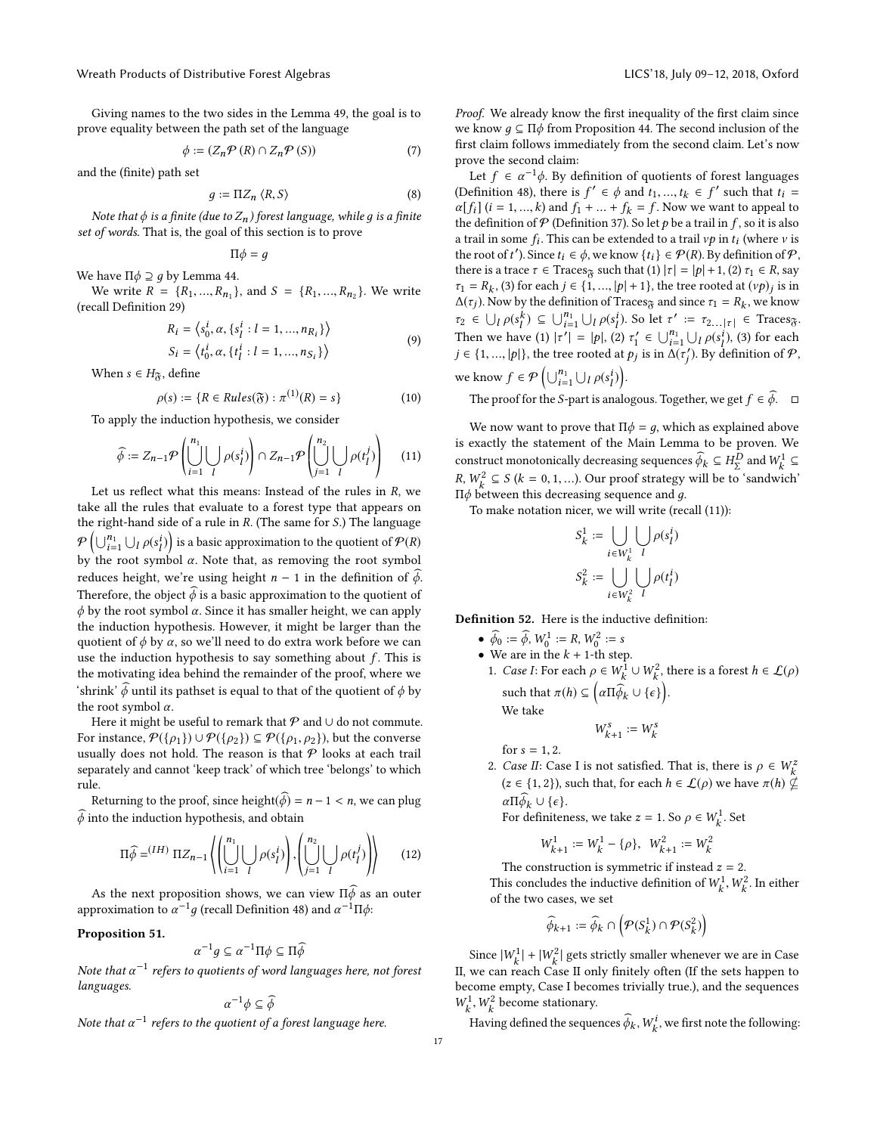Giving names to the two sides in the Lemma [49,](#page-15-2) the goal is to prove equality between the path set of the language

$$
\phi := (Z_n \mathcal{P}(R) \cap Z_n \mathcal{P}(S)) \tag{7}
$$

and the (finite) path set

<span id="page-16-3"></span>
$$
g := \Pi Z_n \langle R, S \rangle \tag{8}
$$

Note that  $\phi$  is a finite (due to  $Z_n$ ) forest language, while g is a finite<br>of words. That is, the goal of this section is to prove set of words. That is, the goal of this section is to prove

$$
\Pi\phi=g
$$

We have Π $\phi$  ⊇ *g* by Lemma [44.](#page-15-3) We write  $R = \{R_1, ..., R_{n_1}\}\$ , and  $S = \{R_1, ..., R_{n_2}\}\$ . We write (recall Definition [29\)](#page-11-1)

$$
R_i = \langle s_0^i, \alpha, \{s_1^i : l = 1, ..., n_{R_i}\} \rangle
$$
  
\n
$$
S_i = \langle t_0^i, \alpha, \{t_i^i : l = 1, ..., n_{S_i}\} \rangle
$$
 (9)

$$
S_i = \left\langle t_0^i, \alpha, \{t_l^i : l = 1, ..., n_{S_i}\right\rangle
$$

When  $s \in H_{\mathfrak{F}}$ , define

$$
\rho(s) := \{ R \in Rules(\mathfrak{F}) : \pi^{(1)}(R) = s \}
$$
 (10)

To apply the induction hypothesis, we consider

<span id="page-16-0"></span>
$$
\widehat{\phi} := Z_{n-1} \mathcal{P} \left( \bigcup_{i=1}^{n_1} \bigcup_{l} \rho(s_l^i) \right) \cap Z_{n-1} \mathcal{P} \left( \bigcup_{j=1}^{n_2} \bigcup_{l} \rho(t_l^j) \right) \tag{11}
$$

Let us reflect what this means: Instead of the rules in  $R$ , we<br>ce all the rules that evaluate to a forest type that appears on take all the rules that evaluate to a forest type that appears on the right-hand side of a rule in R. (The same for S.) The language  $\mathcal{P}\left(\bigcup_{i=1}^{n_1} \bigcup_i \rho(s_i^i)\right)$  is a basic approximation to the quotient of  $\mathcal{P}(R)$ by  $\bigcup_{i=1}^n \bigcup_{P(s_i)} p(s_i)$  is a basic approximation to the quotient of  $Y$  (K)<br>by the root symbol  $\alpha$ . Note that, as removing the root symbol reduces height, we're using height  $n - 1$  in the definition of  $\phi$ . Therefore, the object  $\widehat{\phi}$  is a basic approximation to the quotient of  $\phi$  by the root symbol  $\alpha$ . Since it has smaller height, we can apply the induction hypothesis. However, it might be larger than the quotient of  $\phi$  by  $\alpha$ , so we'll need to do extra work before we can use the induction hypothesis to say something about  $f$ . This is the motivating idea behind the remainder of the proof, where we 'shrink'  $\widehat{\phi}$  until its pathset is equal to that of the quotient of  $\phi$  by the root symbol  $\alpha$ .

Here it might be useful to remark that  $P$  and  $\cup$  do not commute. For instance,  $P({\rho_1}) \cup P({\rho_2}) \subseteq P({\rho_1, \rho_2})$ , but the converse usually does not hold. The reason is that  $P$  looks at each trail separately and cannot 'keep track' of which tree 'belongs' to which rule.

Returning to the proof, since height( $\phi$ ) = n – 1 < n, we can plug  $\phi$  into the induction hypothesis, and obtain

<span id="page-16-1"></span>
$$
\Pi \widehat{\phi} = ^{(IH)} \Pi Z_{n-1} \left\langle \left( \bigcup_{i=1}^{n_1} \bigcup_{l} \rho(s_l^i) \right), \left( \bigcup_{j=1}^{n_2} \bigcup_{l} \rho(t_l^j) \right) \right\rangle \tag{12}
$$

As the next proposition shows, we can view  $\Pi \phi$  as an outer<br>provinction to  $\alpha^{-1}a$  (recall Definition 48) and  $\alpha^{-1}\Pi\phi$ . approximation to  $\alpha^{-1}g$  (recall Definition [48\)](#page-15-5) and  $\alpha^{-1}\Pi\phi$ :

#### <span id="page-16-2"></span>Proposition 51.

$$
\alpha^{-1}g \subseteq \alpha^{-1}\Pi\phi \subseteq \Pi\widehat{\phi}
$$

Note that  $\alpha^{-1}$  refers to quotients of word languages here, not forest<br>languages languages.

$$
\alpha^{-1}\phi \subseteq \widehat{\phi}
$$

Note that  $\alpha^{-1}$  refers to the quotient of a forest language here.

Proof. We already know the first inequality of the first claim since we know  $q \subseteq \Pi \phi$  from Proposition [44.](#page-15-3) The second inclusion of the first claim follows immediately from the second claim. Let's now prove the second claim:

Let  $f \in \alpha^{-1}\phi$ . By definition of quotients of forest languages<br>efinition 48) there is  $f' \in \phi$  and  $t_1, t_2, t_3 \in f'$  such that  $t_1 =$ (Definition [48\)](#page-15-5), there is  $f' \in \phi$  and  $t_1, ..., t_k \in f'$  such that  $t_i = \alpha[f_1](i-1-k)$  and  $f_1 + \dots + f_i = f$ . Now we want to anneal to  $\alpha[f_i]$  (*i* = 1, ..., *k*) and  $f_1$  + ... +  $f_k$  =  $f$ . Now we want to appeal to the definition of  $P$  (Definition [37\)](#page-13-1). So let  $p$  be a trail in  $f$ , so it is also a trail in some  $f_i$ . This can be extended to a trail  $\nu p$  in  $t_i$  (where  $\nu$  is<br>the root of t'). Since  $t_i \in \phi$  we know  $\{t_i\} \in \mathcal{P}(P)$ . By definition of  $\mathcal{P}$ the root of t'). Since  $t_i \in \phi$ , we know  $\{t_i\} \in \mathcal{P}(R)$ . By definition of  $\mathcal{P}$ ,<br>there is a trace  $\tau \in \text{Trace}$  such that (1)  $|\tau| = |\mathbf{a}| + 1$  (2)  $\tau_i \in R$  say there is a trace  $\tau \in \text{Traces}_{\mathfrak{F}}$  such that  $(1) |\tau| = |p| + 1$ ,  $(2) \tau_1 \in R$ , say  $\tau_1 = R_k$ , (3) for each  $j \in \{1, ..., |p| + 1\}$ , the tree rooted at  $(vp)_j$  is in  $\Lambda(\tau_1)$ . Now by the definition of Tracess and since  $\tau_2 = R_k$ , we know  $\Delta(\tau_j)$ . Now by the definition of Traces<sub> $\tilde{\sigma}$ </sub> and since  $\tau_1 = R_k$ , we know  $\tau_2 \in \bigcup_{l} \rho(s_l^k) \subseteq \bigcup_{i=1}^{n_1} \bigcup_{l} \rho(s_l^i)$ . So let  $\tau' := \tau_{2...|\tau|} \in \text{Trace}_{\mathfrak{F}}$ .<br>Then are loss (1)  $\bigcup_{l=1}^{n_1} \bigcup_{l} \rho(s_l^l) \leq \bigcup_{l}^{n_1} \bigcup_{l} \bigcup_{l} \bigcup_{l}^{l} \bigcup_{l} \bigcup_{l}^{l} \bigcup_{l}^{l} \bigcup_{l}^{l} \bigcup_{l}^{l} \bigcup_{l}^{l} \$ Then we have (1)  $|\tau'| = |p|$ , (2)  $\tau'_1 \in \bigcup_{i=1}^{n_1} \bigcup_{i} \rho(s_i^i)$ , (3) for each  $i \in \{1, -1, -1\}$  that tree rected at  $p_i$  is in  $\Lambda(\tau')$ . By definition of  $\emptyset$ if  $j \in \{1, ..., |p|\}$ , the tree rooted at  $p_j$  is in  $\Delta(\tau'_j)$ . By definition of  $P$ , j  $\sim \Delta$ 

we know 
$$
f \in \mathcal{P}\left(\bigcup_{i=1}^{n_1} \bigcup_l \rho(s_l^i)\right)
$$
.

know  $f \in \mathcal{P} \left( \bigcup_{i=1}^{n_1} \bigcup_{i} \rho(s_i^i) \right)$ .<br>The proof for the *S*-part is analogous. Together, we get  $f \in \widehat{\phi}$ .  $\Box$ 

We now want to prove that  $\Pi \phi = q$ , which as explained above is exactly the statement of the Main Lemma to be proven. We construct monotonically decreasing sequences  $\widehat{\phi}_k \subseteq H_2^D$  and  $W_1^1 \subseteq$ <br> $R_1W_2^2 \subseteq G(L_1 \cup 0, 1)$ . Open and furthermorally be to the deviated  $R, W_k^2 \subseteq S$  ( $k = 0, 1, ...$ ). Our proof strategy will be to 'sandwich'<br>  $H_A$  between this decreasing sequence and a  $\Pi\phi$  between this decreasing sequence and *g*.<br>To make notation nicer, we will write (req.

To make notation nicer, we will write (recall [\(11\)](#page-16-0)):

$$
S_k^1 := \bigcup_{i \in W_k^1} \bigcup_{l} \rho(s_l^i)
$$
  

$$
S_k^2 := \bigcup_{i \in W_k^2} \bigcup_{l} \rho(t_l^i)
$$

Definition 52. Here is the inductive definition:

- $\widehat{\phi}_0 := \widehat{\phi}, W_0^1 := R, W_0^2 := s$ <br>• We are in the  $k + 1$ -th step
- We are in the  $k + 1$ -th step.<br>1. Case *I*: For each  $a \in W^1$ .
- 1. *Case I*: For each  $\rho \in W^1_k \cup W^2_k$ , there is a forest  $h \in \mathcal{L}(\rho)$ such that  $\pi(h) \subseteq \left( \alpha \prod \widehat{\phi}_k \cup \{\epsilon\} \right)$ .

We take

$$
W_{k+1}^s := W_k^s
$$

for  $s = 1, 2$ .

2. Case II: Case I is not satisfied. That is, there is  $\rho \in W_k^{\mathbb{Z}}$  $(z \in \{1, 2\})$ , such that, for each  $h \in \mathcal{L}(\rho)$  we have  $\pi(h) \nsubseteq$  $\alpha \Pi \widetilde{\phi}_{k} \cup \{\epsilon\}.$ 

For definiteness, we take  $z = 1$ . So  $\rho \in W^1_k$ . Set

$$
W_{k+1}^1:=W_k^1-\{\rho\},\ \ W_{k+1}^2:=W_k^2
$$

 $w_{k+1} - w_k - \gamma f, \quad w_{k+1} - w_k$ <br>The construction is symmetric if instead  $z = 2$ .<br>is concludes the inductive definition of  $W^1$ . This concludes the inductive definition of  $W_k^1$ ,  $W_k^2$ . In either of the two cases, we set of the two cases, we set

$$
\widehat{\phi}_{k+1} := \widehat{\phi}_k \cap \left(\mathcal{P}(S_k^1) \cap \mathcal{P}(S_k^2)\right)
$$

Since  $|W_k^1| + |W_k^2|$  gets strictly smaller whenever we are in Case<br>we can reach Case II only finitely often (If the sets happen to II, we can reach Case II only finitely often (If the sets happen to become empty, Case I becomes trivially true.), and the sequences  $W_k^1, W_k^2$  become stationary.

Having defined the sequences  $\widehat{\phi}_k, W^i_k,$  we first note the following: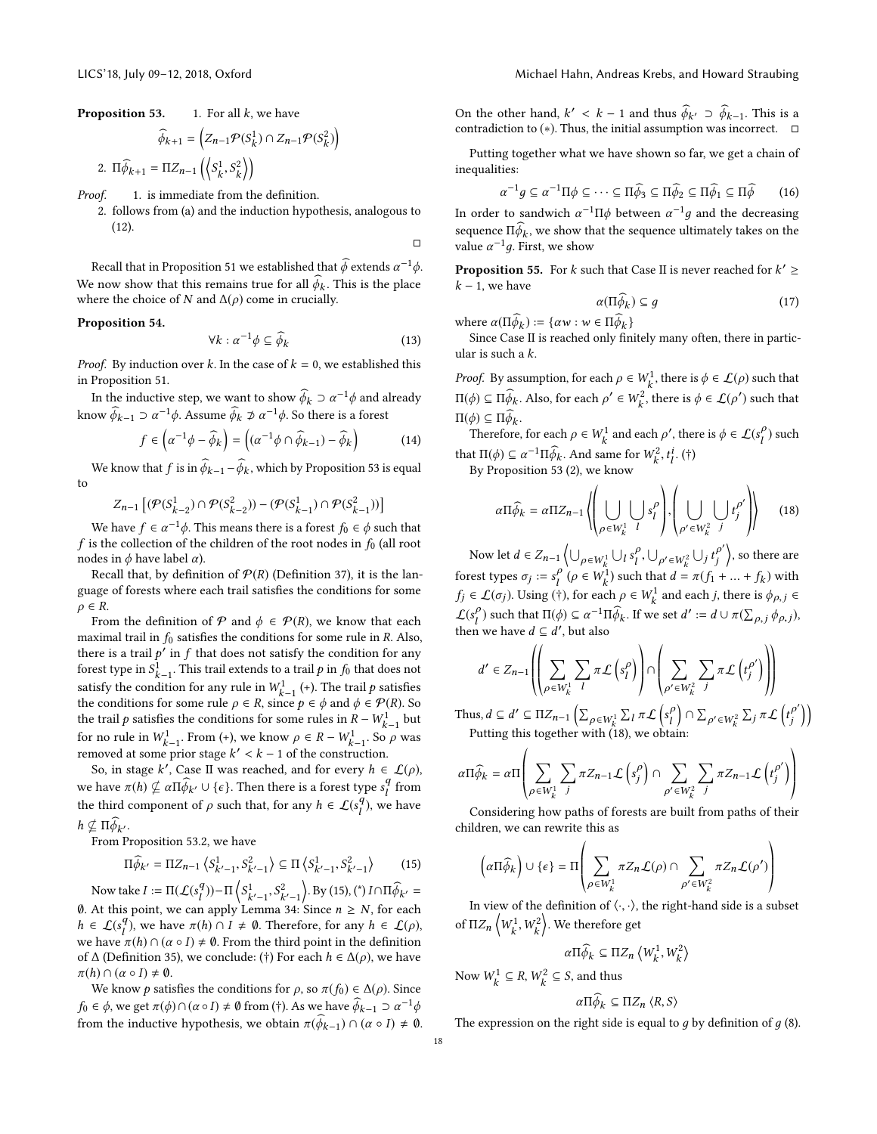**Proposition 53.** 1. For all *k*, we have  
\n
$$
\widehat{\phi}_{k+1} = \left( Z_{n-1} \mathcal{P}(S_k^1) \cap Z_{n-1} \mathcal{P}(S_k^2) \right)
$$
\n2.  $\Pi \widehat{\phi}_{k+1} = \Pi Z_{n-1} \left( \left\langle S_k^1, S_k^2 \right\rangle \right)$ 

<span id="page-17-1"></span>Proof. 1. is immediate from the definition.

2. follows from (a) and the induction hypothesis, analogous to [\(12\)](#page-16-1).

Recall that in Proposition [51](#page-16-2) we established that  $\hat{\phi}$  extends  $\alpha^{-1}\phi$ . We now show that this remains true for all  $\phi_k$ . This is the place<br>where the choice of N and  $\Lambda(\alpha)$  come in crucially where the choice of  $N$  and  $\Delta(\rho)$  come in crucially.

#### <span id="page-17-3"></span>Proposition 54.

$$
\forall k : \alpha^{-1} \phi \subseteq \widehat{\phi}_k \tag{13}
$$

□

*Proof.* By induction over k. In the case of  $k = 0$ , we established this in Proposition [51.](#page-16-2)

In the inductive step, we want to show  $\hat{\phi}_k \supset \alpha^{-1}\phi$  and already know  $\widehat{\phi}_{k-1} \supset \alpha^{-1} \phi$ . Assume  $\widehat{\phi}_k \not\supset \alpha^{-1} \phi$ . So there is a forest

$$
f \in \left(\alpha^{-1}\phi - \widehat{\phi}_k\right) = \left(\left(\alpha^{-1}\phi \cap \widehat{\phi}_{k-1}\right) - \widehat{\phi}_k\right) \tag{14}
$$

We know that  $f$  is in  $\phi_{k-1} - \phi_k$ , which by Proposition [53](#page-0-2) is equal to

$$
Z_{n-1}\left[ (\mathcal{P}(S_{k-2}^1) \cap \mathcal{P}(S_{k-2}^2)) - (\mathcal{P}(S_{k-1}^1) \cap \mathcal{P}(S_{k-1}^2)) \right]
$$

We have  $f \in \alpha^{-1}\phi$ . This means there is a forest  $f_0 \in \phi$  such that s the collection of the children of the root nodes in  $f_0$  (all root  $f$  is the collection of the children of the root nodes in  $f_0$  (all root nodes in  $φ$  have label  $α$ ).

Recall that, by definition of  $P(R)$  (Definition [37\)](#page-13-1), it is the language of forests where each trail satisfies the conditions for some  $\rho \in R$ .

From the definition of  $P$  and  $\phi \in P(R)$ , we know that each maximal trail in  $f_0$  satisfies the conditions for some rule in R. Also, there is a trail  $p'$  in f that does not satisfy the condition for any forest type in  $S^1$ . This trail extends to a trail n in  $f_0$  that does not forest type in  $S_{k-1}^1$ . This trail extends to a trail p in  $f_0$  that does not satisfy the condition for any rule in  $W_{k-1}^1$  (+). The trail p satisfies<br>the condition for any rule in  $W_{k-1}^1$  (+). The trail p satisfies the conditions for some rule  $\rho \in R$ , since  $p \in \phi$  and  $\phi \in \mathcal{P}(R)$ . So<br>the trail a satisfies the conditions for some rules in  $R - W^1$  but the trail p satisfies the conditions for some rules in  $R - W_{k-1}^1$  but<br>for no rule in  $W^1$ . From (+) we know  $a \in R - W^1$ . So a was for no rule in  $W_{k-1}^1$ . From (+), we know  $\rho \in R - W_{k-1}^1$ . So  $\rho$  was For the fit  $W_{k-1}$ . From (+), we know  $p \in R - w_{k-1}$ , so<br>removed at some prior stage  $k' < k - 1$  of the construction.

So, in stage k<sup>'</sup>, Case II was reached, and for every  $h \in \mathcal{L}(\rho)$ ,<br>have  $\tau(h) \notin \pi \mathbb{H}^{\widehat{A}}$ ,  $\cup$  (a) Then there is a famely time of from we have  $\pi(h) \nsubseteq \alpha \Pi \widehat{\phi}_{k'} \cup \{\epsilon\}$ . Then there is a forest type  $s_l^q$  from the third component of  $\rho$  such that, for any  $h \in \mathcal{L}(s_l^q)$ , we have  $h \nsubseteq \Pi \widehat{\phi}_{k'}$ .<br>From P

From Proposition [53.](#page-0-2)2, we have

<span id="page-17-0"></span>
$$
\Pi \widehat{\phi}_{k'} = \Pi Z_{n-1} \left\langle S_{k'-1}^1, S_{k'-1}^2 \right\rangle \subseteq \Pi \left\langle S_{k'-1}^1, S_{k'-1}^2 \right\rangle \tag{15}
$$

Now take  $I := \Pi(\mathcal{L}(s_1^q)) - \Pi \left\langle S_{k'-1}^1, S_{k'-1}^2 \right\rangle$ . By [\(15\)](#page-17-0), (\*)  $I \cap \Pi \widehat{\phi}_{k'} =$ 0. At this point, we can apply Lemma [34:](#page-13-0) Since  $n \ge N$ , for each  $h \in C(s^q)$ , we have  $\pi(h) \circ I + \emptyset$ . Therefore, for any  $h \in C(s)$  $h \in \mathcal{L}(s_1^q)$ , we have  $\pi(h) \cap I \neq \emptyset$ . Therefore, for any  $h \in \mathcal{L}(\rho)$ ,<br>we have  $\pi(h) \cap (\alpha \circ I) \neq \emptyset$ . From the third point in the definition we have  $\pi(h) \cap (\alpha \circ I) \neq \emptyset$ . From the third point in the definition of  $\Lambda$  (Definition 35), we conclude (†) For each  $h \in \Lambda(\alpha)$ , we have of  $\Delta$  (Definition [35\)](#page-13-2), we conclude: (†) For each  $h \in \Delta(\rho)$ , we have  $\pi(h) \cap (\alpha \circ I) \neq \emptyset.$ 

We know *p* satisfies the conditions for  $\rho$ , so  $\pi(f_0) \in \Delta(\rho)$ . Since  $f_0 \in \phi$ , we get  $\pi(\phi) \cap (\alpha \circ I) \neq \emptyset$  from (†). As we have  $\widehat{\phi}_{k-1} \supset \alpha^{-1}$ from the inductive hypothesis, we obtain  $\pi(\widehat{\phi}_{k-1}) \cap (\alpha \circ I) \neq \emptyset$ . On the other hand,  $k' < k - 1$  and thus  $\hat{\phi}_{k'} \supset \hat{\phi}_{k-1}$ . This is a contradiction to  $(*)$ . Thus the initial assumption was incorrect contradiction to (\*). Thus, the initial assumption was incorrect.  $\Box$ 

Putting together what we have shown so far, we get a chain of inequalities:

$$
\alpha^{-1}g \subseteq \alpha^{-1}\Pi\phi \subseteq \cdots \subseteq \Pi\widehat{\phi}_3 \subseteq \Pi\widehat{\phi}_2 \subseteq \Pi\widehat{\phi}_1 \subseteq \Pi\widehat{\phi} \qquad (16)
$$

In order to sandwich  $\alpha^{-1} \Pi \phi$  between  $\alpha^{-1} g$  and the decreasing sequence  $\Pi \phi_k$ , we show that the sequence ultimately takes on the value  $\alpha^{-1} a$  First, we show value  $\alpha^{-1}g$ . First, we show

**Proposition 55.** For *k* such that Case II is never reached for  $k' \geq k - 1$  we have  $k - 1$ , we have

$$
\alpha(\Pi \phi_k) \subseteq g \tag{17}
$$

where  $\alpha(\Pi \phi_k) := {\alpha w : w \in \Pi \phi_k}$ <br>Since Case II is reached only fin

Since Case II is reached only finitely many often, there in particular is such a k.

*Proof.* By assumption, for each  $\rho \in W_k^1$ , there is  $\phi \in \mathcal{L}(\rho)$  such that  $\Pi(\phi) ⊆ \Pi \widehat{\phi_k}$ . Also, for each  $\rho' \in W_k^2$ , there is  $\phi \in \mathcal{L}(\rho')$  such that  $\Pi(\phi) \subseteq \Pi \phi_k.$ <br>Therefore

Therefore, for each  $\rho \in W_k^1$  and each  $\rho'$ , there is  $\phi \in \mathcal{L}(s_l^{\rho})$  such that  $\Pi(\phi) \subseteq \alpha^{-1} \Pi \widehat{\phi}_k$ . And same for  $W_k^2$ ,  $t_l^i$ . (†)<br>By Proposition 53.(2), we know

By Proposition [53](#page-0-2) [\(2\)](#page-17-1), we know

<span id="page-17-2"></span>
$$
\alpha \Pi \widehat{\phi}_k = \alpha \Pi Z_{n-1} \left\langle \left( \bigcup_{\rho \in W_k^1} \bigcup_{l} s_l^{\rho} \right), \left( \bigcup_{\rho' \in W_k^2} \bigcup_{j} t_j^{\rho'} \right) \right\rangle \tag{18}
$$

Now let  $d \in Z_{n-1} \left\{ \bigcup_{\rho \in W_k^1} \bigcup_l s_l^{\rho}, \bigcup_{\rho' \in W_k^2} \bigcup_j t_j^{\rho'} \right\}$ , so there are forest types  $\sigma_j := s_j^{\rho} (\rho \in W_k^1)$  such that  $d = \pi (f_1 + ... + f_k)$  with  $f_j \in \mathcal{L}(\sigma_j)$ . Using (†), for each  $\rho \in W_k^1$  and each j, there is  $\phi_{\rho,j} \in \mathcal{L}(\mathcal{L})$  $\mathcal{L}(s_i^{\rho})$  such that  $\Pi(\phi) \subseteq \alpha^{-1} \Pi \widehat{\phi}_k$ . If we set  $d' := d \cup \pi(\sum_{\rho, j} \phi_{\rho, j})$ ,<br>then we have  $d \subseteq d'$  but also then we have  $d \subseteq d'$ , but also

$$
d' \in Z_{n-1}\left(\left(\sum_{\rho \in W_k^1} \sum_l \pi \mathcal{L}\left(s_l^{\rho}\right)\right) \cap \left(\sum_{\rho' \in W_k^2} \sum_j \pi \mathcal{L}\left(t_j^{\rho'}\right)\right)\right)
$$

Thus,  $d \subseteq d' \subseteq \Pi Z_{n-1} \left( \sum_{\rho \in W^1_k} \sum_l \pi \mathcal{L} \left( \sum_{\rho \in W^1_k} \sum_{\rho \in W^2_k} \pi \mathcal{L} \left( \sum_{\rho \in W^1_k} \sum_{\rho \in W^2_k} \pi \mathcal{L} \left( \sum_{\rho \in W^1_k} \sum_{\rho \in W^2_k} \pi \mathcal{L} \left( \sum_{\rho \in W^1_k} \pi \mathcal{L} \left( \sum_{\rho \in W^2_k} \pi \mathcal{L} \left( \sum_{\rho \in W^2_k} \pi \mathcal{L$ Putting this together with [\(18\)](#page-17-2), we obtain:  $\left[s_l^\rho\right] \cap \sum$  $_{\rho'\in W_k^2}\sum_j\pi\mathcal{L}$  $t^{\rho'}_j$ j 11

$$
\alpha \Pi \widehat{\phi}_k = \alpha \Pi \left( \sum_{\rho \in W_k^1} \sum_j \pi Z_{n-1} \mathcal{L} \left( s_j^{\rho} \right) \cap \sum_{\rho' \in W_k^2} \sum_j \pi Z_{n-1} \mathcal{L} \left( t_j^{\rho'} \right) \right)
$$

Considering how paths of forests are built from paths of their children, we can rewrite this as

$$
\left(\alpha \Pi \widehat{\phi}_k\right) \cup \{\epsilon\} = \Pi \left(\sum_{\rho \in W_k^1} \pi Z_n \mathcal{L}(\rho) \cap \sum_{\rho' \in W_k^2} \pi Z_n \mathcal{L}(\rho')\right)
$$

 $\overline{\phantom{0}}$ 

In view of the definition of  $\langle \cdot, \cdot \rangle$ , the right-hand side is a subset of  $\Pi Z_n \left\langle W_k^1, W_k^2 \right\rangle$ . We therefore get

 $\alpha \Pi \widehat{\phi}_k \subseteq \Pi Z_n \left\langle W_k^1, W_k^2 \right\rangle$ 

Now  $W_k^1 \subseteq R$ ,  $W_k^2 \subseteq S$ , and thus

$$
\alpha \Pi \phi_k \subseteq \Pi Z_n \langle R, S \rangle
$$

The expression on the right side is equal to  $g$  by definition of  $g$  [\(8\)](#page-16-3).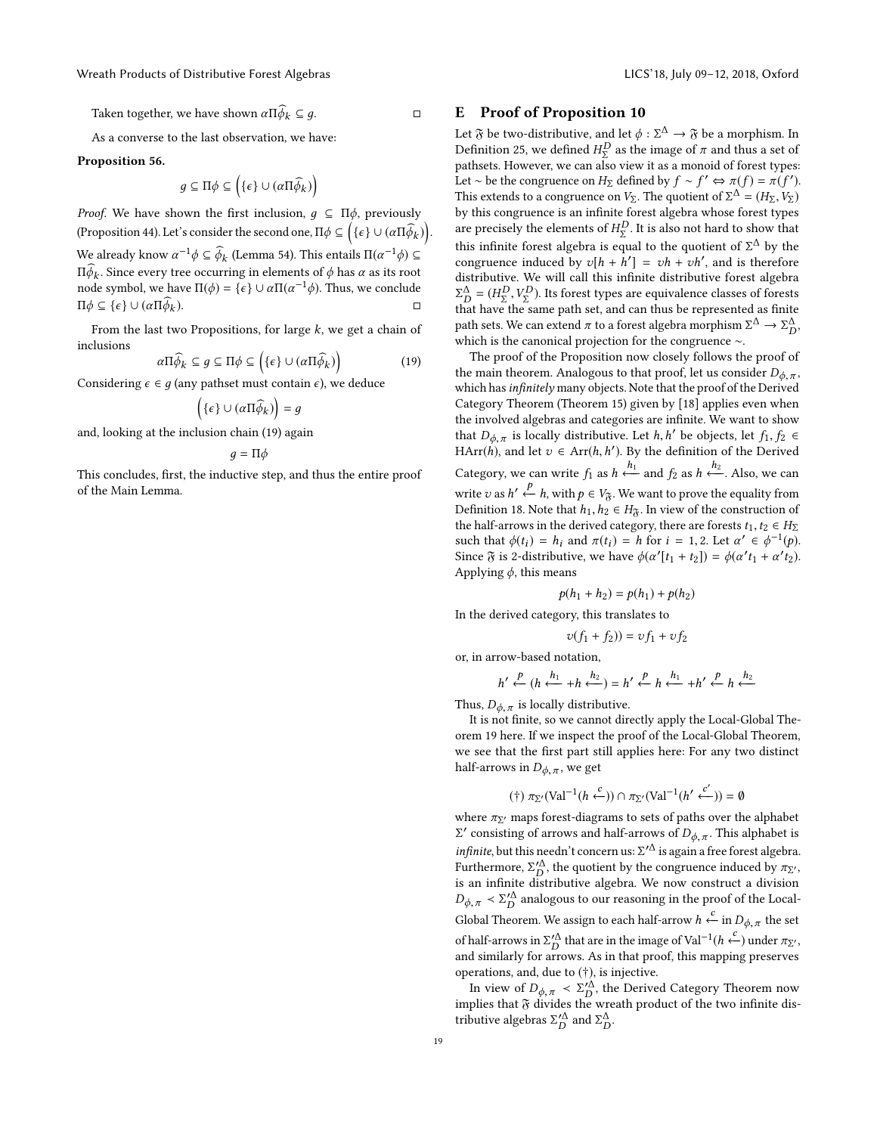Taken together, we have shown  $\alpha \Pi \widehat{\phi}_{k} \subseteq q$ .  $\Box$ 

As a converse to the last observation, we have:

#### Proposition 56.

 $g \subseteq \Pi \phi \subseteq (\{\epsilon\} \cup (\alpha \Pi \widehat{\phi}_k))$ 

*Proof.* We have shown the first inclusion,  $g \subseteq \Pi \phi$ , previously (Proposition [44\)](#page-15-3). Let's consider the second one,  $\Pi \phi \subseteq \Big( \{ \epsilon \} \cup (\alpha \Pi \widehat{\phi}_k) \Big).$ We already know  $\alpha^{-1}\phi \subseteq \widehat{\phi}_k$  (Lemma [54\)](#page-17-3). This entails  $\Pi(\alpha^{-1}\phi) \subseteq \Pi \widehat{\phi}$ . Since given the accuration in elements of  $\phi$  has given its position  $\iint_R$ . Since every tree occurring in elements of φ has α as its root<br>node symbol, we have  $\Pi(\phi) = {\epsilon} \cup \alpha \Pi(\alpha^{-1}\phi)$ . Thus, we conclude  $\Pi \phi_k.$  Since every tree occurring in elements of  $\phi$  has  $\alpha$  as its root  $\Pi \phi \subseteq {\epsilon}$  ∪ (α $\Pi \phi_k$ ).  $\Box$ 

From the last two Propositions, for large  $k$ , we get a chain of inclusions

<span id="page-18-0"></span>
$$
\alpha \Pi \widehat{\phi}_k \subseteq g \subseteq \Pi \phi \subseteq \left( \{ \epsilon \} \cup (\alpha \Pi \widehat{\phi}_k) \right) \tag{19}
$$

Considering  $\epsilon \in g$  (any pathset must contain  $\epsilon$ ), we deduce

$$
(\{\epsilon\} \cup (\alpha \Pi \widehat{\phi}_k)\big) = g
$$

and, looking at the inclusion chain [\(19\)](#page-18-0) again

$$
g=\Pi\phi
$$

This concludes, first, the inductive step, and thus the entire proof of the Main Lemma.

# E Proof of Proposition [10](#page-2-5)

Let  $\mathfrak F$  be two-distributive, and let  $\phi : \Sigma^\Delta \to \mathfrak F$  be a morphism. In<br>Definition 25, we defined  $H^D$  as the image of  $\pi$  and thus a set of Definition [25,](#page-9-1) we defined  $H^D_\Sigma$  as the image of π and thus a set of pathents However, we can also view it as a monoid of forest types pathsets. However, we can also view it as a monoid of forest types: Let ∼ be the congruence on H<sub>Σ</sub> defined by  $f \sim f' \Leftrightarrow \pi(f) = \pi(f')$ .<br>This extends to a congruence on V<sub>2</sub>. The quotient of  $\Sigma^{\Delta} - (H_2, V_2)$ . This extends to a congruence on  $V_{\Sigma}$ . The quotient of  $\Sigma^{\Delta} = (H_{\Sigma}, V_{\Sigma})$ <br>by this congruence is an infinite forest algebra whose forest types by this congruence is an infinite forest algebra whose forest types are precisely the elements of  $H_L^D$ . It is also not hard to show that<br>this infinite format also has in appel to the quantitate of  $\Sigma^{\Lambda}$  has the this infinite forest algebra is equal to the quotient of  $\Sigma^{\Delta}$  by the congruence induced by  $x[h + h'] = x[h + xh']$  and is therefore congruence induced by  $v[h + h'] = vh + vh'$ , and is therefore<br>distributive. We will call this infinite distributive forest algebra distributive. We will call this infinite distributive forest algebra  $\frac{2}{D}$  ( $\frac{2}{2}$ ,  $\frac{2}{2}$ ), are settled by product equations can be represented as finite  $\mathcal{L}_{D}^{\Delta} = (H_{\Sigma}^{D}, V_{\Sigma}^{D})$ . Its forest types are equivalence classes of forests of the same path set, and can thus be represented as finite path sets. We can extend  $\pi$  to a forest algebra morphism  $\Sigma^{\Delta} \to \Sigma^{\Delta}_D$ ,<br>which is the canonical projection for the congruence  $\sim$ which is the canonical projection for the congruence ∼.

The proof of the Proposition now closely follows the proof of the main theorem. Analogous to that proof, let us consider  $D_{\phi,\pi}$ , which has infinitely many objects. Note that the proof of the Derived Category Theorem (Theorem [15\)](#page-5-4) given by [\[18\]](#page-8-7) applies even when the involved algebras and categories are infinite. We want to show that  $D_{\phi, \pi}$  is locally distributive. Let h, h' be objects, let  $f_1, f_2 \in$ <br>H  $Arr(h)$  and let  $z \in Arr(h, h')$ . By the definition of the Derived HArr(*h*), and let  $v \in \text{Arr}(h, h')$ . By the definition of the Derived Category, we can write  $f_1$  as  $h \xrightarrow{n_1}$  and  $f_2$  as  $h \xleftarrow{n_2}$ . Also, we can write v as  $h' \xleftarrow{p} h$ , with  $p \in V_{\mathfrak{F}}$ . We want to prove the equality from<br>Definition 18 Note that  $h_1, h_2 \in H_2$ . In view of the construction of Definition [18.](#page-5-3) Note that  $h_1, h_2 \in H_{\mathfrak{F}}$ . In view of the construction of the half-arrows in the derived category, there are forests  $t_1, t_2 \in H_{\Sigma}$ such that  $\phi(t_i) = h_i$  and  $\pi(t_i) = h$  for  $i = 1, 2$ . Let  $\alpha' \in \phi^{-1}(p)$ .<br>Since  $\Re$  is 2-distributive we have  $\phi(\alpha'(t_{i+1} + t_i)) = \phi(\alpha'(t_{i+1} + \alpha'(t_i)))$ Since  $\mathfrak{F}$  is 2-distributive, we have  $\phi(\alpha'[t_1 + t_2]) = \phi(\alpha' t_1 + \alpha' t_2)$ . Applying  $\phi$ , this means

$$
p(h_1 + h_2) = p(h_1) + p(h_2)
$$

In the derived category, this translates to

$$
v(f_1 + f_2) = v f_1 + v f_2
$$

 $\frac{p}{\leftarrow}$   $(h \xleftarrow{h_1} + h \xleftarrow{h_2}) = h' \xleftarrow{p} h \xleftarrow{h_1} + h' \xleftarrow{p} h \xleftarrow{h_2}$ 

Thus,  $D_{\phi, \pi}$  is locally distributive.<br>It is not finite, so we cannot dire

or, in arrow-based notation,

It is not finite, so we cannot directly apply the Local-Global Theorem [19](#page-5-1) here. If we inspect the proof of the Local-Global Theorem, we see that the first part still applies here: For any two distinct half-arrows in  $D_{\phi, \pi}$ , we get

$$
(\dagger) \pi_{\Sigma'}(\text{Val}^{-1}(h \stackrel{c}{\leftarrow})) \cap \pi_{\Sigma'}(\text{Val}^{-1}(h' \stackrel{c'}{\leftarrow})) = \emptyset
$$

where  $\pi_{\Sigma'}$  maps forest-diagrams to sets of paths over the alphabet is  $\Sigma'$  consisting of arrows and half-arrows of  $D$ . This alphabet is *infinite*, but this needn't concern us:  $\Sigma'^{\Delta}$  is again a free forest algebra.<br>Furthermore  $\Sigma'^{\Delta}$  the quotient by the congruence induced by  $\pi_{\Sigma'}$ ' consisting of arrows and half-arrows of  $D_{\phi,\pi}$ . This alphabet is Furthermore,  $\Sigma_D^{\prime\Delta}$ , the quotient by the congruence induced by  $\pi_{\Sigma'}$ , is an infinite distributive algebra. We now construct a division is an infinite distributive algebra. We now construct a division  $D_{\phi,\pi} \lt \Sigma_D^{\prime\Lambda}$  analogous to our reasoning in the proof of the Local-Global Theorem. We assign to each half-arrow  $h \stackrel{c}{\leftarrow}$  in  $D_{\phi, \pi}$  the set of half-arrows in  $\Sigma_D'^{\Delta}$  that are in the image of Val<sup>-1</sup>( $h \stackrel{c}{\leftarrow}$ ) under  $\pi_{\Sigma'}$ , and similarly for arrows. As in that proof, this mapping preserves operations, and, due to (†), is injective.

In view of  $D_{\phi,\pi} < \Sigma_D^{\prime \Delta}$ <br>plies that  $\tilde{x}$  divides the , the Derived Category Theorem now implies that  $\mathfrak F$  divides the wreath product of the two infinite distributive algebras  $\Sigma_D^{\prime \Delta}$  and  $\Sigma_D^{\Delta}$ .